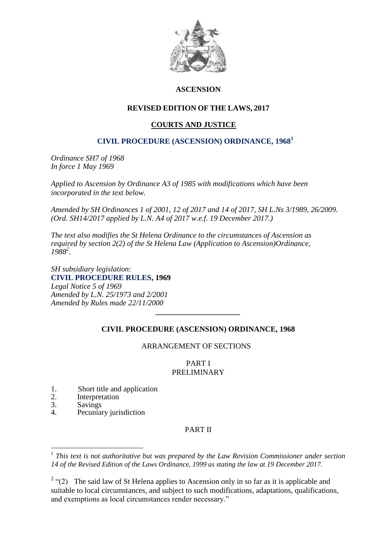

# **ASCENSION**

# **REVISED EDITION OF THE LAWS, 2017**

# **COURTS AND JUSTICE**

# **CIVIL PROCEDURE (ASCENSION) ORDINANCE, 1968<sup>1</sup>**

*Ordinance SH7 of 1968 In force 1 May 1969*

*Applied to Ascension by Ordinance A3 of 1985 with modifications which have been incorporated in the text below.*

*Amended by SH Ordinances 1 of 2001, 12 of 2017 and 14 of 2017, SH L.Ns 3/1989, 26/2009. (Ord. SH14/2017 applied by L.N. A4 of 2017 w.e.f. 19 December 2017.)*

*The text also modifies the St Helena Ordinance to the circumstances of Ascension as required by section 2(2) of the St Helena Law (Application to Ascension)Ordinance, 1988<sup>2</sup> .*

*SH subsidiary legislation:* **[CIVIL PROCEDURE RULES,](file:///C:/Users/Wilson/Desktop/SH%20Courts%20&%20Justice/%20/%20Section33) 1969** *Legal Notice 5 of 1969 Amended by L.N. 25/1973 and 2/2001 Amended by Rules made 22/11/2000*

# **CIVIL PROCEDURE (ASCENSION) ORDINANCE, 1968**

*\_\_\_\_\_\_\_\_\_\_\_\_\_\_\_\_\_\_\_\_\_\_*

# ARRANGEMENT OF SECTIONS

# PART I PRELIMINARY

- 1. Short title and application<br>2. Interpretation
- 2. Interpretation<br>3. Savings
- 3. Savings<br>4 Pecuniai

<u>.</u>

Pecuniary jurisdiction

# PART II

<sup>&</sup>lt;sup>1</sup> This text is not authoritative but was prepared by the Law Revision Commissioner under section *14 of the Revised Edition of the Laws Ordinance, 1999 as stating the law at 19 December 2017.*

<sup>&</sup>lt;sup>2</sup> "(2) The said law of St Helena applies to Ascension only in so far as it is applicable and suitable to local circumstances, and subject to such modifications, adaptations, qualifications, and exemptions as local circumstances render necessary."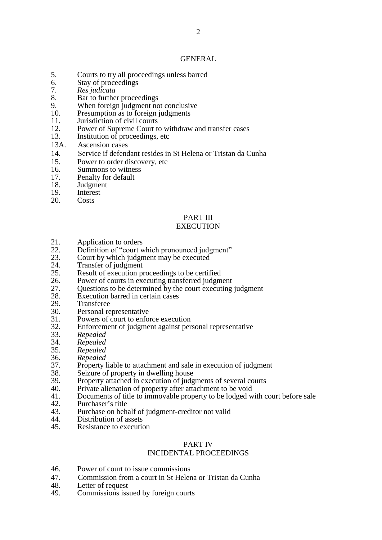#### GENERAL

- 5. Courts to try all proceedings unless barred
- 6. Stay of proceedings
- 7. *Res judicata*
- 8. Bar to further proceedings<br>9. When foreign judgment no
- When foreign judgment not conclusive
- 10. Presumption as to foreign judgments
- 11. Jurisdiction of civil courts
- 12. Power of Supreme Court to withdraw and transfer cases
- 13. Institution of proceedings, etc
- 13A. Ascension cases
- 14. Service if defendant resides in St Helena or Tristan da Cunha
- 15. Power to order discovery, etc
- 16. Summons to witness
- 17. Penalty for default
- 18. Judgment
- 19. Interest
- 20. Costs

# PART III

# **EXECUTION**

- 21. Application to orders<br>22. Definition of "court w
- 22. Definition of "court which pronounced judgment"<br>23 Court by which judgment may be executed
- 23. Court by which judgment may be executed 24 Transfer of judgment
- 24. Transfer of judgment<br>25. Result of execution pro
- 25. Result of execution proceedings to be certified<br>26. Power of courts in executing transferred judgm
- Power of courts in executing transferred judgment
- 27. Questions to be determined by the court executing judgment 28. Execution barred in certain cases
- 28. Execution barred in certain cases<br>29. Transferee
- 29. Transferee<br>30. Personal re
- 30. Personal representative<br>31. Powers of court to enfo
- 31. Powers of court to enforce execution<br>32. Enforcement of judgment against per
- 32. Enforcement of judgment against personal representative<br>33. Repealed
- 33. *Repealed*
- 34. *Repealed*
- 35. *Repealed*
- 36. *Repealed*
- 37. Property liable to attachment and sale in execution of judgment
- 38. Seizure of property in dwelling house<br>39. Property attached in execution of judg
- Property attached in execution of judgments of several courts
- 
- 40. Private alienation of property after attachment to be void 41. Documents of title to immovable property to be lodged w 41. Documents of title to immovable property to be lodged with court before sale<br>42. Purchaser's title
- 42. Purchaser's title<br>43 Purchase on beh
- Purchase on behalf of judgment-creditor not valid
- 44. Distribution of assets<br>45. Resistance to execution
- Resistance to execution

#### PART IV

# INCIDENTAL PROCEEDINGS

- 46. Power of court to issue commissions
- 47. Commission from a court in St Helena or Tristan da Cunha
- 48. Letter of request
- 49. Commissions issued by foreign courts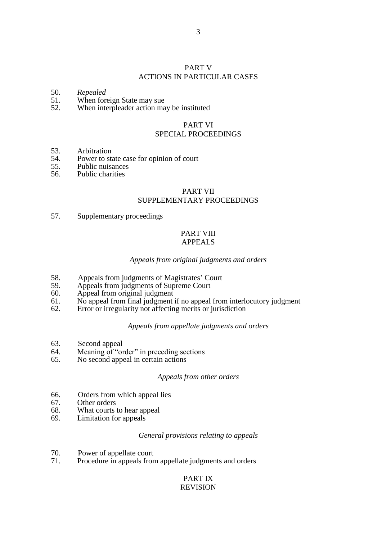# PART V ACTIONS IN PARTICULAR CASES

# 50. *Repealed*

- When foreign State may sue
- 52. When interpleader action may be instituted

#### PART VI SPECIAL PROCEEDINGS

- 53. Arbitration<br>54. Power to st
- 54. Power to state case for opinion of court<br>55. Public musances
- 55. Public nuisances<br>56. Public charities
- Public charities

# PART VII

# SUPPLEMENTARY PROCEEDINGS

57. Supplementary proceedings

### PART VIII APPEALS

# *Appeals from original judgments and orders*

- 58. Appeals from judgments of Magistrates' Court<br>59 Appeals from judgments of Supreme Court
- 59. Appeals from judgments of Supreme Court<br>60. Appeal from original judgment
- 60. Appeal from original judgment
- 61. No appeal from final judgment if no appeal from interlocutory judgment 62. Error or irregularity not affecting merits or iurisdiction
- Error or irregularity not affecting merits or jurisdiction

#### *Appeals from appellate judgments and orders*

- 63. Second appeal
- 64. Meaning of "order" in preceding sections
- 65. No second appeal in certain actions

#### *Appeals from other orders*

- 66. Orders from which appeal lies
- 67. Other orders
- 68. What courts to hear appeal
- 69. Limitation for appeals

#### *General provisions relating to appeals*

- 70. Power of appellate court
- 71. Procedure in appeals from appellate judgments and orders

# PART IX

# REVISION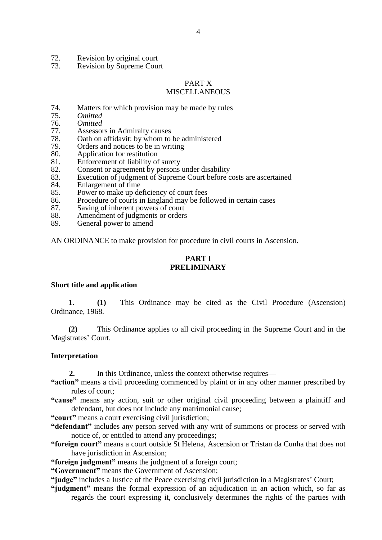- 72. Revision by original court<br>73 Revision by Supreme Cour
- Revision by Supreme Court

#### PART X

### MISCELLANEOUS

- 74. Matters for which provision may be made by rules
- 75. *Omitted*
- 76. *Omitted*
- 77. Assessors in Admiralty causes
- 78. Oath on affidavit: by whom to be administered
- 79. Orders and notices to be in writing
- 80. Application for restitution
- 81. Enforcement of liability of surety
- 82. Consent or agreement by persons under disability
- 83. Execution of judgment of Supreme Court before costs are ascertained
- 84. Enlargement of time
- 85. Power to make up deficiency of court fees
- 86. Procedure of courts in England may be followed in certain cases
- 87. Saving of inherent powers of court
- 88. Amendment of judgments or orders
- 89. General power to amend

AN ORDINANCE to make provision for procedure in civil courts in Ascension.

# **PART I PRELIMINARY**

# **Short title and application**

**1. (1)** This Ordinance may be cited as the Civil Procedure (Ascension) Ordinance, 1968.

**(2)** This Ordinance applies to all civil proceeding in the Supreme Court and in the Magistrates' Court.

#### **Interpretation**

- **2.** In this Ordinance, unless the context otherwise requires—
- **"action"** means a civil proceeding commenced by plaint or in any other manner prescribed by rules of court;
- **"cause"** means any action, suit or other original civil proceeding between a plaintiff and defendant, but does not include any matrimonial cause;
- **"court"** means a court exercising civil jurisdiction;
- **"defendant"** includes any person served with any writ of summons or process or served with notice of, or entitled to attend any proceedings;
- **"foreign court"** means a court outside St Helena, Ascension or Tristan da Cunha that does not have jurisdiction in Ascension:
- **"foreign judgment"** means the judgment of a foreign court;
- **"Government"** means the Government of Ascension;
- **"judge"** includes a Justice of the Peace exercising civil jurisdiction in a Magistrates' Court;
- **"judgment"** means the formal expression of an adjudication in an action which, so far as regards the court expressing it, conclusively determines the rights of the parties with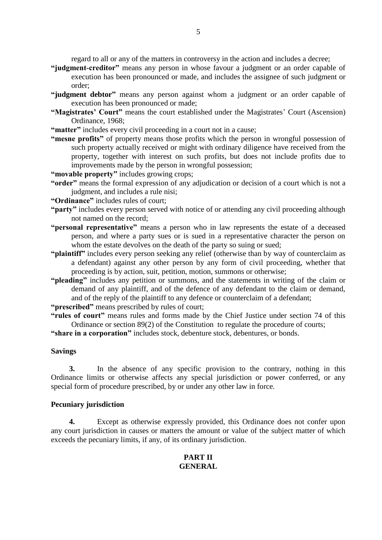regard to all or any of the matters in controversy in the action and includes a decree;

- **"judgment-creditor"** means any person in whose favour a judgment or an order capable of execution has been pronounced or made, and includes the assignee of such judgment or order;
- **"judgment debtor"** means any person against whom a judgment or an order capable of execution has been pronounced or made;
- **"Magistrates' Court"** means the court established under the Magistrates' Court (Ascension) Ordinance, 1968;
- "matter" includes every civil proceeding in a court not in a cause;
- **"mesne profits"** of property means those profits which the person in wrongful possession of such property actually received or might with ordinary diligence have received from the property, together with interest on such profits, but does not include profits due to improvements made by the person in wrongful possession;
- **"movable property"** includes growing crops;
- **"order"** means the formal expression of any adjudication or decision of a court which is not a judgment, and includes a rule nisi;
- **"Ordinance"** includes rules of court;
- **"party"** includes every person served with notice of or attending any civil proceeding although not named on the record;
- **"personal representative"** means a person who in law represents the estate of a deceased person, and where a party sues or is sued in a representative character the person on whom the estate devolves on the death of the party so suing or sued;
- **"plaintiff"** includes every person seeking any relief (otherwise than by way of counterclaim as a defendant) against any other person by any form of civil proceeding, whether that proceeding is by action, suit, petition, motion, summons or otherwise;
- **"pleading"** includes any petition or summons, and the statements in writing of the claim or demand of any plaintiff, and of the defence of any defendant to the claim or demand, and of the reply of the plaintiff to any defence or counterclaim of a defendant;
- **"prescribed"** means prescribed by rules of court;
- **"rules of court"** means rules and forms made by the Chief Justice under section 74 of this Ordinance or section 89(2) of the Constitution to regulate the procedure of courts;
- **"share in a corporation"** includes stock, debenture stock, debentures, or bonds.

#### **Savings**

**3.** In the absence of any specific provision to the contrary, nothing in this Ordinance limits or otherwise affects any special jurisdiction or power conferred, or any special form of procedure prescribed, by or under any other law in force.

#### **Pecuniary jurisdiction**

**4.** Except as otherwise expressly provided, this Ordinance does not confer upon any court jurisdiction in causes or matters the amount or value of the subject matter of which exceeds the pecuniary limits, if any, of its ordinary jurisdiction.

# **PART II GENERAL**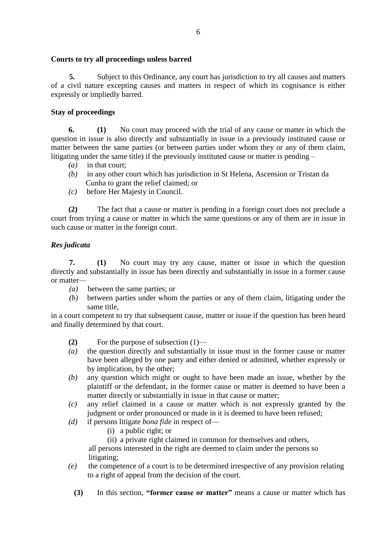# **Courts to try all proceedings unless barred**

**5.** Subject to this Ordinance, any court has jurisdiction to try all causes and matters of a civil nature excepting causes and matters in respect of which its cognisance is either expressly or impliedly barred.

# **Stay of proceedings**

**6. (1)** No court may proceed with the trial of any cause or matter in which the question in issue is also directly and substantially in issue in a previously instituted cause or matter between the same parties (or between parties under whom they or any of them claim, litigating under the same title) if the previously instituted cause or matter is pending –

- *(a)* in that court;
- *(b)*in any other court which has jurisdiction in St Helena, Ascension or Tristan da Cunha to grant the relief claimed; or
- *(c)* before Her Majesty in Council.

**(2)** The fact that a cause or matter is pending in a foreign court does not preclude a court from trying a cause or matter in which the same questions or any of them are in issue in such cause or matter in the foreign court.

# *Res judicata*

**7. (1)** No court may try any cause, matter or issue in which the question directly and substantially in issue has been directly and substantially in issue in a former cause or matter—

- *(a)* between the same parties; or
- *(b)* between parties under whom the parties or any of them claim, litigating under the same title,

in a court competent to try that subsequent cause, matter or issue if the question has been heard and finally determined by that court.

- **(2)** For the purpose of subsection (1)—
- *(a)* the question directly and substantially in issue must in the former cause or matter have been alleged by one party and either denied or admitted, whether expressly or by implication, by the other;
- *(b)* any question which might or ought to have been made an issue, whether by the plaintiff or the defendant, in the former cause or matter is deemed to have been a matter directly or substantially in issue in that cause or matter;
- *(c)* any relief claimed in a cause or matter which is not expressly granted by the judgment or order pronounced or made in it is deemed to have been refused;
- *(d)* if persons litigate *bona fide* in respect of—
	- (i) a public right; or
	- (ii) a private right claimed in common for themselves and others,

 all persons interested in the right are deemed to claim under the persons so litigating;

- *(e)* the competence of a court is to be determined irrespective of any provision relating to a right of appeal from the decision of the court.
	- **(3)** In this section, **"former cause or matter"** means a cause or matter which has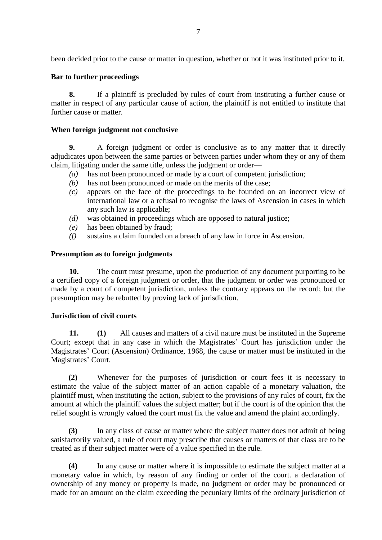been decided prior to the cause or matter in question, whether or not it was instituted prior to it.

# **Bar to further proceedings**

**8.** If a plaintiff is precluded by rules of court from instituting a further cause or matter in respect of any particular cause of action, the plaintiff is not entitled to institute that further cause or matter.

# **When foreign judgment not conclusive**

**9.** A foreign judgment or order is conclusive as to any matter that it directly adjudicates upon between the same parties or between parties under whom they or any of them claim, litigating under the same title, unless the judgment or order—

- *(a)* has not been pronounced or made by a court of competent jurisdiction;
- *(b)* has not been pronounced or made on the merits of the case;
- *(c)* appears on the face of the proceedings to be founded on an incorrect view of international law or a refusal to recognise the laws of Ascension in cases in which any such law is applicable;
- *(d)* was obtained in proceedings which are opposed to natural justice;
- *(e)* has been obtained by fraud;
- *(f)* sustains a claim founded on a breach of any law in force in Ascension.

# **Presumption as to foreign judgments**

**10.** The court must presume, upon the production of any document purporting to be a certified copy of a foreign judgment or order, that the judgment or order was pronounced or made by a court of competent jurisdiction, unless the contrary appears on the record; but the presumption may be rebutted by proving lack of jurisdiction.

# **Jurisdiction of civil courts**

**11. (1)** All causes and matters of a civil nature must be instituted in the Supreme Court; except that in any case in which the Magistrates' Court has jurisdiction under the Magistrates' Court (Ascension) Ordinance, 1968, the cause or matter must be instituted in the Magistrates' Court.

**(2)** Whenever for the purposes of jurisdiction or court fees it is necessary to estimate the value of the subject matter of an action capable of a monetary valuation, the plaintiff must, when instituting the action, subject to the provisions of any rules of court, fix the amount at which the plaintiff values the subject matter; but if the court is of the opinion that the relief sought is wrongly valued the court must fix the value and amend the plaint accordingly.

**(3)** In any class of cause or matter where the subject matter does not admit of being satisfactorily valued, a rule of court may prescribe that causes or matters of that class are to be treated as if their subject matter were of a value specified in the rule.

**(4)** In any cause or matter where it is impossible to estimate the subject matter at a monetary value in which, by reason of any finding or order of the court. a declaration of ownership of any money or property is made, no judgment or order may be pronounced or made for an amount on the claim exceeding the pecuniary limits of the ordinary jurisdiction of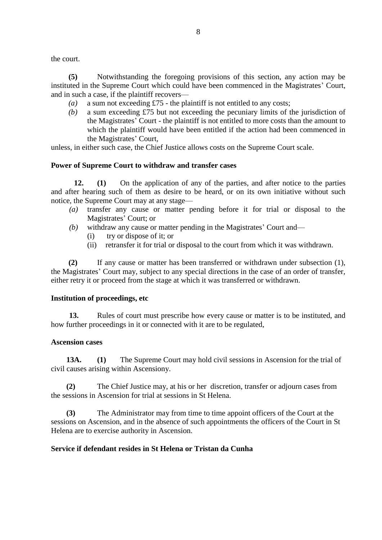the court.

**(5)** Notwithstanding the foregoing provisions of this section, any action may be instituted in the Supreme Court which could have been commenced in the Magistrates' Court, and in such a case, if the plaintiff recovers—

- *(a)* a sum not exceeding £75 the plaintiff is not entitled to any costs;
- *(b)* a sum exceeding £75 but not exceeding the pecuniary limits of the jurisdiction of the Magistrates' Court - the plaintiff is not entitled to more costs than the amount to which the plaintiff would have been entitled if the action had been commenced in the Magistrates' Court,

unless, in either such case, the Chief Justice allows costs on the Supreme Court scale.

### **Power of Supreme Court to withdraw and transfer cases**

**12. (1)** On the application of any of the parties, and after notice to the parties and after hearing such of them as desire to be heard, or on its own initiative without such notice, the Supreme Court may at any stage—

- *(a)* transfer any cause or matter pending before it for trial or disposal to the Magistrates' Court; or
- *(b)* withdraw any cause or matter pending in the Magistrates' Court and—
	- (i) try or dispose of it; or
	- (ii) retransfer it for trial or disposal to the court from which it was withdrawn.

**(2)** If any cause or matter has been transferred or withdrawn under subsection (1), the Magistrates' Court may, subject to any special directions in the case of an order of transfer, either retry it or proceed from the stage at which it was transferred or withdrawn.

#### **Institution of proceedings, etc**

**13.** Rules of court must prescribe how every cause or matter is to be instituted, and how further proceedings in it or connected with it are to be regulated,

#### **Ascension cases**

 **13A. (1)** The Supreme Court may hold civil sessions in Ascension for the trial of civil causes arising within Ascensiony.

 **(2)** The Chief Justice may, at his or her discretion, transfer or adjourn cases from the sessions in Ascension for trial at sessions in St Helena.

 **(3)** The Administrator may from time to time appoint officers of the Court at the sessions on Ascension, and in the absence of such appointments the officers of the Court in St Helena are to exercise authority in Ascension.

# **Service if defendant resides in St Helena or Tristan da Cunha**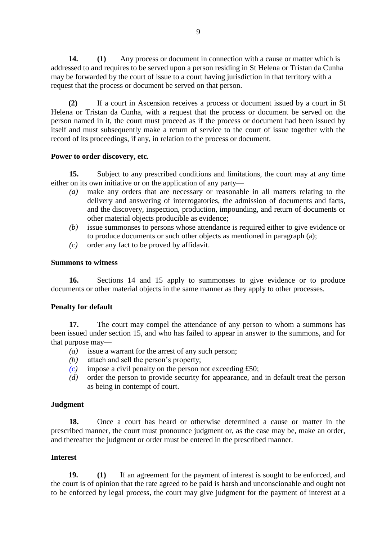**14. (1)** Any process or document in connection with a cause or matter which is addressed to and requires to be served upon a person residing in St Helena or Tristan da Cunha may be forwarded by the court of issue to a court having jurisdiction in that territory with a request that the process or document be served on that person.

**(2)** If a court in Ascension receives a process or document issued by a court in St Helena or Tristan da Cunha, with a request that the process or document be served on the person named in it, the court must proceed as if the process or document had been issued by itself and must subsequently make a return of service to the court of issue together with the record of its proceedings, if any, in relation to the process or document.

# **Power to order discovery, etc.**

**15.** Subject to any prescribed conditions and limitations, the court may at any time either on its own initiative or on the application of any party—

- *(a)* make any orders that are necessary or reasonable in all matters relating to the delivery and answering of interrogatories, the admission of documents and facts, and the discovery, inspection, production, impounding, and return of documents or other material objects producible as evidence;
- *(b)* issue summonses to persons whose attendance is required either to give evidence or to produce documents or such other objects as mentioned in paragraph (a);
- *(c)* order any fact to be proved by affidavit.

# **Summons to witness**

**16.** Sections 14 and 15 apply to summonses to give evidence or to produce documents or other material objects in the same manner as they apply to other processes.

# **Penalty for default**

**17.** The court may compel the attendance of any person to whom a summons has been issued under section 15, and who has failed to appear in answer to the summons, and for that purpose may—

- *(a)* issue a warrant for the arrest of any such person;
- *(b)* attach and sell the person's property;
- *(c)* impose a civil penalty on the person not exceeding £50;
- *(d)* order the person to provide security for appearance, and in default treat the person as being in contempt of court.

# **Judgment**

**18.** Once a court has heard or otherwise determined a cause or matter in the prescribed manner, the court must pronounce judgment or, as the case may be, make an order, and thereafter the judgment or order must be entered in the prescribed manner.

# **Interest**

**19. (1)** If an agreement for the payment of interest is sought to be enforced, and the court is of opinion that the rate agreed to be paid is harsh and unconscionable and ought not to be enforced by legal process, the court may give judgment for the payment of interest at a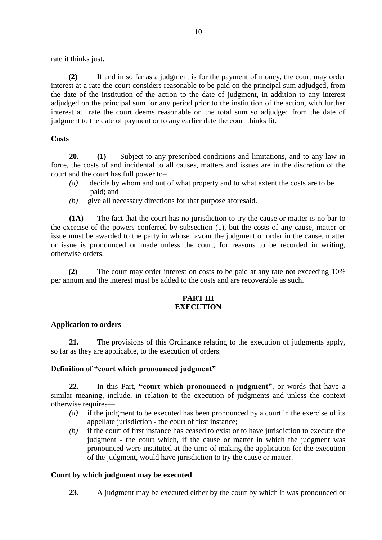rate it thinks just.

**(2)** If and in so far as a judgment is for the payment of money, the court may order interest at a rate the court considers reasonable to be paid on the principal sum adjudged, from the date of the institution of the action to the date of judgment, in addition to any interest adjudged on the principal sum for any period prior to the institution of the action, with further interest at rate the court deems reasonable on the total sum so adjudged from the date of judgment to the date of payment or to any earlier date the court thinks fit.

# **Costs**

**20. (1)** Subject to any prescribed conditions and limitations, and to any law in force, the costs of and incidental to all causes, matters and issues are in the discretion of the court and the court has full power to–

- *(a)* decide by whom and out of what property and to what extent the costs are to be paid; and
- *(b)* give all necessary directions for that purpose aforesaid.

**(1A)** The fact that the court has no jurisdiction to try the cause or matter is no bar to the exercise of the powers conferred by subsection (1), but the costs of any cause, matter or issue must be awarded to the party in whose favour the judgment or order in the cause, matter or issue is pronounced or made unless the court, for reasons to be recorded in writing, otherwise orders.

**(2)** The court may order interest on costs to be paid at any rate not exceeding 10% per annum and the interest must be added to the costs and are recoverable as such.

# **PART III EXECUTION**

# **Application to orders**

**21.** The provisions of this Ordinance relating to the execution of judgments apply, so far as they are applicable, to the execution of orders.

# **Definition of "court which pronounced judgment"**

**22.** In this Part, **"court which pronounced a judgment"**, or words that have a similar meaning, include, in relation to the execution of judgments and unless the context otherwise requires—

- *(a)* if the judgment to be executed has been pronounced by a court in the exercise of its appellate jurisdiction - the court of first instance;
- *(b)* if the court of first instance has ceased to exist or to have jurisdiction to execute the judgment - the court which, if the cause or matter in which the judgment was pronounced were instituted at the time of making the application for the execution of the judgment, would have jurisdiction to try the cause or matter.

# **Court by which judgment may be executed**

**23.** A judgment may be executed either by the court by which it was pronounced or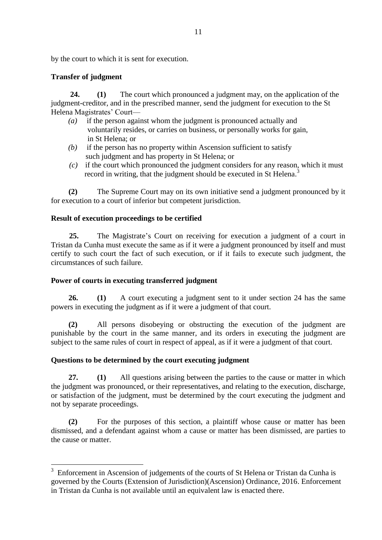by the court to which it is sent for execution.

# **Transfer of judgment**

 **24. (1)** The court which pronounced a judgment may, on the application of the judgment-creditor, and in the prescribed manner, send the judgment for execution to the St Helena Magistrates' Court—

- *(a)* if the person against whom the judgment is pronounced actually and voluntarily resides, or carries on business, or personally works for gain, in St Helena; or
- *(b)* if the person has no property within Ascension sufficient to satisfy such judgment and has property in St Helena; or
- *(c)* if the court which pronounced the judgment considers for any reason, which it must record in writing, that the judgment should be executed in St Helena.<sup>3</sup>

**(2)** The Supreme Court may on its own initiative send a judgment pronounced by it for execution to a court of inferior but competent jurisdiction.

# **Result of execution proceedings to be certified**

**25.** The Magistrate's Court on receiving for execution a judgment of a court in Tristan da Cunha must execute the same as if it were a judgment pronounced by itself and must certify to such court the fact of such execution, or if it fails to execute such judgment, the circumstances of such failure.

# **Power of courts in executing transferred judgment**

**26. (1)** A court executing a judgment sent to it under section 24 has the same powers in executing the judgment as if it were a judgment of that court.

**(2)** All persons disobeying or obstructing the execution of the judgment are punishable by the court in the same manner, and its orders in executing the judgment are subject to the same rules of court in respect of appeal, as if it were a judgment of that court.

# **Questions to be determined by the court executing judgment**

**27. (1)** All questions arising between the parties to the cause or matter in which the judgment was pronounced, or their representatives, and relating to the execution, discharge, or satisfaction of the judgment, must be determined by the court executing the judgment and not by separate proceedings.

**(2)** For the purposes of this section, a plaintiff whose cause or matter has been dismissed, and a defendant against whom a cause or matter has been dismissed, are parties to the cause or matter.

<sup>&</sup>lt;sup>3</sup> Enforcement in Ascension of judgements of the courts of St Helena or Tristan da Cunha is governed by the Courts (Extension of Jurisdiction)(Ascension) Ordinance, 2016. Enforcement in Tristan da Cunha is not available until an equivalent law is enacted there.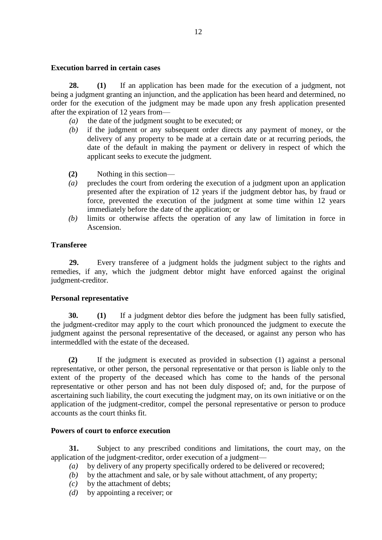# **Execution barred in certain cases**

**28. (1)** If an application has been made for the execution of a judgment, not being a judgment granting an injunction, and the application has been heard and determined, no order for the execution of the judgment may be made upon any fresh application presented after the expiration of 12 years from—

- *(a)* the date of the judgment sought to be executed; or
- *(b)* if the judgment or any subsequent order directs any payment of money, or the delivery of any property to be made at a certain date or at recurring periods, the date of the default in making the payment or delivery in respect of which the applicant seeks to execute the judgment.
- **(2)** Nothing in this section—
- *(a)* precludes the court from ordering the execution of a judgment upon an application presented after the expiration of 12 years if the judgment debtor has, by fraud or force, prevented the execution of the judgment at some time within 12 years immediately before the date of the application; or
- *(b)* limits or otherwise affects the operation of any law of limitation in force in Ascension.

# **Transferee**

**29.** Every transferee of a judgment holds the judgment subject to the rights and remedies, if any, which the judgment debtor might have enforced against the original judgment-creditor.

# **Personal representative**

**30. (1)** If a judgment debtor dies before the judgment has been fully satisfied, the judgment-creditor may apply to the court which pronounced the judgment to execute the judgment against the personal representative of the deceased, or against any person who has intermeddled with the estate of the deceased.

**(2)** If the judgment is executed as provided in subsection (1) against a personal representative, or other person, the personal representative or that person is liable only to the extent of the property of the deceased which has come to the hands of the personal representative or other person and has not been duly disposed of; and, for the purpose of ascertaining such liability, the court executing the judgment may, on its own initiative or on the application of the judgment-creditor, compel the personal representative or person to produce accounts as the court thinks fit.

#### **Powers of court to enforce execution**

**31.** Subject to any prescribed conditions and limitations, the court may, on the application of the judgment-creditor, order execution of a judgment—

- *(a)* by delivery of any property specifically ordered to be delivered or recovered;
- *(b)* by the attachment and sale, or by sale without attachment, of any property;
- *(c)* by the attachment of debts;
- *(d)* by appointing a receiver; or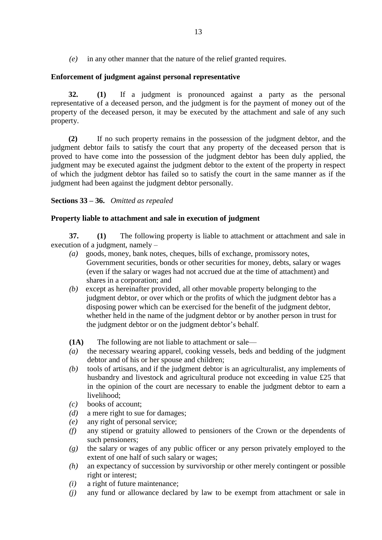*(e)* in any other manner that the nature of the relief granted requires.

# **Enforcement of judgment against personal representative**

**32. (1)** If a judgment is pronounced against a party as the personal representative of a deceased person, and the judgment is for the payment of money out of the property of the deceased person, it may be executed by the attachment and sale of any such property.

**(2)** If no such property remains in the possession of the judgment debtor, and the judgment debtor fails to satisfy the court that any property of the deceased person that is proved to have come into the possession of the judgment debtor has been duly applied, the judgment may be executed against the judgment debtor to the extent of the property in respect of which the judgment debtor has failed so to satisfy the court in the same manner as if the judgment had been against the judgment debtor personally.

# **Sections 33 – 36.** *Omitted as repealed*

# **Property liable to attachment and sale in execution of judgment**

**37. (1)** The following property is liable to attachment or attachment and sale in execution of a judgment, namely –

- *(a)* goods, money, bank notes, cheques, bills of exchange, promissory notes, Government securities, bonds or other securities for money, debts, salary or wages (even if the salary or wages had not accrued due at the time of attachment) and shares in a corporation; and
- *(b)* except as hereinafter provided, all other movable property belonging to the judgment debtor, or over which or the profits of which the judgment debtor has a disposing power which can be exercised for the benefit of the judgment debtor, whether held in the name of the judgment debtor or by another person in trust for the judgment debtor or on the judgment debtor's behalf.
- **(1A)** The following are not liable to attachment or sale—
- *(a)* the necessary wearing apparel, cooking vessels, beds and bedding of the judgment debtor and of his or her spouse and children;
- *(b)* tools of artisans, and if the judgment debtor is an agriculturalist, any implements of husbandry and livestock and agricultural produce not exceeding in value £25 that in the opinion of the court are necessary to enable the judgment debtor to earn a livelihood;
- *(c)* books of account;
- *(d)* a mere right to sue for damages;
- *(e)* any right of personal service;
- *(f)* any stipend or gratuity allowed to pensioners of the Crown or the dependents of such pensioners;
- *(g)* the salary or wages of any public officer or any person privately employed to the extent of one half of such salary or wages;
- *(h)* an expectancy of succession by survivorship or other merely contingent or possible right or interest;
- *(i)* a right of future maintenance;
- *(j)* any fund or allowance declared by law to be exempt from attachment or sale in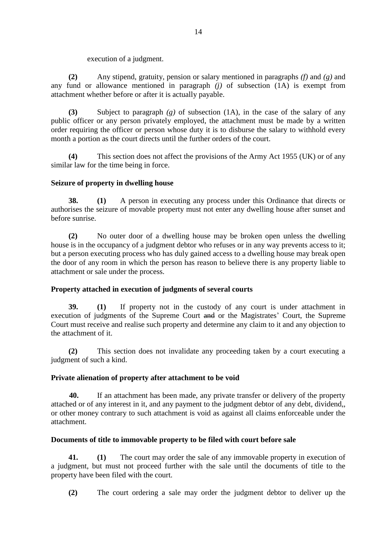execution of a judgment.

**(2)** Any stipend, gratuity, pension or salary mentioned in paragraphs *(f)* and *(g)* and any fund or allowance mentioned in paragraph *(j)* of subsection (1A) is exempt from attachment whether before or after it is actually payable.

**(3)** Subject to paragraph *(g)* of subsection (1A), in the case of the salary of any public officer or any person privately employed, the attachment must be made by a written order requiring the officer or person whose duty it is to disburse the salary to withhold every month a portion as the court directs until the further orders of the court.

**(4)** This section does not affect the provisions of the Army Act 1955 (UK) or of any similar law for the time being in force.

# **Seizure of property in dwelling house**

**38. (1)** A person in executing any process under this Ordinance that directs or authorises the seizure of movable property must not enter any dwelling house after sunset and before sunrise.

**(2)** No outer door of a dwelling house may be broken open unless the dwelling house is in the occupancy of a judgment debtor who refuses or in any way prevents access to it; but a person executing process who has duly gained access to a dwelling house may break open the door of any room in which the person has reason to believe there is any property liable to attachment or sale under the process.

# **Property attached in execution of judgments of several courts**

**39. (1)** If property not in the custody of any court is under attachment in execution of judgments of the Supreme Court and or the Magistrates' Court, the Supreme Court must receive and realise such property and determine any claim to it and any objection to the attachment of it.

**(2)** This section does not invalidate any proceeding taken by a court executing a judgment of such a kind.

# **Private alienation of property after attachment to be void**

**40.** If an attachment has been made, any private transfer or delivery of the property attached or of any interest in it, and any payment to the judgment debtor of any debt, dividend,, or other money contrary to such attachment is void as against all claims enforceable under the attachment.

# **Documents of title to immovable property to be filed with court before sale**

**41. (1)** The court may order the sale of any immovable property in execution of a judgment, but must not proceed further with the sale until the documents of title to the property have been filed with the court.

**(2)** The court ordering a sale may order the judgment debtor to deliver up the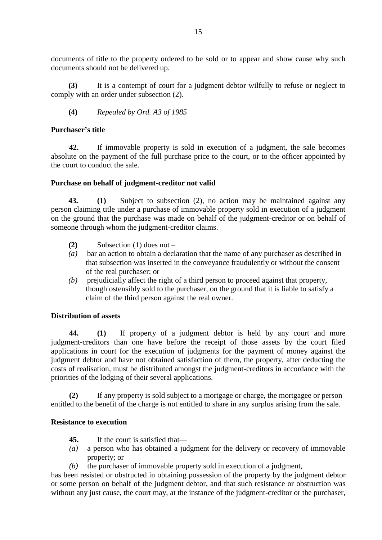documents of title to the property ordered to be sold or to appear and show cause why such documents should not be delivered up.

**(3)** It is a contempt of court for a judgment debtor wilfully to refuse or neglect to comply with an order under subsection (2).

# **(4)** *Repealed by Ord. A3 of 1985*

# **Purchaser's title**

**42.** If immovable property is sold in execution of a judgment, the sale becomes absolute on the payment of the full purchase price to the court, or to the officer appointed by the court to conduct the sale.

# **Purchase on behalf of judgment-creditor not valid**

**43. (1)** Subject to subsection (2), no action may be maintained against any person claiming title under a purchase of immovable property sold in execution of a judgment on the ground that the purchase was made on behalf of the judgment-creditor or on behalf of someone through whom the judgment-creditor claims.

- **(2)** Subsection (1) does not –
- *(a)* bar an action to obtain a declaration that the name of any purchaser as described in that subsection was inserted in the conveyance fraudulently or without the consent of the real purchaser; or
- *(b)* prejudicially affect the right of a third person to proceed against that property, though ostensibly sold to the purchaser, on the ground that it is liable to satisfy a claim of the third person against the real owner.

# **Distribution of assets**

**44. (1)** If property of a judgment debtor is held by any court and more judgment-creditors than one have before the receipt of those assets by the court filed applications in court for the execution of judgments for the payment of money against the judgment debtor and have not obtained satisfaction of them, the property, after deducting the costs of realisation, must be distributed amongst the judgment-creditors in accordance with the priorities of the lodging of their several applications.

**(2)** If any property is sold subject to a mortgage or charge, the mortgagee or person entitled to the benefit of the charge is not entitled to share in any surplus arising from the sale.

# **Resistance to execution**

- **45.** If the court is satisfied that—
- *(a)* a person who has obtained a judgment for the delivery or recovery of immovable property; or
- *(b)* the purchaser of immovable property sold in execution of a judgment,

has been resisted or obstructed in obtaining possession of the property by the judgment debtor or some person on behalf of the judgment debtor, and that such resistance or obstruction was without any just cause, the court may, at the instance of the judgment-creditor or the purchaser,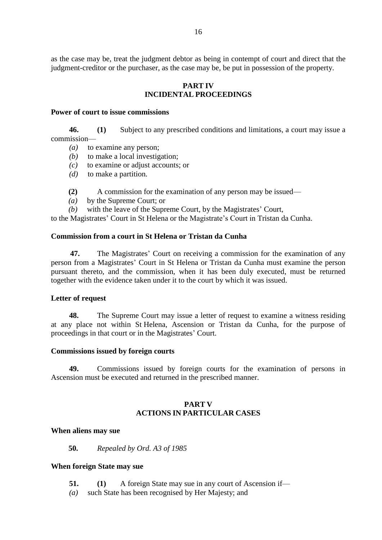as the case may be, treat the judgment debtor as being in contempt of court and direct that the judgment-creditor or the purchaser, as the case may be, be put in possession of the property.

### **PART IV INCIDENTAL PROCEEDINGS**

#### **Power of court to issue commissions**

**46. (1)** Subject to any prescribed conditions and limitations, a court may issue a commission—

- *(a)* to examine any person;
- *(b)* to make a local investigation:
- *(c)* to examine or adjust accounts; or
- *(d)* to make a partition.
- **(2)** A commission for the examination of any person may be issued—
- *(a)* by the Supreme Court; or
- *(b)* with the leave of the Supreme Court, by the Magistrates' Court,

to the Magistrates' Court in St Helena or the Magistrate's Court in Tristan da Cunha.

#### **Commission from a court in St Helena or Tristan da Cunha**

 **47.** The Magistrates' Court on receiving a commission for the examination of any person from a Magistrates' Court in St Helena or Tristan da Cunha must examine the person pursuant thereto, and the commission, when it has been duly executed, must be returned together with the evidence taken under it to the court by which it was issued.

#### **Letter of request**

**48.** The Supreme Court may issue a letter of request to examine a witness residing at any place not within St Helena, Ascension or Tristan da Cunha, for the purpose of proceedings in that court or in the Magistrates' Court.

#### **Commissions issued by foreign courts**

**49.** Commissions issued by foreign courts for the examination of persons in Ascension must be executed and returned in the prescribed manner.

# **PART V ACTIONS IN PARTICULAR CASES**

#### **When aliens may sue**

**50.** *Repealed by Ord. A3 of 1985*

#### **When foreign State may sue**

- **51. (1)** A foreign State may sue in any court of Ascension if—
- *(a)* such State has been recognised by Her Majesty; and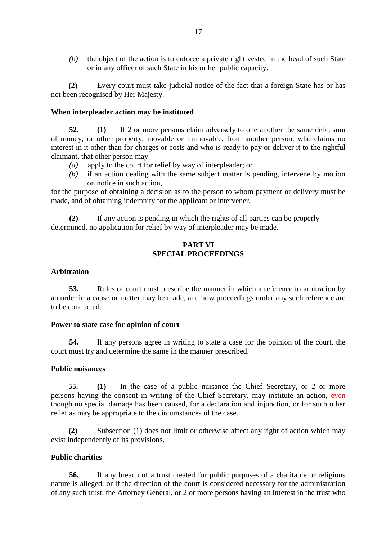*(b)* the object of the action is to enforce a private right vested in the head of such State or in any officer of such State in his or her public capacity.

**(2)** Every court must take judicial notice of the fact that a foreign State has or has not been recognised by Her Majesty.

#### **When interpleader action may be instituted**

**52. (1)** If 2 or more persons claim adversely to one another the same debt, sum of money, or other property, movable or immovable, from another person, who claims no interest in it other than for charges or costs and who is ready to pay or deliver it to the rightful claimant, that other person may—

- *(a)* apply to the court for relief by way of interpleader; or
- *(b)* if an action dealing with the same subject matter is pending, intervene by motion on notice in such action,

for the purpose of obtaining a decision as to the person to whom payment or delivery must be made, and of obtaining indemnity for the applicant or intervener.

**(2)** If any action is pending in which the rights of all parties can be properly determined, no application for relief by way of interpleader may be made.

### **PART VI SPECIAL PROCEEDINGS**

#### **Arbitration**

**53.** Rules of court must prescribe the manner in which a reference to arbitration by an order in a cause or matter may be made, and how proceedings under any such reference are to be conducted.

#### **Power to state case for opinion of court**

**54.** If any persons agree in writing to state a case for the opinion of the court, the court must try and determine the same in the manner prescribed.

#### **Public nuisances**

**55. (1)** In the case of a public nuisance the Chief Secretary, or 2 or more persons having the consent in writing of the Chief Secretary, may institute an action, even though no special damage has been caused, for a declaration and injunction, or for such other relief as may be appropriate to the circumstances of the case.

**(2)** Subsection (1) does not limit or otherwise affect any right of action which may exist independently of its provisions.

#### **Public charities**

**56.** If any breach of a trust created for public purposes of a charitable or religious nature is alleged, or if the direction of the court is considered necessary for the administration of any such trust, the Attorney General, or 2 or more persons having an interest in the trust who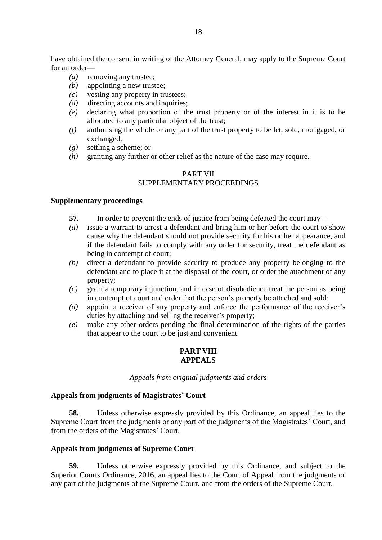have obtained the consent in writing of the Attorney General, may apply to the Supreme Court for an order—

- *(a)* removing any trustee;
- *(b)* appointing a new trustee;
- *(c)* vesting any property in trustees;
- *(d)* directing accounts and inquiries;
- *(e)* declaring what proportion of the trust property or of the interest in it is to be allocated to any particular object of the trust;
- *(f)* authorising the whole or any part of the trust property to be let, sold, mortgaged, or exchanged,
- *(g)* settling a scheme; or
- *(h)* granting any further or other relief as the nature of the case may require.

# PART VII SUPPLEMENTARY PROCEEDINGS

#### **Supplementary proceedings**

- **57.** In order to prevent the ends of justice from being defeated the court may—
- *(a)* issue a warrant to arrest a defendant and bring him or her before the court to show cause why the defendant should not provide security for his or her appearance, and if the defendant fails to comply with any order for security, treat the defendant as being in contempt of court;
- *(b)* direct a defendant to provide security to produce any property belonging to the defendant and to place it at the disposal of the court, or order the attachment of any property;
- *(c)* grant a temporary injunction, and in case of disobedience treat the person as being in contempt of court and order that the person's property be attached and sold;
- *(d)* appoint a receiver of any property and enforce the performance of the receiver's duties by attaching and selling the receiver's property;
- *(e)* make any other orders pending the final determination of the rights of the parties that appear to the court to be just and convenient.

# **PART VIII APPEALS**

#### *Appeals from original judgments and orders*

#### **Appeals from judgments of Magistrates' Court**

**58.** Unless otherwise expressly provided by this Ordinance, an appeal lies to the Supreme Court from the judgments or any part of the judgments of the Magistrates' Court, and from the orders of the Magistrates' Court.

#### **Appeals from judgments of Supreme Court**

**59.** Unless otherwise expressly provided by this Ordinance, and subject to the Superior Courts Ordinance, 2016, an appeal lies to the Court of Appeal from the judgments or any part of the judgments of the Supreme Court, and from the orders of the Supreme Court.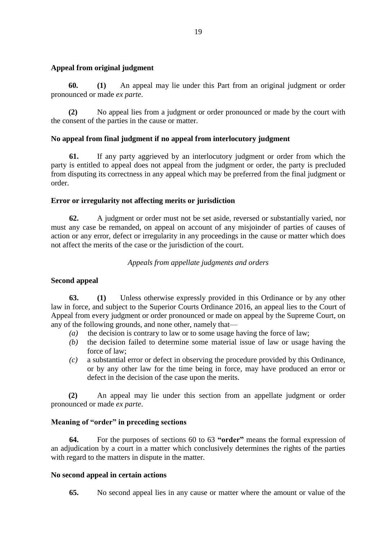# **Appeal from original judgment**

**60. (1)** An appeal may lie under this Part from an original judgment or order pronounced or made *ex parte*.

**(2)** No appeal lies from a judgment or order pronounced or made by the court with the consent of the parties in the cause or matter.

# **No appeal from final judgment if no appeal from interlocutory judgment**

**61.** If any party aggrieved by an interlocutory judgment or order from which the party is entitled to appeal does not appeal from the judgment or order, the party is precluded from disputing its correctness in any appeal which may be preferred from the final judgment or order.

# **Error or irregularity not affecting merits or jurisdiction**

**62.** A judgment or order must not be set aside, reversed or substantially varied, nor must any case be remanded, on appeal on account of any misjoinder of parties of causes of action or any error, defect or irregularity in any proceedings in the cause or matter which does not affect the merits of the case or the jurisdiction of the court.

# *Appeals from appellate judgments and orders*

# **Second appeal**

**63. (1)** Unless otherwise expressly provided in this Ordinance or by any other law in force, and subject to the Superior Courts Ordinance 2016, an appeal lies to the Court of Appeal from every judgment or order pronounced or made on appeal by the Supreme Court, on any of the following grounds, and none other, namely that—

- *(a)* the decision is contrary to law or to some usage having the force of law;
- *(b)* the decision failed to determine some material issue of law or usage having the force of law;
- *(c)* a substantial error or defect in observing the procedure provided by this Ordinance, or by any other law for the time being in force, may have produced an error or defect in the decision of the case upon the merits.

**(2)** An appeal may lie under this section from an appellate judgment or order pronounced or made *ex parte*.

# **Meaning of "order" in preceding sections**

**64.** For the purposes of sections 60 to 63 **"order"** means the formal expression of an adjudication by a court in a matter which conclusively determines the rights of the parties with regard to the matters in dispute in the matter.

# **No second appeal in certain actions**

**65.** No second appeal lies in any cause or matter where the amount or value of the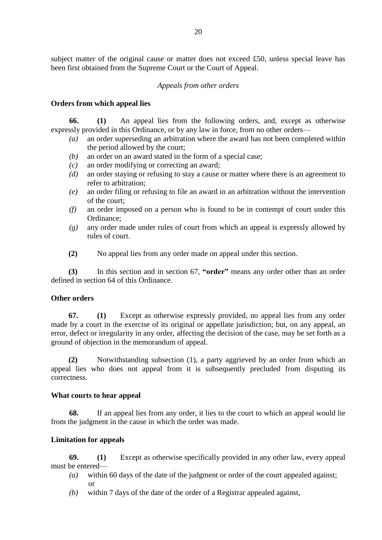subject matter of the original cause or matter does not exceed £50, unless special leave has been first obtained from the Supreme Court or the Court of Appeal.

# *Appeals from other orders*

# **Orders from which appeal lies**

**66. (1)** An appeal lies from the following orders, and, except as otherwise expressly provided in this Ordinance, or by any law in force, from no other orders—

- *(a)* an order superseding an arbitration where the award has not been completed within the period allowed by the court;
- *(b)* an order on an award stated in the form of a special case;
- *(c)* an order modifying or correcting an award;
- *(d)* an order staying or refusing to stay a cause or matter where there is an agreement to refer to arbitration;
- *(e)* an order filing or refusing to file an award in an arbitration without the intervention of the court;
- *(f)* an order imposed on a person who is found to be in contempt of court under this Ordinance;
- *(g)* any order made under rules of court from which an appeal is expressly allowed by rules of court.
- **(2)** No appeal lies from any order made on appeal under this section.

**(3)** In this section and in section 67, **"order"** means any order other than an order defined in section 64 of this Ordinance.

# **Other orders**

**67. (1)** Except as otherwise expressly provided, no appeal lies from any order made by a court in the exercise of its original or appellate jurisdiction; but, on any appeal, an error, defect or irregularity in any order, affecting the decision of the case, may be set forth as a ground of objection in the memorandum of appeal.

**(2)** Notwithstanding subsection (1), a party aggrieved by an order from which an appeal lies who does not appeal from it is subsequently precluded from disputing its correctness.

# **What courts to hear appeal**

**68.** If an appeal lies from any order, it lies to the court to which an appeal would lie from the judgment in the cause in which the order was made.

# **Limitation for appeals**

**69. (1)** Except as otherwise specifically provided in any other law, every appeal must be entered—

- *(a)* within 60 days of the date of the judgment or order of the court appealed against; or
- *(b)* within 7 days of the date of the order of a Registrar appealed against,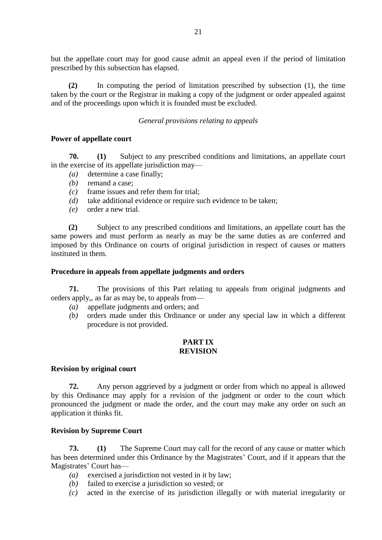but the appellate court may for good cause admit an appeal even if the period of limitation prescribed by this subsection has elapsed.

**(2)** In computing the period of limitation prescribed by subsection (1), the time taken by the court or the Registrar in making a copy of the judgment or order appealed against and of the proceedings upon which it is founded must be excluded.

### *General provisions relating to appeals*

#### **Power of appellate court**

**70. (1)** Subject to any prescribed conditions and limitations, an appellate court in the exercise of its appellate jurisdiction may—

- *(a)* determine a case finally;
- *(b)* remand a case;
- *(c)* frame issues and refer them for trial;
- *(d)* take additional evidence or require such evidence to be taken;
- *(e)* order a new trial.

**(2)** Subject to any prescribed conditions and limitations, an appellate court has the same powers and must perform as nearly as may be the same duties as are conferred and imposed by this Ordinance on courts of original jurisdiction in respect of causes or matters instituted in them.

#### **Procedure in appeals from appellate judgments and orders**

**71.** The provisions of this Part relating to appeals from original judgments and orders apply,, as far as may be, to appeals from—

- *(a)* appellate judgments and orders; and
- *(b)* orders made under this Ordinance or under any special law in which a different procedure is not provided.

#### **PART IX REVISION**

# **Revision by original court**

**72.** Any person aggrieved by a judgment or order from which no appeal is allowed by this Ordinance may apply for a revision of the judgment or order to the court which pronounced the judgment or made the order, and the court may make any order on such an application it thinks fit.

#### **Revision by Supreme Court**

**73. (1)** The Supreme Court may call for the record of any cause or matter which has been determined under this Ordinance by the Magistrates' Court, and if it appears that the Magistrates' Court has—

- *(a)* exercised a jurisdiction not vested in it by law;
- *(b)* failed to exercise a jurisdiction so vested; or
- *(c)* acted in the exercise of its jurisdiction illegally or with material irregularity or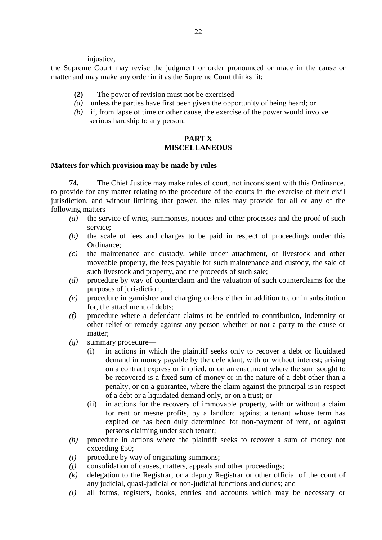injustice,

the Supreme Court may revise the judgment or order pronounced or made in the cause or matter and may make any order in it as the Supreme Court thinks fit:

- **(2)** The power of revision must not be exercised—
- *(a)* unless the parties have first been given the opportunity of being heard; or
- *(b)* if, from lapse of time or other cause, the exercise of the power would involve serious hardship to any person.

# **PART X MISCELLANEOUS**

### **Matters for which provision may be made by rules**

**74.** The Chief Justice may make rules of court, not inconsistent with this Ordinance, to provide for any matter relating to the procedure of the courts in the exercise of their civil jurisdiction, and without limiting that power, the rules may provide for all or any of the following matters—

- *(a)* the service of writs, summonses, notices and other processes and the proof of such service;
- *(b)* the scale of fees and charges to be paid in respect of proceedings under this Ordinance;
- *(c)* the maintenance and custody, while under attachment, of livestock and other moveable property, the fees payable for such maintenance and custody, the sale of such livestock and property, and the proceeds of such sale;
- *(d)* procedure by way of counterclaim and the valuation of such counterclaims for the purposes of jurisdiction;
- *(e)* procedure in garnishee and charging orders either in addition to, or in substitution for, the attachment of debts;
- *(f)* procedure where a defendant claims to be entitled to contribution, indemnity or other relief or remedy against any person whether or not a party to the cause or matter;
- *(g)* summary procedure—
	- (i) in actions in which the plaintiff seeks only to recover a debt or liquidated demand in money payable by the defendant, with or without interest; arising on a contract express or implied, or on an enactment where the sum sought to be recovered is a fixed sum of money or in the nature of a debt other than a penalty, or on a guarantee, where the claim against the principal is in respect of a debt or a liquidated demand only, or on a trust; or
	- (ii) in actions for the recovery of immovable property, with or without a claim for rent or mesne profits, by a landlord against a tenant whose term has expired or has been duly determined for non-payment of rent, or against persons claiming under such tenant;
- *(h)* procedure in actions where the plaintiff seeks to recover a sum of money not exceeding £50;
- *(i)* procedure by way of originating summons;
- *(j)* consolidation of causes, matters, appeals and other proceedings;
- *(k)* delegation to the Registrar, or a deputy Registrar or other official of the court of any judicial, quasi-judicial or non-judicial functions and duties; and
- *(l)* all forms, registers, books, entries and accounts which may be necessary or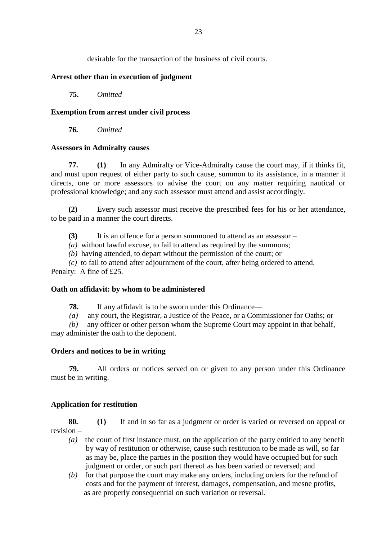desirable for the transaction of the business of civil courts.

# **Arrest other than in execution of judgment**

**75.** *Omitted*

# **Exemption from arrest under civil process**

**76.** *Omitted*

# **Assessors in Admiralty causes**

**77. (1)** In any Admiralty or Vice-Admiralty cause the court may, if it thinks fit, and must upon request of either party to such cause, summon to its assistance, in a manner it directs, one or more assessors to advise the court on any matter requiring nautical or professional knowledge; and any such assessor must attend and assist accordingly.

**(2)** Every such assessor must receive the prescribed fees for his or her attendance, to be paid in a manner the court directs.

**(3)** It is an offence for a person summoned to attend as an assessor –

*(a)* without lawful excuse, to fail to attend as required by the summons;

*(b)* having attended, to depart without the permission of the court; or

*(c)* to fail to attend after adjournment of the court, after being ordered to attend. Penalty: A fine of £25.

# **Oath on affidavit: by whom to be administered**

**78.** If any affidavit is to be sworn under this Ordinance—

*(a)* any court, the Registrar, a Justice of the Peace, or a Commissioner for Oaths; or

*(b)* any officer or other person whom the Supreme Court may appoint in that behalf, may administer the oath to the deponent.

# **Orders and notices to be in writing**

**79.** All orders or notices served on or given to any person under this Ordinance must be in writing.

# **Application for restitution**

**80. (1)** If and in so far as a judgment or order is varied or reversed on appeal or revision –

- *(a)* the court of first instance must, on the application of the party entitled to any benefit by way of restitution or otherwise, cause such restitution to be made as will, so far as may be, place the parties in the position they would have occupied but for such judgment or order, or such part thereof as has been varied or reversed; and
- *(b)* for that purpose the court may make any orders, including orders for the refund of costs and for the payment of interest, damages, compensation, and mesne profits, as are properly consequential on such variation or reversal.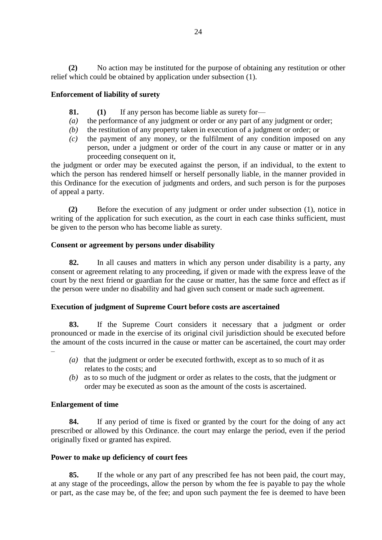**(2)** No action may be instituted for the purpose of obtaining any restitution or other relief which could be obtained by application under subsection (1).

# **Enforcement of liability of surety**

- **81. (1)** If any person has become liable as surety for—
- *(a)* the performance of any judgment or order or any part of any judgment or order;
- *(b)* the restitution of any property taken in execution of a judgment or order; or
- *(c)* the payment of any money, or the fulfilment of any condition imposed on any person, under a judgment or order of the court in any cause or matter or in any proceeding consequent on it,

the judgment or order may be executed against the person, if an individual, to the extent to which the person has rendered himself or herself personally liable, in the manner provided in this Ordinance for the execution of judgments and orders, and such person is for the purposes of appeal a party.

**(2)** Before the execution of any judgment or order under subsection (1), notice in writing of the application for such execution, as the court in each case thinks sufficient, must be given to the person who has become liable as surety.

# **Consent or agreement by persons under disability**

**82.** In all causes and matters in which any person under disability is a party, any consent or agreement relating to any proceeding, if given or made with the express leave of the court by the next friend or guardian for the cause or matter, has the same force and effect as if the person were under no disability and had given such consent or made such agreement.

# **Execution of judgment of Supreme Court before costs are ascertained**

**83.** If the Supreme Court considers it necessary that a judgment or order pronounced or made in the exercise of its original civil jurisdiction should be executed before the amount of the costs incurred in the cause or matter can be ascertained, the court may order –

- *(a)* that the judgment or order be executed forthwith, except as to so much of it as relates to the costs; and
- *(b)* as to so much of the judgment or order as relates to the costs, that the judgment or order may be executed as soon as the amount of the costs is ascertained.

# **Enlargement of time**

**84.** If any period of time is fixed or granted by the court for the doing of any act prescribed or allowed by this Ordinance. the court may enlarge the period, even if the period originally fixed or granted has expired.

# **Power to make up deficiency of court fees**

**85.** If the whole or any part of any prescribed fee has not been paid, the court may, at any stage of the proceedings, allow the person by whom the fee is payable to pay the whole or part, as the case may be, of the fee; and upon such payment the fee is deemed to have been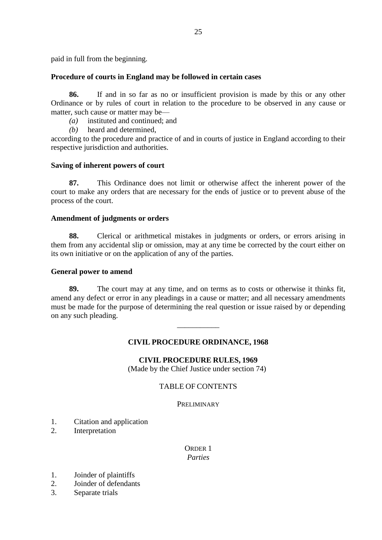paid in full from the beginning.

# **Procedure of courts in England may be followed in certain cases**

**86.** If and in so far as no or insufficient provision is made by this or any other Ordinance or by rules of court in relation to the procedure to be observed in any cause or matter, such cause or matter may be—

- *(a)* instituted and continued; and
- *(b)* heard and determined,

according to the procedure and practice of and in courts of justice in England according to their respective jurisdiction and authorities.

# **Saving of inherent powers of court**

**87.** This Ordinance does not limit or otherwise affect the inherent power of the court to make any orders that are necessary for the ends of justice or to prevent abuse of the process of the court.

# **Amendment of judgments or orders**

**88.** Clerical or arithmetical mistakes in judgments or orders, or errors arising in them from any accidental slip or omission, may at any time be corrected by the court either on its own initiative or on the application of any of the parties.

# **General power to amend**

**89.** The court may at any time, and on terms as to costs or otherwise it thinks fit, amend any defect or error in any pleadings in a cause or matter; and all necessary amendments must be made for the purpose of determining the real question or issue raised by or depending on any such pleading.

# **CIVIL PROCEDURE ORDINANCE, 1968**

\_\_\_\_\_\_\_\_\_\_\_

# **CIVIL PROCEDURE RULES, 1969**

(Made by the Chief Justice under section 74)

# TABLE OF CONTENTS

**PRELIMINARY** 

- 1. Citation and application
- 2. Interpretation

### ORDER 1 *Parties*

- 1. Joinder of plaintiffs
- 2. Joinder of defendants
- 3. Separate trials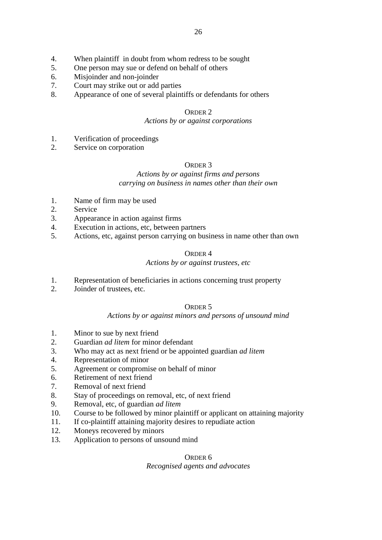- 4. When plaintiff in doubt from whom redress to be sought
- 5. One person may sue or defend on behalf of others
- 6. Misjoinder and non-joinder
- 7. Court may strike out or add parties
- 8. Appearance of one of several plaintiffs or defendants for others

#### *Actions by or against corporations*

- 1. Verification of proceedings
- 2. Service on corporation

### ORDER 3

# *Actions by or against firms and persons carrying on business in names other than their own*

- 1. Name of firm may be used
- 2. Service
- 3. Appearance in action against firms
- 4. Execution in actions, etc, between partners
- 5. Actions, etc, against person carrying on business in name other than own

### ORDER 4

### *Actions by or against trustees, etc*

- 1. Representation of beneficiaries in actions concerning trust property
- 2. Joinder of trustees, etc.

#### ORDER 5

#### *Actions by or against minors and persons of unsound mind*

- 1. Minor to sue by next friend
- 2. Guardian *ad litem* for minor defendant
- 3. Who may act as next friend or be appointed guardian *ad litem*
- 4. Representation of minor
- 5. Agreement or compromise on behalf of minor
- 6. Retirement of next friend
- 7. Removal of next friend
- 8. Stay of proceedings on removal, etc, of next friend
- 9. Removal, etc, of guardian *ad litem*
- 10. Course to be followed by minor plaintiff or applicant on attaining majority
- 11. If co-plaintiff attaining majority desires to repudiate action
- 12. Moneys recovered by minors
- 13. Application to persons of unsound mind

#### ORDER 6

#### *Recognised agents and advocates*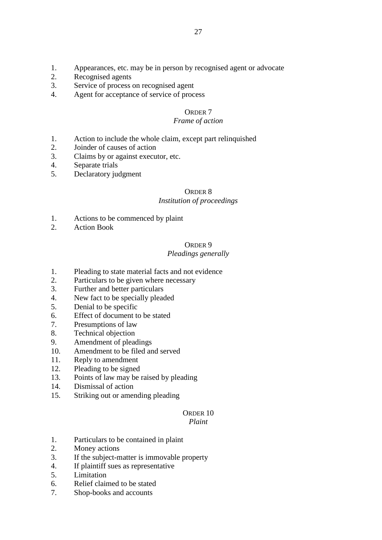- 1. Appearances, etc. may be in person by recognised agent or advocate
- 2. Recognised agents
- 3. Service of process on recognised agent
- 4. Agent for acceptance of service of process

### *Frame of action*

- 1. Action to include the whole claim, except part relinquished
- 2. Joinder of causes of action
- 3. Claims by or against executor, etc.
- 4. Separate trials
- 5. Declaratory judgment

### ORDER 8

# *Institution of proceedings*

- 1. Actions to be commenced by plaint
- 2. Action Book

#### ORDER 9

#### *Pleadings generally*

- 1. Pleading to state material facts and not evidence
- 2. Particulars to be given where necessary
- 3. Further and better particulars
- 4. New fact to be specially pleaded
- 5. Denial to be specific
- 6. Effect of document to be stated
- 7. Presumptions of law
- 8. Technical objection
- 9. Amendment of pleadings
- 10. Amendment to be filed and served
- 11. Reply to amendment
- 12. Pleading to be signed
- 13. Points of law may be raised by pleading
- 14. Dismissal of action
- 15. Striking out or amending pleading

#### ORDER 10 *Plaint*

- 1. Particulars to be contained in plaint
- 2. Money actions
- 3. If the subject-matter is immovable property
- 4. If plaintiff sues as representative
- 5. Limitation
- 6. Relief claimed to be stated
- 7. Shop-books and accounts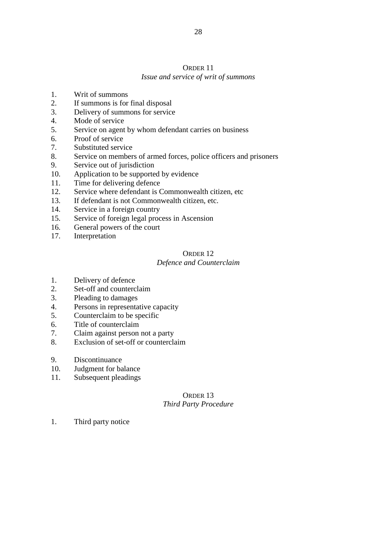# *Issue and service of writ of summons*

- 1. Writ of summons
- 2. If summons is for final disposal
- 3. Delivery of summons for service
- 4. Mode of service
- 5. Service on agent by whom defendant carries on business
- 6. Proof of service
- 7. Substituted service
- 8. Service on members of armed forces, police officers and prisoners
- 9. Service out of jurisdiction
- 10. Application to be supported by evidence
- 11. Time for delivering defence
- 12. Service where defendant is Commonwealth citizen, etc
- 13. If defendant is not Commonwealth citizen, etc.
- 14. Service in a foreign country
- 15. Service of foreign legal process in Ascension
- 16. General powers of the court
- 17. Interpretation

# ORDER 12

# *Defence and Counterclaim*

- 1. Delivery of defence
- 2. Set-off and counterclaim
- 3. Pleading to damages
- 4. Persons in representative capacity
- 5. Counterclaim to be specific
- 6. Title of counterclaim
- 7. Claim against person not a party
- 8. Exclusion of set-off or counterclaim
- 9. Discontinuance
- 10. Judgment for balance
- 11. Subsequent pleadings

# ORDER 13 *Third Party Procedure*

1. Third party notice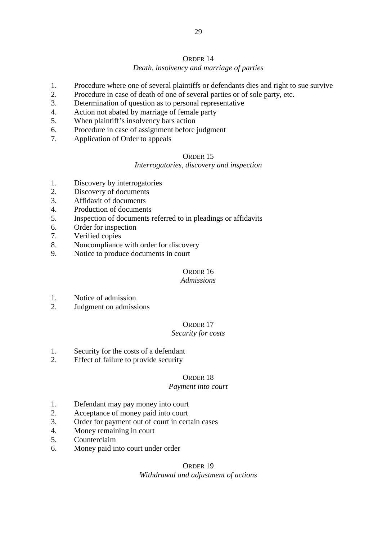# ORDER 14 *Death, insolvency and marriage of parties*

- 1. Procedure where one of several plaintiffs or defendants dies and right to sue survive
- 2. Procedure in case of death of one of several parties or of sole party, etc.
- 3. Determination of question as to personal representative
- 4. Action not abated by marriage of female party
- 5. When plaintiff's insolvency bars action
- 6. Procedure in case of assignment before judgment
- 7. Application of Order to appeals

# ORDER 15

# *Interrogatories, discovery and inspection*

- 1. Discovery by interrogatories
- 2. Discovery of documents
- 3. Affidavit of documents
- 4. Production of documents
- 5. Inspection of documents referred to in pleadings or affidavits
- 6. Order for inspection
- 7. Verified copies
- 8. Noncompliance with order for discovery
- 9. Notice to produce documents in court

# ORDER 16

# *Admissions*

- 1. Notice of admission
- 2. Judgment on admissions

# ORDER 17

# *Security for costs*

- 1. Security for the costs of a defendant
- 2. Effect of failure to provide security

# ORDER 18

# *Payment into court*

- 1. Defendant may pay money into court
- 2. Acceptance of money paid into court
- 3. Order for payment out of court in certain cases
- 4. Money remaining in court
- 5. Counterclaim
- 6. Money paid into court under order

# ORDER 19 *Withdrawal and adjustment of actions*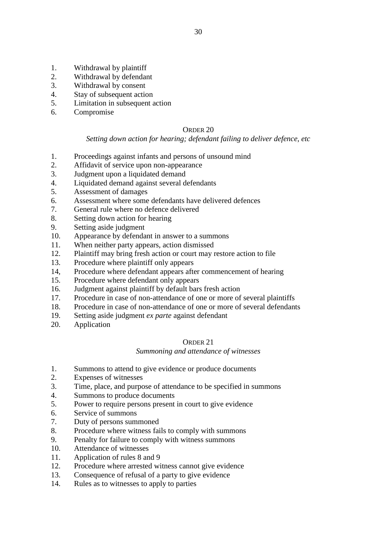- 1. Withdrawal by plaintiff
- 2. Withdrawal by defendant
- 3. Withdrawal by consent
- 4. Stay of subsequent action
- 5. Limitation in subsequent action
- 6. Compromise

# *Setting down action for hearing; defendant failing to deliver defence, etc*

- 1. Proceedings against infants and persons of unsound mind
- 2. Affidavit of service upon non-appearance
- 3. Judgment upon a liquidated demand
- 4. Liquidated demand against several defendants
- 5. Assessment of damages
- 6. Assessment where some defendants have delivered defences
- 7. General rule where no defence delivered
- 8. Setting down action for hearing
- 9. Setting aside judgment
- 10. Appearance by defendant in answer to a summons
- 11. When neither party appears, action dismissed
- 12. Plaintiff may bring fresh action or court may restore action to file
- 13. Procedure where plaintiff only appears
- 14, Procedure where defendant appears after commencement of hearing
- 15. Procedure where defendant only appears
- 16. Judgment against plaintiff by default bars fresh action
- 17. Procedure in case of non-attendance of one or more of several plaintiffs
- 18. Procedure in case of non-attendance of one or more of several defendants
- 19. Setting aside judgment *ex parte* against defendant
- 20. Application

# ORDER 21

# *Summoning and attendance of witnesses*

- 1. Summons to attend to give evidence or produce documents
- 2. Expenses of witnesses
- 3. Time, place, and purpose of attendance to be specified in summons
- 4. Summons to produce documents
- 5. Power to require persons present in court to give evidence
- 6. Service of summons
- 7. Duty of persons summoned
- 8. Procedure where witness fails to comply with summons
- 9. Penalty for failure to comply with witness summons
- 10. Attendance of witnesses
- 11. Application of rules 8 and 9
- 12. Procedure where arrested witness cannot give evidence
- 13. Consequence of refusal of a party to give evidence
- 14. Rules as to witnesses to apply to parties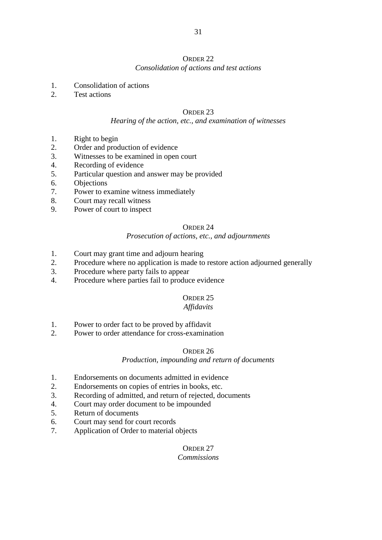# *Consolidation of actions and test actions*

- 1. Consolidation of actions
- 2. Test actions

# ORDER 23

# *Hearing of the action, etc., and examination of witnesses*

- 1. Right to begin
- 2. Order and production of evidence
- 3. Witnesses to be examined in open court
- 4. Recording of evidence
- 5. Particular question and answer may be provided
- 6. Objections
- 7. Power to examine witness immediately
- 8. Court may recall witness
- 9. Power of court to inspect

# ORDER 24

# *Prosecution of actions, etc., and adjournments*

- 1. Court may grant time and adjourn hearing
- 2. Procedure where no application is made to restore action adjourned generally
- 3. Procedure where party fails to appear
- 4. Procedure where parties fail to produce evidence

# ORDER 25

# *Affidavits*

- 1. Power to order fact to be proved by affidavit
- 2. Power to order attendance for cross-examination

# ORDER 26

# *Production, impounding and return of documents*

- 1. Endorsements on documents admitted in evidence
- 2. Endorsements on copies of entries in books, etc.
- 3. Recording of admitted, and return of rejected, documents
- 4. Court may order document to be impounded
- 5. Return of documents
- 6. Court may send for court records
- 7. Application of Order to material objects

#### ORDER 27 *Commissions*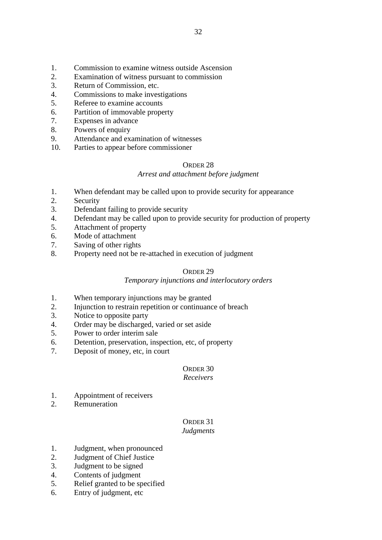- 1. Commission to examine witness outside Ascension
- 2. Examination of witness pursuant to commission
- 3. Return of Commission, etc.
- 4. Commissions to make investigations
- 5. Referee to examine accounts
- 6. Partition of immovable property
- 7. Expenses in advance
- 8. Powers of enquiry
- 9. Attendance and examination of witnesses
- 10. Parties to appear before commissioner

# *Arrest and attachment before judgment*

- 1. When defendant may be called upon to provide security for appearance
- 2. Security
- 3. Defendant failing to provide security
- 4. Defendant may be called upon to provide security for production of property
- 5. Attachment of property
- 6. Mode of attachment
- 7. Saving of other rights
- 8. Property need not be re-attached in execution of judgment

# ORDER 29

# *Temporary injunctions and interlocutory orders*

- 1. When temporary injunctions may be granted
- 2. Injunction to restrain repetition or continuance of breach
- 3. Notice to opposite party
- 4. Order may be discharged, varied or set aside
- 5. Power to order interim sale
- 6. Detention, preservation, inspection, etc, of property
- 7. Deposit of money, etc, in court

# ORDER 30

# *Receivers*

- 1. Appointment of receivers
- 2. Remuneration

# ORDER 31 *Judgments*

- 1. Judgment, when pronounced
- 2. Judgment of Chief Justice
- 3. Judgment to be signed
- 4. Contents of judgment
- 5. Relief granted to be specified
- 6. Entry of judgment, etc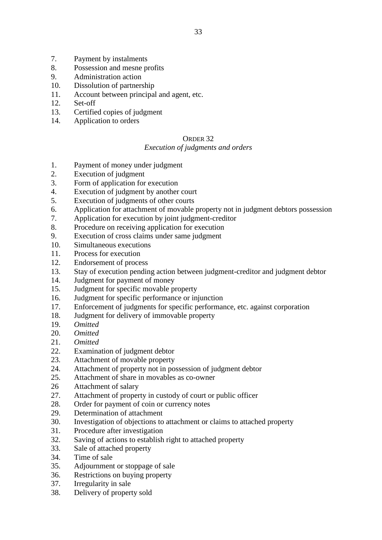- 7. Payment by instalments
- 8. Possession and mesne profits
- 9. Administration action
- 10. Dissolution of partnership
- 11. Account between principal and agent, etc.
- 12. Set-off
- 13. Certified copies of judgment
- 14. Application to orders

# *Execution of judgments and orders*

- 1. Payment of money under judgment
- 2. Execution of judgment
- 3. Form of application for execution
- 4. Execution of judgment by another court
- 5. Execution of judgments of other courts
- 6. Application for attachment of movable property not in judgment debtors possession
- 7. Application for execution by joint judgment-creditor
- 8. Procedure on receiving application for execution
- 9. Execution of cross claims under same judgment
- 10. Simultaneous executions
- 11. Process for execution
- 12. Endorsement of process
- 13. Stay of execution pending action between judgment-creditor and judgment debtor
- 14. Judgment for payment of money
- 15. Judgment for specific movable property
- 16. Judgment for specific performance or injunction
- 17. Enforcement of judgments for specific performance, etc. against corporation
- 18. Judgment for delivery of immovable property
- 19. *Omitted*
- 20. *Omitted*
- 21. *Omitted*
- 22. Examination of judgment debtor
- 23. Attachment of movable property
- 24. Attachment of property not in possession of judgment debtor
- 25. Attachment of share in movables as co-owner
- 26 Attachment of salary
- 27. Attachment of property in custody of court or public officer
- 28. Order for payment of coin or currency notes
- 29. Determination of attachment
- 30. Investigation of objections to attachment or claims to attached property
- 31. Procedure after investigation
- 32. Saving of actions to establish right to attached property
- 33. Sale of attached property
- 34. Time of sale
- 35. Adjournment or stoppage of sale
- 36. Restrictions on buying property
- 37. Irregularity in sale
- 38. Delivery of property sold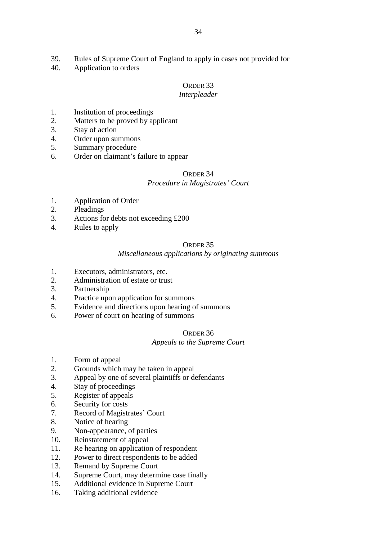- 39. Rules of Supreme Court of England to apply in cases not provided for
- 40. Application to orders

### *Interpleader*

- 1. Institution of proceedings
- 2. Matters to be proved by applicant
- 3. Stay of action
- 4. Order upon summons
- 5. Summary procedure
- 6. Order on claimant's failure to appear

# ORDER 34

### *Procedure in Magistrates' Court*

- 1. Application of Order
- 2. Pleadings
- 3. Actions for debts not exceeding £200
- 4. Rules to apply

#### ORDER 35

### *Miscellaneous applications by originating summons*

- 1. Executors, administrators, etc.
- 2. Administration of estate or trust
- 3. Partnership
- 4. Practice upon application for summons
- 5. Evidence and directions upon hearing of summons
- 6. Power of court on hearing of summons

#### ORDER 36

#### *Appeals to the Supreme Court*

- 1. Form of appeal
- 2. Grounds which may be taken in appeal
- 3. Appeal by one of several plaintiffs or defendants
- 4. Stay of proceedings
- 5. Register of appeals
- 6. Security for costs
- 7. Record of Magistrates' Court
- 8. Notice of hearing
- 9. Non-appearance, of parties
- 10. Reinstatement of appeal
- 11. Re hearing on application of respondent
- 12. Power to direct respondents to be added
- 13. Remand by Supreme Court
- 14. Supreme Court, may determine case finally
- 15. Additional evidence in Supreme Court
- 16. Taking additional evidence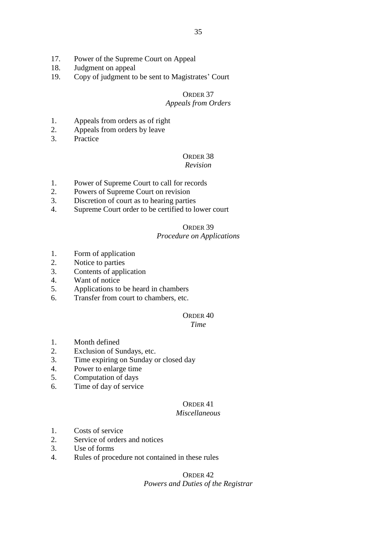- 17. Power of the Supreme Court on Appeal
- 18. Judgment on appeal
- 19. Copy of judgment to be sent to Magistrates' Court

# *Appeals from Orders*

- 1. Appeals from orders as of right
- 2. Appeals from orders by leave
- 3. Practice

# ORDER 38

### *Revision*

- 1. Power of Supreme Court to call for records
- 2. Powers of Supreme Court on revision
- 3. Discretion of court as to hearing parties
- 4. Supreme Court order to be certified to lower court

# ORDER 39

#### *Procedure on Applications*

- 1. Form of application
- 2. Notice to parties
- 3. Contents of application
- 4. Want of notice
- 5. Applications to be heard in chambers
- 6. Transfer from court to chambers, etc.

# ORDER 40

### *Time*

- 1. Month defined
- 2. Exclusion of Sundays, etc.
- 3. Time expiring on Sunday or closed day
- 4. Power to enlarge time
- 5. Computation of days
- 6. Time of day of service

# ORDER 41

# *Miscellaneous*

- 1. Costs of service
- 2. Service of orders and notices
- 3. Use of forms
- 4. Rules of procedure not contained in these rules

# ORDER 42 *Powers and Duties of the Registrar*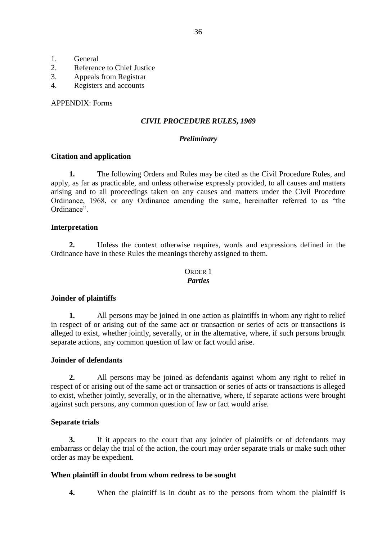- 1. General
- 2. Reference to Chief Justice
- 3. Appeals from Registrar
- 4. Registers and accounts

# APPENDIX: Forms

# *CIVIL PROCEDURE RULES, 1969*

# *Preliminary*

# **Citation and application**

**1.** The following Orders and Rules may be cited as the Civil Procedure Rules, and apply, as far as practicable, and unless otherwise expressly provided, to all causes and matters arising and to all proceedings taken on any causes and matters under the Civil Procedure Ordinance, 1968, or any Ordinance amending the same, hereinafter referred to as "the Ordinance".

### **Interpretation**

**2.** Unless the context otherwise requires, words and expressions defined in the Ordinance have in these Rules the meanings thereby assigned to them.

#### ORDER 1 *Parties*

# **Joinder of plaintiffs**

**1.** All persons may be joined in one action as plaintiffs in whom any right to relief in respect of or arising out of the same act or transaction or series of acts or transactions is alleged to exist, whether jointly, severally, or in the alternative, where, if such persons brought separate actions, any common question of law or fact would arise.

# **Joinder of defendants**

**2.** All persons may be joined as defendants against whom any right to relief in respect of or arising out of the same act or transaction or series of acts or transactions is alleged to exist, whether jointly, severally, or in the alternative, where, if separate actions were brought against such persons, any common question of law or fact would arise.

# **Separate trials**

**3.** If it appears to the court that any joinder of plaintiffs or of defendants may embarrass or delay the trial of the action, the court may order separate trials or make such other order as may be expedient.

# **When plaintiff in doubt from whom redress to be sought**

**4.** When the plaintiff is in doubt as to the persons from whom the plaintiff is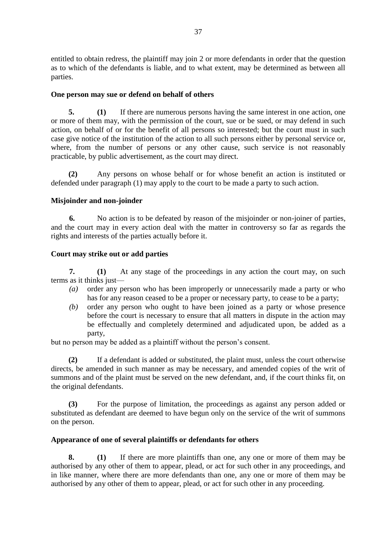entitled to obtain redress, the plaintiff may join 2 or more defendants in order that the question as to which of the defendants is liable, and to what extent, may be determined as between all parties.

### **One person may sue or defend on behalf of others**

**5. (1)** If there are numerous persons having the same interest in one action, one or more of them may, with the permission of the court, sue or be sued, or may defend in such action, on behalf of or for the benefit of all persons so interested; but the court must in such case give notice of the institution of the action to all such persons either by personal service or, where, from the number of persons or any other cause, such service is not reasonably practicable, by public advertisement, as the court may direct.

**(2)** Any persons on whose behalf or for whose benefit an action is instituted or defended under paragraph (1) may apply to the court to be made a party to such action.

### **Misjoinder and non-joinder**

**6.** No action is to be defeated by reason of the misjoinder or non-joiner of parties, and the court may in every action deal with the matter in controversy so far as regards the rights and interests of the parties actually before it.

### **Court may strike out or add parties**

**7. (1)** At any stage of the proceedings in any action the court may, on such terms as it thinks just—

- *(a)* order any person who has been improperly or unnecessarily made a party or who has for any reason ceased to be a proper or necessary party, to cease to be a party;
- *(b)* order any person who ought to have been joined as a party or whose presence before the court is necessary to ensure that all matters in dispute in the action may be effectually and completely determined and adjudicated upon, be added as a party,

but no person may be added as a plaintiff without the person's consent.

**(2)** If a defendant is added or substituted, the plaint must, unless the court otherwise directs, be amended in such manner as may be necessary, and amended copies of the writ of summons and of the plaint must be served on the new defendant, and, if the court thinks fit, on the original defendants.

**(3)** For the purpose of limitation, the proceedings as against any person added or substituted as defendant are deemed to have begun only on the service of the writ of summons on the person.

#### **Appearance of one of several plaintiffs or defendants for others**

**8. (1)** If there are more plaintiffs than one, any one or more of them may be authorised by any other of them to appear, plead, or act for such other in any proceedings, and in like manner, where there are more defendants than one, any one or more of them may be authorised by any other of them to appear, plead, or act for such other in any proceeding.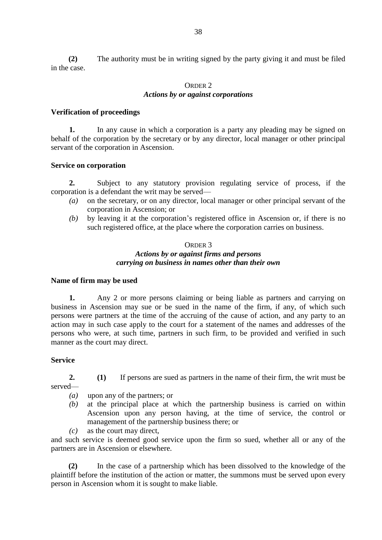**(2)** The authority must be in writing signed by the party giving it and must be filed in the case.

# ORDER 2 *Actions by or against corporations*

### **Verification of proceedings**

**1.** In any cause in which a corporation is a party any pleading may be signed on behalf of the corporation by the secretary or by any director, local manager or other principal servant of the corporation in Ascension.

### **Service on corporation**

**2.** Subject to any statutory provision regulating service of process, if the corporation is a defendant the writ may be served—

- *(a)* on the secretary, or on any director, local manager or other principal servant of the corporation in Ascension; or
- *(b)* by leaving it at the corporation's registered office in Ascension or, if there is no such registered office, at the place where the corporation carries on business.

#### ORDER 3

# *Actions by or against firms and persons carrying on business in names other than their own*

#### **Name of firm may be used**

**1.** Any 2 or more persons claiming or being liable as partners and carrying on business in Ascension may sue or be sued in the name of the firm, if any, of which such persons were partners at the time of the accruing of the cause of action, and any party to an action may in such case apply to the court for a statement of the names and addresses of the persons who were, at such time, partners in such firm, to be provided and verified in such manner as the court may direct.

### **Service**

served—

**2. (1)** If persons are sued as partners in the name of their firm, the writ must be

*(a)* upon any of the partners; or

- *(b)* at the principal place at which the partnership business is carried on within Ascension upon any person having, at the time of service, the control or management of the partnership business there; or
- *(c)* as the court may direct,

and such service is deemed good service upon the firm so sued, whether all or any of the partners are in Ascension or elsewhere.

**(2)** In the case of a partnership which has been dissolved to the knowledge of the plaintiff before the institution of the action or matter, the summons must be served upon every person in Ascension whom it is sought to make liable.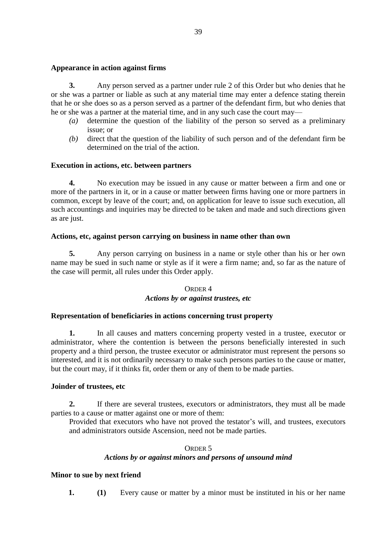### **Appearance in action against firms**

**3.** Any person served as a partner under rule 2 of this Order but who denies that he or she was a partner or liable as such at any material time may enter a defence stating therein that he or she does so as a person served as a partner of the defendant firm, but who denies that he or she was a partner at the material time, and in any such case the court may—

- *(a)* determine the question of the liability of the person so served as a preliminary issue; or
- *(b)* direct that the question of the liability of such person and of the defendant firm be determined on the trial of the action.

### **Execution in actions, etc. between partners**

**4.** No execution may be issued in any cause or matter between a firm and one or more of the partners in it, or in a cause or matter between firms having one or more partners in common, except by leave of the court; and, on application for leave to issue such execution, all such accountings and inquiries may be directed to be taken and made and such directions given as are just.

### **Actions, etc, against person carrying on business in name other than own**

**5.** Any person carrying on business in a name or style other than his or her own name may be sued in such name or style as if it were a firm name; and, so far as the nature of the case will permit, all rules under this Order apply.

#### ORDER 4

#### *Actions by or against trustees, etc*

#### **Representation of beneficiaries in actions concerning trust property**

**1.** In all causes and matters concerning property vested in a trustee, executor or administrator, where the contention is between the persons beneficially interested in such property and a third person, the trustee executor or administrator must represent the persons so interested, and it is not ordinarily necessary to make such persons parties to the cause or matter, but the court may, if it thinks fit, order them or any of them to be made parties.

#### **Joinder of trustees, etc**

**2.** If there are several trustees, executors or administrators, they must all be made parties to a cause or matter against one or more of them:

Provided that executors who have not proved the testator's will, and trustees, executors and administrators outside Ascension, need not be made parties.

#### ORDER 5

### *Actions by or against minors and persons of unsound mind*

#### **Minor to sue by next friend**

**1. (1)** Every cause or matter by a minor must be instituted in his or her name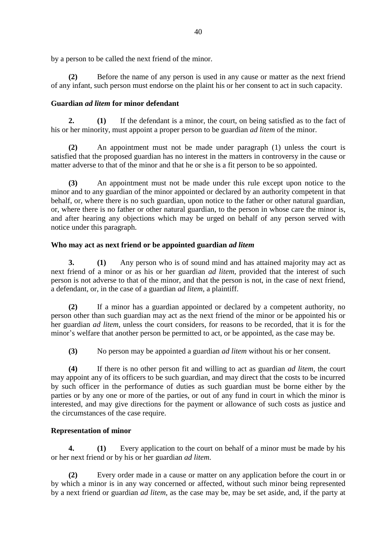by a person to be called the next friend of the minor.

**(2)** Before the name of any person is used in any cause or matter as the next friend of any infant, such person must endorse on the plaint his or her consent to act in such capacity.

# **Guardian** *ad litem* **for minor defendant**

**2. (1)** If the defendant is a minor, the court, on being satisfied as to the fact of his or her minority, must appoint a proper person to be guardian *ad litem* of the minor.

**(2)** An appointment must not be made under paragraph (1) unless the court is satisfied that the proposed guardian has no interest in the matters in controversy in the cause or matter adverse to that of the minor and that he or she is a fit person to be so appointed.

**(3)** An appointment must not be made under this rule except upon notice to the minor and to any guardian of the minor appointed or declared by an authority competent in that behalf, or, where there is no such guardian, upon notice to the father or other natural guardian, or, where there is no father or other natural guardian, to the person in whose care the minor is, and after hearing any objections which may be urged on behalf of any person served with notice under this paragraph.

# **Who may act as next friend or be appointed guardian** *ad litem*

**3. (1)** Any person who is of sound mind and has attained majority may act as next friend of a minor or as his or her guardian *ad litem*, provided that the interest of such person is not adverse to that of the minor, and that the person is not, in the case of next friend, a defendant, or, in the case of a guardian *ad litem*, a plaintiff.

**(2)** If a minor has a guardian appointed or declared by a competent authority, no person other than such guardian may act as the next friend of the minor or be appointed his or her guardian *ad litem*, unless the court considers, for reasons to be recorded, that it is for the minor's welfare that another person be permitted to act, or be appointed, as the case may be.

**(3)** No person may be appointed a guardian *ad litem* without his or her consent.

**(4)** If there is no other person fit and willing to act as guardian *ad litem*, the court may appoint any of its officers to be such guardian, and may direct that the costs to be incurred by such officer in the performance of duties as such guardian must be borne either by the parties or by any one or more of the parties, or out of any fund in court in which the minor is interested, and may give directions for the payment or allowance of such costs as justice and the circumstances of the case require.

# **Representation of minor**

**4. (1)** Every application to the court on behalf of a minor must be made by his or her next friend or by his or her guardian *ad litem*.

**(2)** Every order made in a cause or matter on any application before the court in or by which a minor is in any way concerned or affected, without such minor being represented by a next friend or guardian *ad litem*, as the case may be, may be set aside, and, if the party at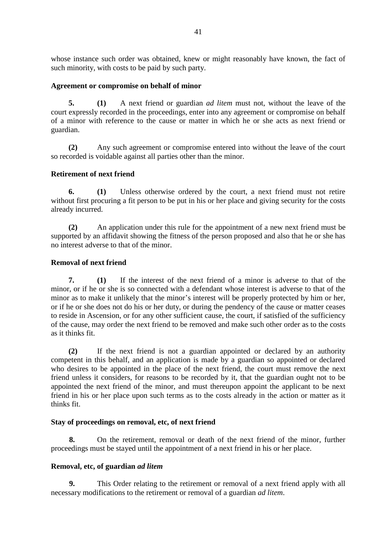whose instance such order was obtained, knew or might reasonably have known, the fact of such minority, with costs to be paid by such party.

### **Agreement or compromise on behalf of minor**

**5. (1)** A next friend or guardian *ad litem* must not, without the leave of the court expressly recorded in the proceedings, enter into any agreement or compromise on behalf of a minor with reference to the cause or matter in which he or she acts as next friend or guardian.

**(2)** Any such agreement or compromise entered into without the leave of the court so recorded is voidable against all parties other than the minor.

# **Retirement of next friend**

**6. (1)** Unless otherwise ordered by the court, a next friend must not retire without first procuring a fit person to be put in his or her place and giving security for the costs already incurred.

**(2)** An application under this rule for the appointment of a new next friend must be supported by an affidavit showing the fitness of the person proposed and also that he or she has no interest adverse to that of the minor.

### **Removal of next friend**

**7. (1)** If the interest of the next friend of a minor is adverse to that of the minor, or if he or she is so connected with a defendant whose interest is adverse to that of the minor as to make it unlikely that the minor's interest will be properly protected by him or her, or if he or she does not do his or her duty, or during the pendency of the cause or matter ceases to reside in Ascension, or for any other sufficient cause, the court, if satisfied of the sufficiency of the cause, may order the next friend to be removed and make such other order as to the costs as it thinks fit.

**(2)** If the next friend is not a guardian appointed or declared by an authority competent in this behalf, and an application is made by a guardian so appointed or declared who desires to be appointed in the place of the next friend, the court must remove the next friend unless it considers, for reasons to be recorded by it, that the guardian ought not to be appointed the next friend of the minor, and must thereupon appoint the applicant to be next friend in his or her place upon such terms as to the costs already in the action or matter as it thinks fit.

### **Stay of proceedings on removal, etc, of next friend**

**8.** On the retirement, removal or death of the next friend of the minor, further proceedings must be stayed until the appointment of a next friend in his or her place.

### **Removal, etc, of guardian** *ad litem*

**9.** This Order relating to the retirement or removal of a next friend apply with all necessary modifications to the retirement or removal of a guardian *ad litem*.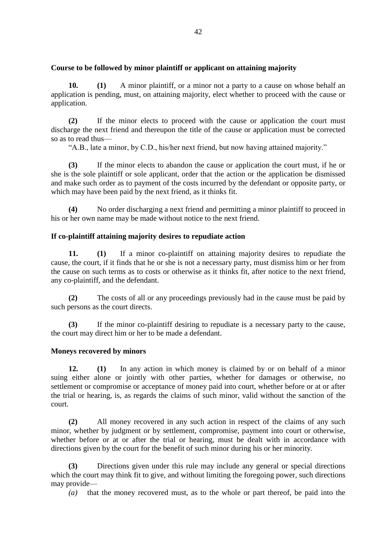### **Course to be followed by minor plaintiff or applicant on attaining majority**

**10. (1)** A minor plaintiff, or a minor not a party to a cause on whose behalf an application is pending, must, on attaining majority, elect whether to proceed with the cause or application.

**(2)** If the minor elects to proceed with the cause or application the court must discharge the next friend and thereupon the title of the cause or application must be corrected so as to read thus—

"A.B., late a minor, by C.D., his/her next friend, but now having attained majority."

**(3)** If the minor elects to abandon the cause or application the court must, if he or she is the sole plaintiff or sole applicant, order that the action or the application be dismissed and make such order as to payment of the costs incurred by the defendant or opposite party, or which may have been paid by the next friend, as it thinks fit.

**(4)** No order discharging a next friend and permitting a minor plaintiff to proceed in his or her own name may be made without notice to the next friend.

# **If co-plaintiff attaining majority desires to repudiate action**

**11. (1)** If a minor co-plaintiff on attaining majority desires to repudiate the cause, the court, if it finds that he or she is not a necessary party, must dismiss him or her from the cause on such terms as to costs or otherwise as it thinks fit, after notice to the next friend, any co-plaintiff, and the defendant.

**(2)** The costs of all or any proceedings previously had in the cause must be paid by such persons as the court directs.

**(3)** If the minor co-plaintiff desiring to repudiate is a necessary party to the cause, the court may direct him or her to be made a defendant.

### **Moneys recovered by minors**

**12. (1)** In any action in which money is claimed by or on behalf of a minor suing either alone or jointly with other parties, whether for damages or otherwise, no settlement or compromise or acceptance of money paid into court, whether before or at or after the trial or hearing, is, as regards the claims of such minor, valid without the sanction of the court.

**(2)** All money recovered in any such action in respect of the claims of any such minor, whether by judgment or by settlement, compromise, payment into court or otherwise, whether before or at or after the trial or hearing, must be dealt with in accordance with directions given by the court for the benefit of such minor during his or her minority.

**(3)** Directions given under this rule may include any general or special directions which the court may think fit to give, and without limiting the foregoing power, such directions may provide—

*(a)* that the money recovered must, as to the whole or part thereof, be paid into the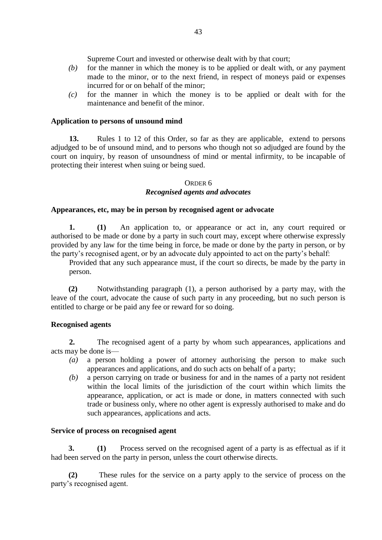Supreme Court and invested or otherwise dealt with by that court;

- *(b)* for the manner in which the money is to be applied or dealt with, or any payment made to the minor, or to the next friend, in respect of moneys paid or expenses incurred for or on behalf of the minor;
- *(c)* for the manner in which the money is to be applied or dealt with for the maintenance and benefit of the minor.

# **Application to persons of unsound mind**

**13.** Rules 1 to 12 of this Order, so far as they are applicable, extend to persons adjudged to be of unsound mind, and to persons who though not so adjudged are found by the court on inquiry, by reason of unsoundness of mind or mental infirmity, to be incapable of protecting their interest when suing or being sued.

# ORDER 6

# *Recognised agents and advocates*

### **Appearances, etc, may be in person by recognised agent or advocate**

**1. (1)** An application to, or appearance or act in, any court required or authorised to be made or done by a party in such court may, except where otherwise expressly provided by any law for the time being in force, be made or done by the party in person, or by the party's recognised agent, or by an advocate duly appointed to act on the party's behalf:

Provided that any such appearance must, if the court so directs, be made by the party in person.

**(2)** Notwithstanding paragraph (1), a person authorised by a party may, with the leave of the court, advocate the cause of such party in any proceeding, but no such person is entitled to charge or be paid any fee or reward for so doing.

### **Recognised agents**

**2.** The recognised agent of a party by whom such appearances, applications and acts may be done is—

- *(a)* a person holding a power of attorney authorising the person to make such appearances and applications, and do such acts on behalf of a party;
- *(b)* a person carrying on trade or business for and in the names of a party not resident within the local limits of the jurisdiction of the court within which limits the appearance, application, or act is made or done, in matters connected with such trade or business only, where no other agent is expressly authorised to make and do such appearances, applications and acts.

### **Service of process on recognised agent**

**3. (1)** Process served on the recognised agent of a party is as effectual as if it had been served on the party in person, unless the court otherwise directs.

**(2)** These rules for the service on a party apply to the service of process on the party's recognised agent.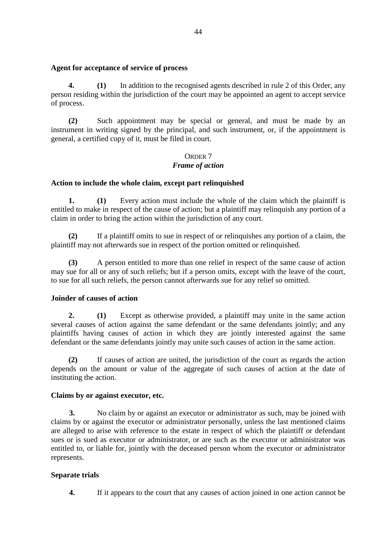### **Agent for acceptance of service of process**

**4. (1)** In addition to the recognised agents described in rule 2 of this Order, any person residing within the jurisdiction of the court may be appointed an agent to accept service of process.

**(2)** Such appointment may be special or general, and must be made by an instrument in writing signed by the principal, and such instrument, or, if the appointment is general, a certified copy of it, must be filed in court.

# ORDER 7 *Frame of action*

### **Action to include the whole claim, except part relinquished**

**1. (1)** Every action must include the whole of the claim which the plaintiff is entitled to make in respect of the cause of action; but a plaintiff may relinquish any portion of a claim in order to bring the action within the jurisdiction of any court.

**(2)** If a plaintiff omits to sue in respect of or relinquishes any portion of a claim, the plaintiff may not afterwards sue in respect of the portion omitted or relinquished.

**(3)** A person entitled to more than one relief in respect of the same cause of action may sue for all or any of such reliefs; but if a person omits, except with the leave of the court, to sue for all such reliefs, the person cannot afterwards sue for any relief so omitted.

#### **Joinder of causes of action**

**2. (1)** Except as otherwise provided, a plaintiff may unite in the same action several causes of action against the same defendant or the same defendants jointly; and any plaintiffs having causes of action in which they are jointly interested against the same defendant or the same defendants jointly may unite such causes of action in the same action.

**(2)** If causes of action are united, the jurisdiction of the court as regards the action depends on the amount or value of the aggregate of such causes of action at the date of instituting the action.

#### **Claims by or against executor, etc.**

**3.** No claim by or against an executor or administrator as such, may be joined with claims by or against the executor or administrator personally, unless the last mentioned claims are alleged to arise with reference to the estate in respect of which the plaintiff or defendant sues or is sued as executor or administrator, or are such as the executor or administrator was entitled to, or liable for, jointly with the deceased person whom the executor or administrator represents.

### **Separate trials**

**4.** If it appears to the court that any causes of action joined in one action cannot be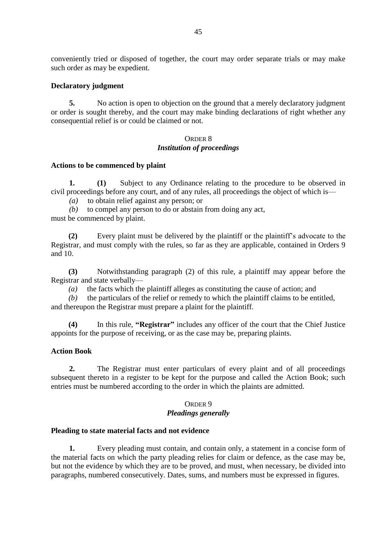conveniently tried or disposed of together, the court may order separate trials or may make such order as may be expedient.

### **Declaratory judgment**

**5.** No action is open to objection on the ground that a merely declaratory judgment or order is sought thereby, and the court may make binding declarations of right whether any consequential relief is or could be claimed or not.

### ORDER 8 *Institution of proceedings*

### **Actions to be commenced by plaint**

**1. (1)** Subject to any Ordinance relating to the procedure to be observed in civil proceedings before any court, and of any rules, all proceedings the object of which is—

*(a)* to obtain relief against any person; or

*(b)* to compel any person to do or abstain from doing any act, must be commenced by plaint.

**(2)** Every plaint must be delivered by the plaintiff or the plaintiff's advocate to the Registrar, and must comply with the rules, so far as they are applicable, contained in Orders 9 and 10.

**(3)** Notwithstanding paragraph (2) of this rule, a plaintiff may appear before the Registrar and state verbally—

*(a)* the facts which the plaintiff alleges as constituting the cause of action; and

*(b)* the particulars of the relief or remedy to which the plaintiff claims to be entitled, and thereupon the Registrar must prepare a plaint for the plaintiff.

**(4)** In this rule, **"Registrar"** includes any officer of the court that the Chief Justice appoints for the purpose of receiving, or as the case may be, preparing plaints.

### **Action Book**

**2.** The Registrar must enter particulars of every plaint and of all proceedings subsequent thereto in a register to be kept for the purpose and called the Action Book; such entries must be numbered according to the order in which the plaints are admitted.

# ORDER 9 *Pleadings generally*

#### **Pleading to state material facts and not evidence**

**1.** Every pleading must contain, and contain only, a statement in a concise form of the material facts on which the party pleading relies for claim or defence, as the case may be, but not the evidence by which they are to be proved, and must, when necessary, be divided into paragraphs, numbered consecutively. Dates, sums, and numbers must be expressed in figures.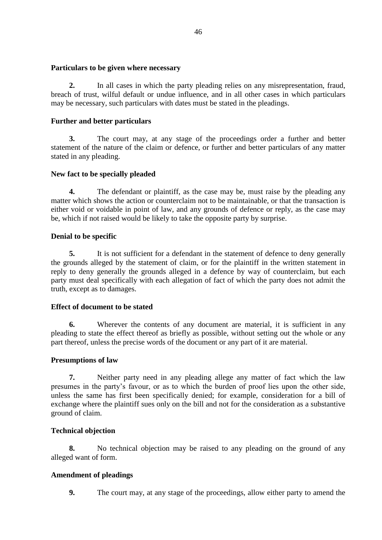# **Particulars to be given where necessary**

**2.** In all cases in which the party pleading relies on any misrepresentation, fraud, breach of trust, wilful default or undue influence, and in all other cases in which particulars may be necessary, such particulars with dates must be stated in the pleadings.

# **Further and better particulars**

**3.** The court may, at any stage of the proceedings order a further and better statement of the nature of the claim or defence, or further and better particulars of any matter stated in any pleading.

# **New fact to be specially pleaded**

**4.** The defendant or plaintiff, as the case may be, must raise by the pleading any matter which shows the action or counterclaim not to be maintainable, or that the transaction is either void or voidable in point of law, and any grounds of defence or reply, as the case may be, which if not raised would be likely to take the opposite party by surprise.

# **Denial to be specific**

**5.** It is not sufficient for a defendant in the statement of defence to deny generally the grounds alleged by the statement of claim, or for the plaintiff in the written statement in reply to deny generally the grounds alleged in a defence by way of counterclaim, but each party must deal specifically with each allegation of fact of which the party does not admit the truth, except as to damages.

# **Effect of document to be stated**

**6.** Wherever the contents of any document are material, it is sufficient in any pleading to state the effect thereof as briefly as possible, without setting out the whole or any part thereof, unless the precise words of the document or any part of it are material.

# **Presumptions of law**

**7.** Neither party need in any pleading allege any matter of fact which the law presumes in the party's favour, or as to which the burden of proof lies upon the other side, unless the same has first been specifically denied; for example, consideration for a bill of exchange where the plaintiff sues only on the bill and not for the consideration as a substantive ground of claim.

# **Technical objection**

**8.** No technical objection may be raised to any pleading on the ground of any alleged want of form.

# **Amendment of pleadings**

**9.** The court may, at any stage of the proceedings, allow either party to amend the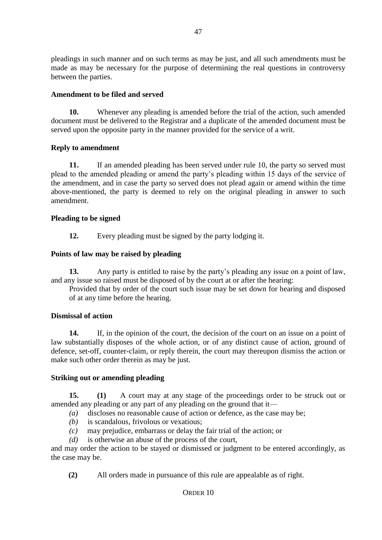pleadings in such manner and on such terms as may be just, and all such amendments must be made as may be necessary for the purpose of determining the real questions in controversy between the parties.

# **Amendment to be filed and served**

**10.** Whenever any pleading is amended before the trial of the action, such amended document must be delivered to the Registrar and a duplicate of the amended document must be served upon the opposite party in the manner provided for the service of a writ.

# **Reply to amendment**

**11.** If an amended pleading has been served under rule 10, the party so served must plead to the amended pleading or amend the party's pleading within 15 days of the service of the amendment, and in case the party so served does not plead again or amend within the time above-mentioned, the party is deemed to rely on the original pleading in answer to such amendment.

# **Pleading to be signed**

**12.** Every pleading must be signed by the party lodging it.

# **Points of law may be raised by pleading**

**13.** Any party is entitled to raise by the party's pleading any issue on a point of law, and any issue so raised must be disposed of by the court at or after the hearing:

Provided that by order of the court such issue may be set down for hearing and disposed of at any time before the hearing.

### **Dismissal of action**

**14.** If, in the opinion of the court, the decision of the court on an issue on a point of law substantially disposes of the whole action, or of any distinct cause of action, ground of defence, set-off, counter-claim, or reply therein, the court may thereupon dismiss the action or make such other order therein as may be just.

### **Striking out or amending pleading**

**15. (1)** A court may at any stage of the proceedings order to be struck out or amended any pleading or any part of any pleading on the ground that it—

- *(a)* discloses no reasonable cause of action or defence, as the case may be;
- *(b)* is scandalous, frivolous or vexatious;
- *(c)* may prejudice, embarrass or delay the fair trial of the action; or
- *(d)* is otherwise an abuse of the process of the court,

and may order the action to be stayed or dismissed or judgment to be entered accordingly, as the case may be.

**(2)** All orders made in pursuance of this rule are appealable as of right.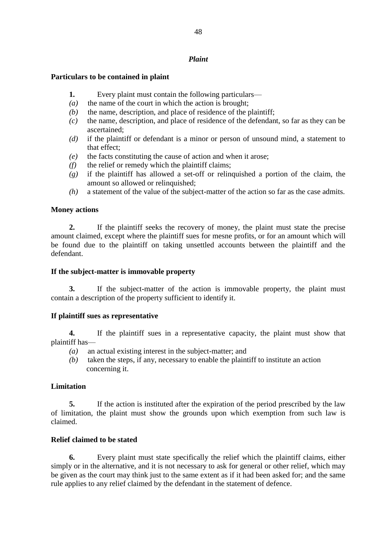# *Plaint*

# **Particulars to be contained in plaint**

- **1.** Every plaint must contain the following particulars—
- *(a)* the name of the court in which the action is brought;
- *(b)* the name, description, and place of residence of the plaintiff;
- *(c)* the name, description, and place of residence of the defendant, so far as they can be ascertained;
- *(d)* if the plaintiff or defendant is a minor or person of unsound mind, a statement to that effect;
- *(e)* the facts constituting the cause of action and when it arose;
- *(f)* the relief or remedy which the plaintiff claims;
- *(g)* if the plaintiff has allowed a set-off or relinquished a portion of the claim, the amount so allowed or relinquished;
- *(h)* a statement of the value of the subject-matter of the action so far as the case admits.

# **Money actions**

**2.** If the plaintiff seeks the recovery of money, the plaint must state the precise amount claimed, except where the plaintiff sues for mesne profits, or for an amount which will be found due to the plaintiff on taking unsettled accounts between the plaintiff and the defendant.

# **If the subject-matter is immovable property**

**3.** If the subject-matter of the action is immovable property, the plaint must contain a description of the property sufficient to identify it.

# **If plaintiff sues as representative**

**4.** If the plaintiff sues in a representative capacity, the plaint must show that plaintiff has—

- *(a)* an actual existing interest in the subject-matter; and
- *(b)* taken the steps, if any, necessary to enable the plaintiff to institute an action concerning it.

### **Limitation**

**5.** If the action is instituted after the expiration of the period prescribed by the law of limitation, the plaint must show the grounds upon which exemption from such law is claimed.

# **Relief claimed to be stated**

**6.** Every plaint must state specifically the relief which the plaintiff claims, either simply or in the alternative, and it is not necessary to ask for general or other relief, which may be given as the court may think just to the same extent as if it had been asked for; and the same rule applies to any relief claimed by the defendant in the statement of defence.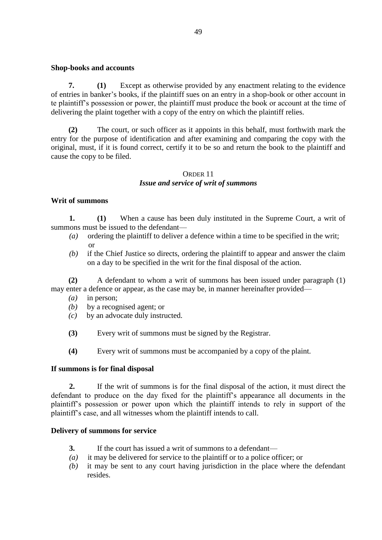### **Shop-books and accounts**

**7. (1)** Except as otherwise provided by any enactment relating to the evidence of entries in banker's books, if the plaintiff sues on an entry in a shop-book or other account in te plaintiff's possession or power, the plaintiff must produce the book or account at the time of delivering the plaint together with a copy of the entry on which the plaintiff relies.

**(2)** The court, or such officer as it appoints in this behalf, must forthwith mark the entry for the purpose of identification and after examining and comparing the copy with the original, must, if it is found correct, certify it to be so and return the book to the plaintiff and cause the copy to be filed.

# ORDER 11 *Issue and service of writ of summons*

### **Writ of summons**

**1. (1)** When a cause has been duly instituted in the Supreme Court, a writ of summons must be issued to the defendant—

- *(a)* ordering the plaintiff to deliver a defence within a time to be specified in the writ; or
- *(b)* if the Chief Justice so directs, ordering the plaintiff to appear and answer the claim on a day to be specified in the writ for the final disposal of the action.

**(2)** A defendant to whom a writ of summons has been issued under paragraph (1) may enter a defence or appear, as the case may be, in manner hereinafter provided—

- *(a)* in person;
- *(b)* by a recognised agent; or
- *(c)* by an advocate duly instructed.
- **(3)** Every writ of summons must be signed by the Registrar.
- **(4)** Every writ of summons must be accompanied by a copy of the plaint.

### **If summons is for final disposal**

**2.** If the writ of summons is for the final disposal of the action, it must direct the defendant to produce on the day fixed for the plaintiff's appearance all documents in the plaintiff's possession or power upon which the plaintiff intends to rely in support of the plaintiff's case, and all witnesses whom the plaintiff intends to call.

#### **Delivery of summons for service**

- **3.** If the court has issued a writ of summons to a defendant—
- *(a)* it may be delivered for service to the plaintiff or to a police officer; or
- *(b)* it may be sent to any court having jurisdiction in the place where the defendant resides.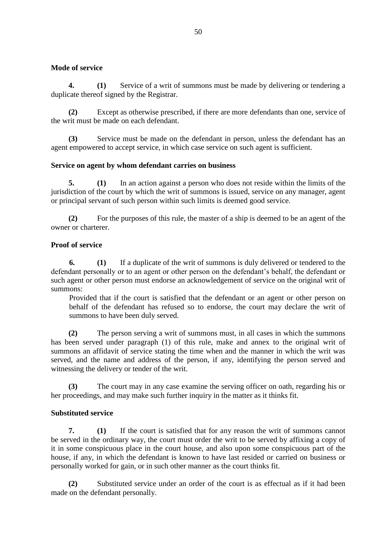# **Mode of service**

**4. (1)** Service of a writ of summons must be made by delivering or tendering a duplicate thereof signed by the Registrar.

**(2)** Except as otherwise prescribed, if there are more defendants than one, service of the writ must be made on each defendant.

**(3)** Service must be made on the defendant in person, unless the defendant has an agent empowered to accept service, in which case service on such agent is sufficient.

# **Service on agent by whom defendant carries on business**

**5. (1)** In an action against a person who does not reside within the limits of the jurisdiction of the court by which the writ of summons is issued, service on any manager, agent or principal servant of such person within such limits is deemed good service.

**(2)** For the purposes of this rule, the master of a ship is deemed to be an agent of the owner or charterer.

# **Proof of service**

**6. (1)** If a duplicate of the writ of summons is duly delivered or tendered to the defendant personally or to an agent or other person on the defendant's behalf, the defendant or such agent or other person must endorse an acknowledgement of service on the original writ of summons:

Provided that if the court is satisfied that the defendant or an agent or other person on behalf of the defendant has refused so to endorse, the court may declare the writ of summons to have been duly served.

**(2)** The person serving a writ of summons must, in all cases in which the summons has been served under paragraph (1) of this rule, make and annex to the original writ of summons an affidavit of service stating the time when and the manner in which the writ was served, and the name and address of the person, if any, identifying the person served and witnessing the delivery or tender of the writ.

**(3)** The court may in any case examine the serving officer on oath, regarding his or her proceedings, and may make such further inquiry in the matter as it thinks fit.

# **Substituted service**

**7. (1)** If the court is satisfied that for any reason the writ of summons cannot be served in the ordinary way, the court must order the writ to be served by affixing a copy of it in some conspicuous place in the court house, and also upon some conspicuous part of the house, if any, in which the defendant is known to have last resided or carried on business or personally worked for gain, or in such other manner as the court thinks fit.

**(2)** Substituted service under an order of the court is as effectual as if it had been made on the defendant personally.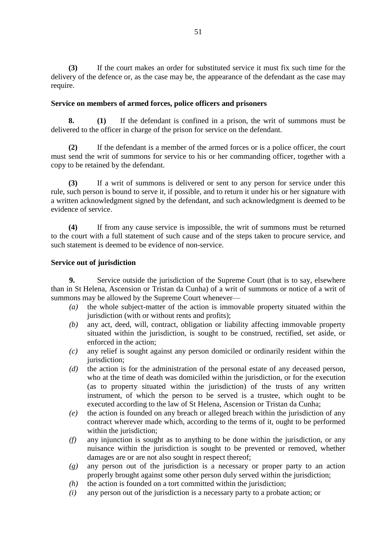**(3)** If the court makes an order for substituted service it must fix such time for the delivery of the defence or, as the case may be, the appearance of the defendant as the case may require.

### **Service on members of armed forces, police officers and prisoners**

**8. (1)** If the defendant is confined in a prison, the writ of summons must be delivered to the officer in charge of the prison for service on the defendant.

**(2)** If the defendant is a member of the armed forces or is a police officer, the court must send the writ of summons for service to his or her commanding officer, together with a copy to be retained by the defendant.

**(3)** If a writ of summons is delivered or sent to any person for service under this rule, such person is bound to serve it, if possible, and to return it under his or her signature with a written acknowledgment signed by the defendant, and such acknowledgment is deemed to be evidence of service.

**(4)** If from any cause service is impossible, the writ of summons must be returned to the court with a full statement of such cause and of the steps taken to procure service, and such statement is deemed to be evidence of non-service.

# **Service out of jurisdiction**

**9.** Service outside the jurisdiction of the Supreme Court (that is to say, elsewhere than in St Helena, Ascension or Tristan da Cunha) of a writ of summons or notice of a writ of summons may be allowed by the Supreme Court whenever—

- *(a)* the whole subject-matter of the action is immovable property situated within the jurisdiction (with or without rents and profits);
- *(b)* any act, deed, will, contract, obligation or liability affecting immovable property situated within the jurisdiction, is sought to be construed, rectified, set aside, or enforced in the action;
- *(c)* any relief is sought against any person domiciled or ordinarily resident within the jurisdiction;
- *(d)* the action is for the administration of the personal estate of any deceased person, who at the time of death was domiciled within the jurisdiction, or for the execution (as to property situated within the jurisdiction) of the trusts of any written instrument, of which the person to be served is a trustee, which ought to be executed according to the law of St Helena, Ascension or Tristan da Cunha;
- *(e)* the action is founded on any breach or alleged breach within the jurisdiction of any contract wherever made which, according to the terms of it, ought to be performed within the jurisdiction;
- *(f)* any injunction is sought as to anything to be done within the jurisdiction, or any nuisance within the jurisdiction is sought to be prevented or removed, whether damages are or are not also sought in respect thereof;
- *(g)* any person out of the jurisdiction is a necessary or proper party to an action properly brought against some other person duly served within the jurisdiction;
- *(h)* the action is founded on a tort committed within the jurisdiction;
- *(i)* any person out of the jurisdiction is a necessary party to a probate action; or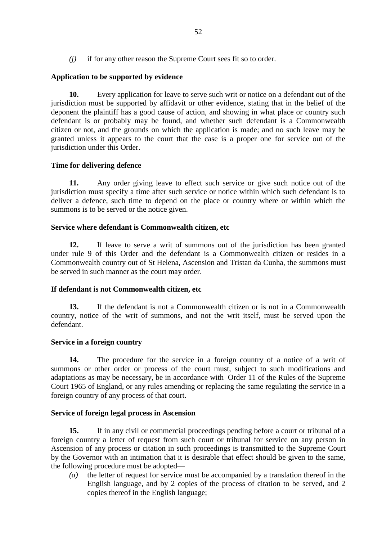*(j)* if for any other reason the Supreme Court sees fit so to order.

# **Application to be supported by evidence**

**10.** Every application for leave to serve such writ or notice on a defendant out of the jurisdiction must be supported by affidavit or other evidence, stating that in the belief of the deponent the plaintiff has a good cause of action, and showing in what place or country such defendant is or probably may be found, and whether such defendant is a Commonwealth citizen or not, and the grounds on which the application is made; and no such leave may be granted unless it appears to the court that the case is a proper one for service out of the jurisdiction under this Order.

# **Time for delivering defence**

**11.** Any order giving leave to effect such service or give such notice out of the jurisdiction must specify a time after such service or notice within which such defendant is to deliver a defence, such time to depend on the place or country where or within which the summons is to be served or the notice given.

### **Service where defendant is Commonwealth citizen, etc**

**12.** If leave to serve a writ of summons out of the jurisdiction has been granted under rule 9 of this Order and the defendant is a Commonwealth citizen or resides in a Commonwealth country out of St Helena, Ascension and Tristan da Cunha, the summons must be served in such manner as the court may order.

### **If defendant is not Commonwealth citizen, etc**

**13.** If the defendant is not a Commonwealth citizen or is not in a Commonwealth country, notice of the writ of summons, and not the writ itself, must be served upon the defendant.

### **Service in a foreign country**

**14.** The procedure for the service in a foreign country of a notice of a writ of summons or other order or process of the court must, subject to such modifications and adaptations as may be necessary, be in accordance with Order 11 of the Rules of the Supreme Court 1965 of England, or any rules amending or replacing the same regulating the service in a foreign country of any process of that court.

### **Service of foreign legal process in Ascension**

**15.** If in any civil or commercial proceedings pending before a court or tribunal of a foreign country a letter of request from such court or tribunal for service on any person in Ascension of any process or citation in such proceedings is transmitted to the Supreme Court by the Governor with an intimation that it is desirable that effect should be given to the same, the following procedure must be adopted—

*(a)* the letter of request for service must be accompanied by a translation thereof in the English language, and by 2 copies of the process of citation to be served, and 2 copies thereof in the English language;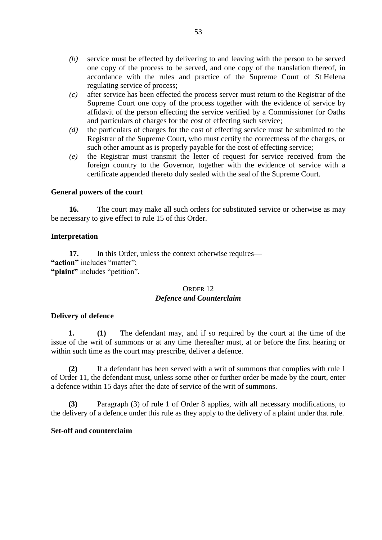- *(b)* service must be effected by delivering to and leaving with the person to be served one copy of the process to be served, and one copy of the translation thereof, in accordance with the rules and practice of the Supreme Court of St Helena regulating service of process;
- *(c)* after service has been effected the process server must return to the Registrar of the Supreme Court one copy of the process together with the evidence of service by affidavit of the person effecting the service verified by a Commissioner for Oaths and particulars of charges for the cost of effecting such service;
- *(d)* the particulars of charges for the cost of effecting service must be submitted to the Registrar of the Supreme Court, who must certify the correctness of the charges, or such other amount as is properly payable for the cost of effecting service;
- *(e)* the Registrar must transmit the letter of request for service received from the foreign country to the Governor, together with the evidence of service with a certificate appended thereto duly sealed with the seal of the Supreme Court.

### **General powers of the court**

**16.** The court may make all such orders for substituted service or otherwise as may be necessary to give effect to rule 15 of this Order.

#### **Interpretation**

17. In this Order, unless the context otherwise requires— **"action"** includes "matter"; **"plaint"** includes "petition".

### ORDER 12 *Defence and Counterclaim*

#### **Delivery of defence**

**1. (1)** The defendant may, and if so required by the court at the time of the issue of the writ of summons or at any time thereafter must, at or before the first hearing or within such time as the court may prescribe, deliver a defence.

**(2)** If a defendant has been served with a writ of summons that complies with rule 1 of Order 11, the defendant must, unless some other or further order be made by the court, enter a defence within 15 days after the date of service of the writ of summons.

**(3)** Paragraph (3) of rule 1 of Order 8 applies, with all necessary modifications, to the delivery of a defence under this rule as they apply to the delivery of a plaint under that rule.

#### **Set-off and counterclaim**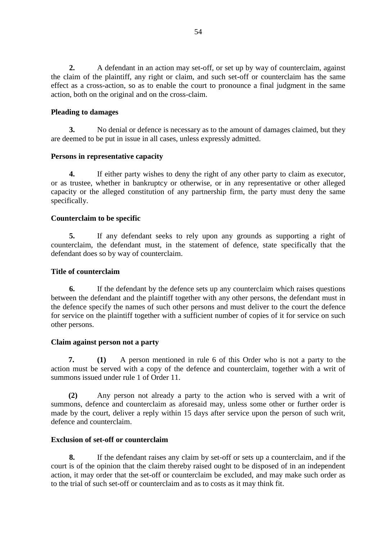**2.** A defendant in an action may set-off, or set up by way of counterclaim, against the claim of the plaintiff, any right or claim, and such set-off or counterclaim has the same effect as a cross-action, so as to enable the court to pronounce a final judgment in the same action, both on the original and on the cross-claim.

# **Pleading to damages**

**3.** No denial or defence is necessary as to the amount of damages claimed, but they are deemed to be put in issue in all cases, unless expressly admitted.

### **Persons in representative capacity**

**4.** If either party wishes to deny the right of any other party to claim as executor, or as trustee, whether in bankruptcy or otherwise, or in any representative or other alleged capacity or the alleged constitution of any partnership firm, the party must deny the same specifically.

# **Counterclaim to be specific**

**5.** If any defendant seeks to rely upon any grounds as supporting a right of counterclaim, the defendant must, in the statement of defence, state specifically that the defendant does so by way of counterclaim.

### **Title of counterclaim**

**6.** If the defendant by the defence sets up any counterclaim which raises questions between the defendant and the plaintiff together with any other persons, the defendant must in the defence specify the names of such other persons and must deliver to the court the defence for service on the plaintiff together with a sufficient number of copies of it for service on such other persons.

### **Claim against person not a party**

**7. (1)** A person mentioned in rule 6 of this Order who is not a party to the action must be served with a copy of the defence and counterclaim, together with a writ of summons issued under rule 1 of Order 11.

**(2)** Any person not already a party to the action who is served with a writ of summons, defence and counterclaim as aforesaid may, unless some other or further order is made by the court, deliver a reply within 15 days after service upon the person of such writ, defence and counterclaim.

# **Exclusion of set-off or counterclaim**

**8.** If the defendant raises any claim by set-off or sets up a counterclaim, and if the court is of the opinion that the claim thereby raised ought to be disposed of in an independent action, it may order that the set-off or counterclaim be excluded, and may make such order as to the trial of such set-off or counterclaim and as to costs as it may think fit.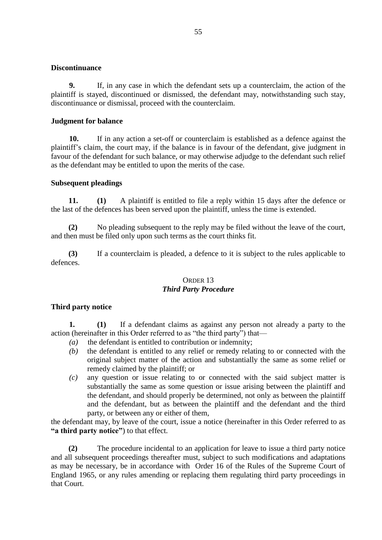### **Discontinuance**

**9.** If, in any case in which the defendant sets up a counterclaim, the action of the plaintiff is stayed, discontinued or dismissed, the defendant may, notwithstanding such stay, discontinuance or dismissal, proceed with the counterclaim.

# **Judgment for balance**

**10.** If in any action a set-off or counterclaim is established as a defence against the plaintiff's claim, the court may, if the balance is in favour of the defendant, give judgment in favour of the defendant for such balance, or may otherwise adjudge to the defendant such relief as the defendant may be entitled to upon the merits of the case.

# **Subsequent pleadings**

**11. (1)** A plaintiff is entitled to file a reply within 15 days after the defence or the last of the defences has been served upon the plaintiff, unless the time is extended.

**(2)** No pleading subsequent to the reply may be filed without the leave of the court, and then must be filed only upon such terms as the court thinks fit.

**(3)** If a counterclaim is pleaded, a defence to it is subject to the rules applicable to defences.

# ORDER 13 *Third Party Procedure*

# **Third party notice**

**1. (1)** If a defendant claims as against any person not already a party to the action (hereinafter in this Order referred to as "the third party") that—

- *(a)* the defendant is entitled to contribution or indemnity;
- *(b)* the defendant is entitled to any relief or remedy relating to or connected with the original subject matter of the action and substantially the same as some relief or remedy claimed by the plaintiff; or
- *(c)* any question or issue relating to or connected with the said subject matter is substantially the same as some question or issue arising between the plaintiff and the defendant, and should properly be determined, not only as between the plaintiff and the defendant, but as between the plaintiff and the defendant and the third party, or between any or either of them,

the defendant may, by leave of the court, issue a notice (hereinafter in this Order referred to as **"a third party notice"**) to that effect.

**(2)** The procedure incidental to an application for leave to issue a third party notice and all subsequent proceedings thereafter must, subject to such modifications and adaptations as may be necessary, be in accordance with Order 16 of the Rules of the Supreme Court of England 1965, or any rules amending or replacing them regulating third party proceedings in that Court.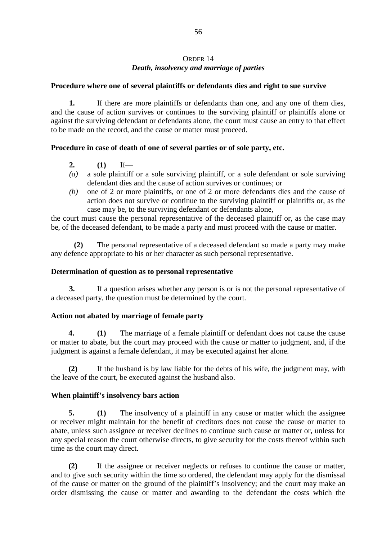# ORDER 14 *Death, insolvency and marriage of parties*

### **Procedure where one of several plaintiffs or defendants dies and right to sue survive**

**1.** If there are more plaintiffs or defendants than one, and any one of them dies, and the cause of action survives or continues to the surviving plaintiff or plaintiffs alone or against the surviving defendant or defendants alone, the court must cause an entry to that effect to be made on the record, and the cause or matter must proceed.

# **Procedure in case of death of one of several parties or of sole party, etc.**

- **2. (1)** If—
- *(a)* a sole plaintiff or a sole surviving plaintiff, or a sole defendant or sole surviving defendant dies and the cause of action survives or continues; or
- *(b)* one of 2 or more plaintiffs, or one of 2 or more defendants dies and the cause of action does not survive or continue to the surviving plaintiff or plaintiffs or, as the case may be, to the surviving defendant or defendants alone,

the court must cause the personal representative of the deceased plaintiff or, as the case may be, of the deceased defendant, to be made a party and must proceed with the cause or matter.

**(2)** The personal representative of a deceased defendant so made a party may make any defence appropriate to his or her character as such personal representative.

### **Determination of question as to personal representative**

**3.** If a question arises whether any person is or is not the personal representative of a deceased party, the question must be determined by the court.

### **Action not abated by marriage of female party**

**4. (1)** The marriage of a female plaintiff or defendant does not cause the cause or matter to abate, but the court may proceed with the cause or matter to judgment, and, if the judgment is against a female defendant, it may be executed against her alone.

**(2)** If the husband is by law liable for the debts of his wife, the judgment may, with the leave of the court, be executed against the husband also.

### **When plaintiff's insolvency bars action**

**5. (1)** The insolvency of a plaintiff in any cause or matter which the assignee or receiver might maintain for the benefit of creditors does not cause the cause or matter to abate, unless such assignee or receiver declines to continue such cause or matter or, unless for any special reason the court otherwise directs, to give security for the costs thereof within such time as the court may direct.

**(2)** If the assignee or receiver neglects or refuses to continue the cause or matter, and to give such security within the time so ordered, the defendant may apply for the dismissal of the cause or matter on the ground of the plaintiff's insolvency; and the court may make an order dismissing the cause or matter and awarding to the defendant the costs which the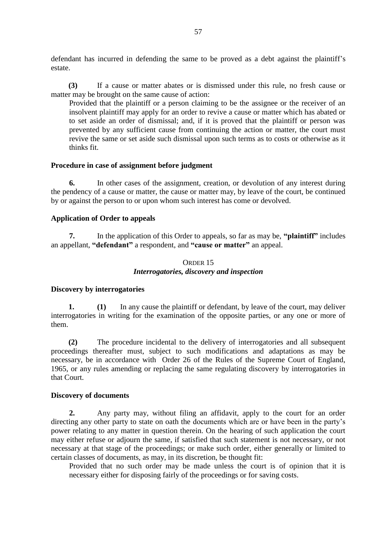defendant has incurred in defending the same to be proved as a debt against the plaintiff's estate.

**(3)** If a cause or matter abates or is dismissed under this rule, no fresh cause or matter may be brought on the same cause of action:

Provided that the plaintiff or a person claiming to be the assignee or the receiver of an insolvent plaintiff may apply for an order to revive a cause or matter which has abated or to set aside an order of dismissal; and, if it is proved that the plaintiff or person was prevented by any sufficient cause from continuing the action or matter, the court must revive the same or set aside such dismissal upon such terms as to costs or otherwise as it thinks fit.

#### **Procedure in case of assignment before judgment**

**6.** In other cases of the assignment, creation, or devolution of any interest during the pendency of a cause or matter, the cause or matter may, by leave of the court, be continued by or against the person to or upon whom such interest has come or devolved.

### **Application of Order to appeals**

**7.** In the application of this Order to appeals, so far as may be, **"plaintiff"** includes an appellant, **"defendant"** a respondent, and **"cause or matter"** an appeal.

# ORDER 15 *Interrogatories, discovery and inspection*

#### **Discovery by interrogatories**

**1. (1)** In any cause the plaintiff or defendant, by leave of the court, may deliver interrogatories in writing for the examination of the opposite parties, or any one or more of them.

**(2)** The procedure incidental to the delivery of interrogatories and all subsequent proceedings thereafter must, subject to such modifications and adaptations as may be necessary, be in accordance with Order 26 of the Rules of the Supreme Court of England, 1965, or any rules amending or replacing the same regulating discovery by interrogatories in that Court.

#### **Discovery of documents**

**2.** Any party may, without filing an affidavit, apply to the court for an order directing any other party to state on oath the documents which are or have been in the party's power relating to any matter in question therein. On the hearing of such application the court may either refuse or adjourn the same, if satisfied that such statement is not necessary, or not necessary at that stage of the proceedings; or make such order, either generally or limited to certain classes of documents, as may, in its discretion, be thought fit:

Provided that no such order may be made unless the court is of opinion that it is necessary either for disposing fairly of the proceedings or for saving costs.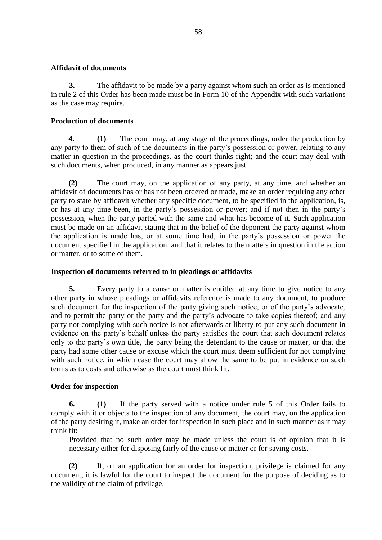### **Affidavit of documents**

**3.** The affidavit to be made by a party against whom such an order as is mentioned in rule 2 of this Order has been made must be in Form 10 of the Appendix with such variations as the case may require.

# **Production of documents**

**4. (1)** The court may, at any stage of the proceedings, order the production by any party to them of such of the documents in the party's possession or power, relating to any matter in question in the proceedings, as the court thinks right; and the court may deal with such documents, when produced, in any manner as appears just.

**(2)** The court may, on the application of any party, at any time, and whether an affidavit of documents has or has not been ordered or made, make an order requiring any other party to state by affidavit whether any specific document, to be specified in the application, is, or has at any time been, in the party's possession or power; and if not then in the party's possession, when the party parted with the same and what has become of it. Such application must be made on an affidavit stating that in the belief of the deponent the party against whom the application is made has, or at some time had, in the party's possession or power the document specified in the application, and that it relates to the matters in question in the action or matter, or to some of them.

# **Inspection of documents referred to in pleadings or affidavits**

**5.** Every party to a cause or matter is entitled at any time to give notice to any other party in whose pleadings or affidavits reference is made to any document, to produce such document for the inspection of the party giving such notice, or of the party's advocate, and to permit the party or the party and the party's advocate to take copies thereof; and any party not complying with such notice is not afterwards at liberty to put any such document in evidence on the party's behalf unless the party satisfies the court that such document relates only to the party's own title, the party being the defendant to the cause or matter, or that the party had some other cause or excuse which the court must deem sufficient for not complying with such notice, in which case the court may allow the same to be put in evidence on such terms as to costs and otherwise as the court must think fit.

### **Order for inspection**

**6. (1)** If the party served with a notice under rule 5 of this Order fails to comply with it or objects to the inspection of any document, the court may, on the application of the party desiring it, make an order for inspection in such place and in such manner as it may think fit:

Provided that no such order may be made unless the court is of opinion that it is necessary either for disposing fairly of the cause or matter or for saving costs.

**(2)** If, on an application for an order for inspection, privilege is claimed for any document, it is lawful for the court to inspect the document for the purpose of deciding as to the validity of the claim of privilege.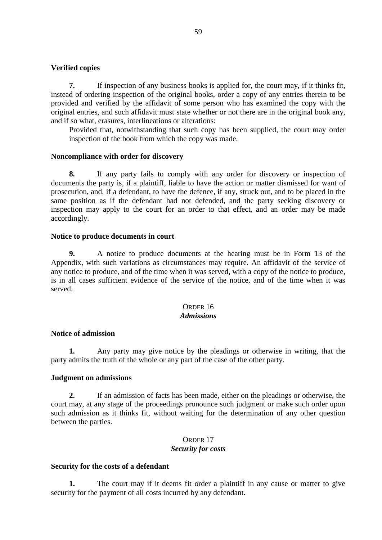#### **Verified copies**

**7.** If inspection of any business books is applied for, the court may, if it thinks fit, instead of ordering inspection of the original books, order a copy of any entries therein to be provided and verified by the affidavit of some person who has examined the copy with the original entries, and such affidavit must state whether or not there are in the original book any, and if so what, erasures, interlineations or alterations:

Provided that, notwithstanding that such copy has been supplied, the court may order inspection of the book from which the copy was made.

#### **Noncompliance with order for discovery**

**8.** If any party fails to comply with any order for discovery or inspection of documents the party is, if a plaintiff, liable to have the action or matter dismissed for want of prosecution, and, if a defendant, to have the defence, if any, struck out, and to be placed in the same position as if the defendant had not defended, and the party seeking discovery or inspection may apply to the court for an order to that effect, and an order may be made accordingly.

#### **Notice to produce documents in court**

**9.** A notice to produce documents at the hearing must be in Form 13 of the Appendix, with such variations as circumstances may require. An affidavit of the service of any notice to produce, and of the time when it was served, with a copy of the notice to produce, is in all cases sufficient evidence of the service of the notice, and of the time when it was served.

# ORDER 16

# *Admissions*

#### **Notice of admission**

**1.** Any party may give notice by the pleadings or otherwise in writing, that the party admits the truth of the whole or any part of the case of the other party.

#### **Judgment on admissions**

**2.** If an admission of facts has been made, either on the pleadings or otherwise, the court may, at any stage of the proceedings pronounce such judgment or make such order upon such admission as it thinks fit, without waiting for the determination of any other question between the parties.

### ORDER 17 *Security for costs*

#### **Security for the costs of a defendant**

**1.** The court may if it deems fit order a plaintiff in any cause or matter to give security for the payment of all costs incurred by any defendant.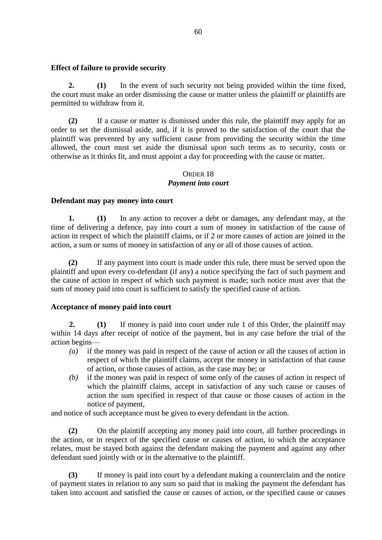#### **Effect of failure to provide security**

**2. (1)** In the event of such security not being provided within the time fixed, the court must make an order dismissing the cause or matter unless the plaintiff or plaintiffs are permitted to withdraw from it.

**(2)** If a cause or matter is dismissed under this rule, the plaintiff may apply for an order to set the dismissal aside, and, if it is proved to the satisfaction of the court that the plaintiff was prevented by any sufficient cause from providing the security within the time allowed, the court must set aside the dismissal upon such terms as to security, costs or otherwise as it thinks fit, and must appoint a day for proceeding with the cause or matter.

### ORDER 18

### *Payment into court*

### **Defendant may pay money into court**

**1. (1)** In any action to recover a debt or damages, any defendant may, at the time of delivering a defence, pay into court a sum of money in satisfaction of the cause of action in respect of which the plaintiff claims, or if 2 or more causes of action are joined in the action, a sum or sums of money in satisfaction of any or all of those causes of action.

**(2)** If any payment into court is made under this rule, there must be served upon the plaintiff and upon every co-defendant (if any) a notice specifying the fact of such payment and the cause of action in respect of which such payment is made; such notice must aver that the sum of money paid into court is sufficient to satisfy the specified cause of action.

### **Acceptance of money paid into court**

**2. (1)** If money is paid into court under rule 1 of this Order, the plaintiff may within 14 days after receipt of notice of the payment, but in any case before the trial of the action begins—

- *(a)* if the money was paid in respect of the cause of action or all the causes of action in respect of which the plaintiff claims, accept the money in satisfaction of that cause of action, or those causes of action, as the case may be; or
- *(b)* if the money was paid in respect of some only of the causes of action in respect of which the plaintiff claims, accept in satisfaction of any such cause or causes of action the sum specified in respect of that cause or those causes of action in the notice of payment,

and notice of such acceptance must be given to every defendant in the action.

**(2)** On the plaintiff accepting any money paid into court, all further proceedings in the action, or in respect of the specified cause or causes of action, to which the acceptance relates, must be stayed both against the defendant making the payment and against any other defendant sued jointly with or in the alternative to the plaintiff.

**(3)** If money is paid into court by a defendant making a counterclaim and the notice of payment states in relation to any sum so paid that in making the payment the defendant has taken into account and satisfied the cause or causes of action, or the specified cause or causes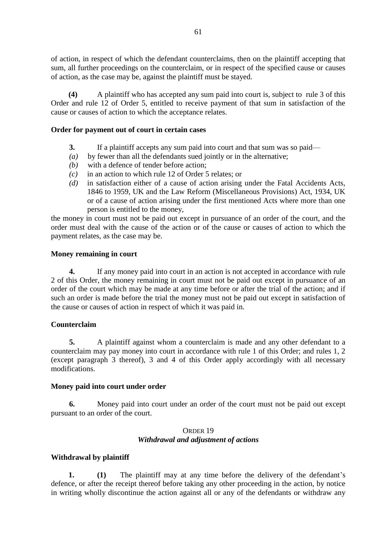of action, in respect of which the defendant counterclaims, then on the plaintiff accepting that sum, all further proceedings on the counterclaim, or in respect of the specified cause or causes of action, as the case may be, against the plaintiff must be stayed.

**(4)** A plaintiff who has accepted any sum paid into court is, subject to rule 3 of this Order and rule 12 of Order 5, entitled to receive payment of that sum in satisfaction of the cause or causes of action to which the acceptance relates.

### **Order for payment out of court in certain cases**

- **3.** If a plaintiff accepts any sum paid into court and that sum was so paid—
- *(a)* by fewer than all the defendants sued jointly or in the alternative;
- *(b)* with a defence of tender before action;
- *(c)* in an action to which rule 12 of Order 5 relates; or
- *(d)* in satisfaction either of a cause of action arising under the Fatal Accidents Acts, 1846 to 1959, UK and the Law Reform (Miscellaneous Provisions) Act, 1934, UK or of a cause of action arising under the first mentioned Acts where more than one person is entitled to the money,

the money in court must not be paid out except in pursuance of an order of the court, and the order must deal with the cause of the action or of the cause or causes of action to which the payment relates, as the case may be.

### **Money remaining in court**

**4.** If any money paid into court in an action is not accepted in accordance with rule 2 of this Order, the money remaining in court must not be paid out except in pursuance of an order of the court which may be made at any time before or after the trial of the action; and if such an order is made before the trial the money must not be paid out except in satisfaction of the cause or causes of action in respect of which it was paid in.

### **Counterclaim**

**5.** A plaintiff against whom a counterclaim is made and any other defendant to a counterclaim may pay money into court in accordance with rule 1 of this Order; and rules 1, 2 (except paragraph 3 thereof), 3 and 4 of this Order apply accordingly with all necessary modifications.

### **Money paid into court under order**

**6.** Money paid into court under an order of the court must not be paid out except pursuant to an order of the court.

### ORDER 19 *Withdrawal and adjustment of actions*

### **Withdrawal by plaintiff**

**1. (1)** The plaintiff may at any time before the delivery of the defendant's defence, or after the receipt thereof before taking any other proceeding in the action, by notice in writing wholly discontinue the action against all or any of the defendants or withdraw any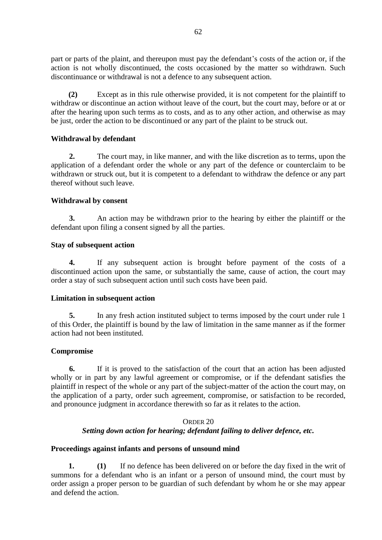part or parts of the plaint, and thereupon must pay the defendant's costs of the action or, if the action is not wholly discontinued, the costs occasioned by the matter so withdrawn. Such discontinuance or withdrawal is not a defence to any subsequent action.

**(2)** Except as in this rule otherwise provided, it is not competent for the plaintiff to withdraw or discontinue an action without leave of the court, but the court may, before or at or after the hearing upon such terms as to costs, and as to any other action, and otherwise as may be just, order the action to be discontinued or any part of the plaint to be struck out.

### **Withdrawal by defendant**

**2.** The court may, in like manner, and with the like discretion as to terms, upon the application of a defendant order the whole or any part of the defence or counterclaim to be withdrawn or struck out, but it is competent to a defendant to withdraw the defence or any part thereof without such leave.

# **Withdrawal by consent**

**3.** An action may be withdrawn prior to the hearing by either the plaintiff or the defendant upon filing a consent signed by all the parties.

# **Stay of subsequent action**

**4.** If any subsequent action is brought before payment of the costs of a discontinued action upon the same, or substantially the same, cause of action, the court may order a stay of such subsequent action until such costs have been paid.

### **Limitation in subsequent action**

**5.** In any fresh action instituted subject to terms imposed by the court under rule 1 of this Order, the plaintiff is bound by the law of limitation in the same manner as if the former action had not been instituted.

### **Compromise**

**6.** If it is proved to the satisfaction of the court that an action has been adjusted wholly or in part by any lawful agreement or compromise, or if the defendant satisfies the plaintiff in respect of the whole or any part of the subject-matter of the action the court may, on the application of a party, order such agreement, compromise, or satisfaction to be recorded, and pronounce judgment in accordance therewith so far as it relates to the action.

# ORDER 20 *Setting down action for hearing; defendant failing to deliver defence, etc.*

### **Proceedings against infants and persons of unsound mind**

**1. (1)** If no defence has been delivered on or before the day fixed in the writ of summons for a defendant who is an infant or a person of unsound mind, the court must by order assign a proper person to be guardian of such defendant by whom he or she may appear and defend the action.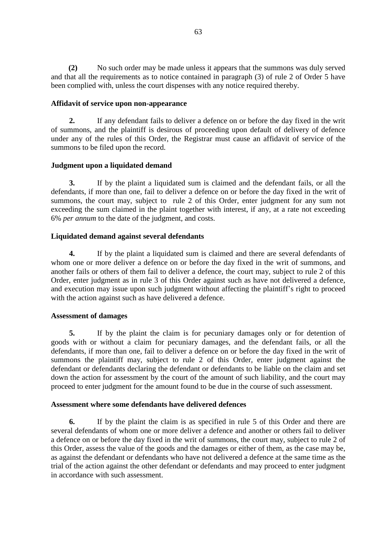**(2)** No such order may be made unless it appears that the summons was duly served and that all the requirements as to notice contained in paragraph (3) of rule 2 of Order 5 have been complied with, unless the court dispenses with any notice required thereby.

### **Affidavit of service upon non-appearance**

**2.** If any defendant fails to deliver a defence on or before the day fixed in the writ of summons, and the plaintiff is desirous of proceeding upon default of delivery of defence under any of the rules of this Order, the Registrar must cause an affidavit of service of the summons to be filed upon the record.

# **Judgment upon a liquidated demand**

**3.** If by the plaint a liquidated sum is claimed and the defendant fails, or all the defendants, if more than one, fail to deliver a defence on or before the day fixed in the writ of summons, the court may, subject to rule 2 of this Order, enter judgment for any sum not exceeding the sum claimed in the plaint together with interest, if any, at a rate not exceeding 6% *per annum* to the date of the judgment, and costs.

# **Liquidated demand against several defendants**

**4.** If by the plaint a liquidated sum is claimed and there are several defendants of whom one or more deliver a defence on or before the day fixed in the writ of summons, and another fails or others of them fail to deliver a defence, the court may, subject to rule 2 of this Order, enter judgment as in rule 3 of this Order against such as have not delivered a defence, and execution may issue upon such judgment without affecting the plaintiff's right to proceed with the action against such as have delivered a defence.

# **Assessment of damages**

**5.** If by the plaint the claim is for pecuniary damages only or for detention of goods with or without a claim for pecuniary damages, and the defendant fails, or all the defendants, if more than one, fail to deliver a defence on or before the day fixed in the writ of summons the plaintiff may, subject to rule 2 of this Order, enter judgment against the defendant or defendants declaring the defendant or defendants to be liable on the claim and set down the action for assessment by the court of the amount of such liability, and the court may proceed to enter judgment for the amount found to be due in the course of such assessment.

# **Assessment where some defendants have delivered defences**

**6.** If by the plaint the claim is as specified in rule 5 of this Order and there are several defendants of whom one or more deliver a defence and another or others fail to deliver a defence on or before the day fixed in the writ of summons, the court may, subject to rule 2 of this Order, assess the value of the goods and the damages or either of them, as the case may be, as against the defendant or defendants who have not delivered a defence at the same time as the trial of the action against the other defendant or defendants and may proceed to enter judgment in accordance with such assessment.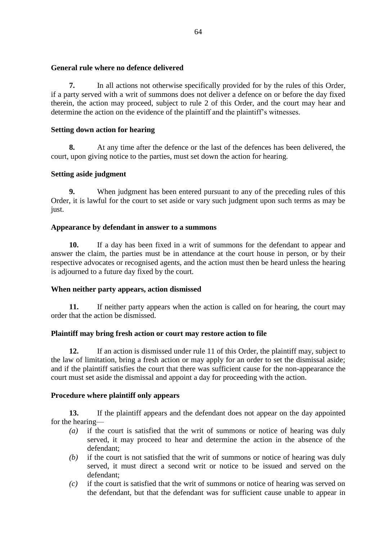### **General rule where no defence delivered**

**7.** In all actions not otherwise specifically provided for by the rules of this Order, if a party served with a writ of summons does not deliver a defence on or before the day fixed therein, the action may proceed, subject to rule 2 of this Order, and the court may hear and determine the action on the evidence of the plaintiff and the plaintiff's witnesses.

# **Setting down action for hearing**

**8.** At any time after the defence or the last of the defences has been delivered, the court, upon giving notice to the parties, must set down the action for hearing.

# **Setting aside judgment**

**9.** When judgment has been entered pursuant to any of the preceding rules of this Order, it is lawful for the court to set aside or vary such judgment upon such terms as may be just.

### **Appearance by defendant in answer to a summons**

**10.** If a day has been fixed in a writ of summons for the defendant to appear and answer the claim, the parties must be in attendance at the court house in person, or by their respective advocates or recognised agents, and the action must then be heard unless the hearing is adjourned to a future day fixed by the court.

### **When neither party appears, action dismissed**

**11.** If neither party appears when the action is called on for hearing, the court may order that the action be dismissed.

# **Plaintiff may bring fresh action or court may restore action to file**

**12.** If an action is dismissed under rule 11 of this Order, the plaintiff may, subject to the law of limitation, bring a fresh action or may apply for an order to set the dismissal aside; and if the plaintiff satisfies the court that there was sufficient cause for the non-appearance the court must set aside the dismissal and appoint a day for proceeding with the action.

### **Procedure where plaintiff only appears**

**13.** If the plaintiff appears and the defendant does not appear on the day appointed for the hearing—

- *(a)* if the court is satisfied that the writ of summons or notice of hearing was duly served, it may proceed to hear and determine the action in the absence of the defendant;
- *(b)* if the court is not satisfied that the writ of summons or notice of hearing was duly served, it must direct a second writ or notice to be issued and served on the defendant;
- *(c)* if the court is satisfied that the writ of summons or notice of hearing was served on the defendant, but that the defendant was for sufficient cause unable to appear in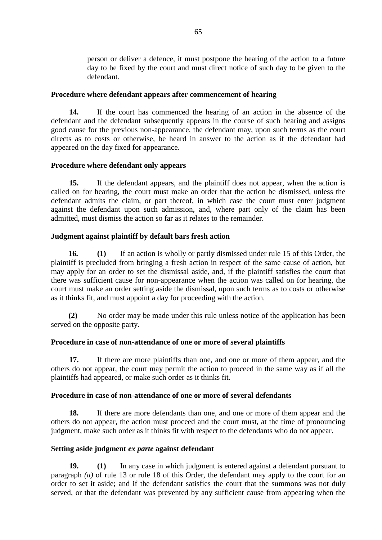person or deliver a defence, it must postpone the hearing of the action to a future day to be fixed by the court and must direct notice of such day to be given to the defendant.

### **Procedure where defendant appears after commencement of hearing**

**14.** If the court has commenced the hearing of an action in the absence of the defendant and the defendant subsequently appears in the course of such hearing and assigns good cause for the previous non-appearance, the defendant may, upon such terms as the court directs as to costs or otherwise, be heard in answer to the action as if the defendant had appeared on the day fixed for appearance.

### **Procedure where defendant only appears**

**15.** If the defendant appears, and the plaintiff does not appear, when the action is called on for hearing, the court must make an order that the action be dismissed, unless the defendant admits the claim, or part thereof, in which case the court must enter judgment against the defendant upon such admission, and, where part only of the claim has been admitted, must dismiss the action so far as it relates to the remainder.

### **Judgment against plaintiff by default bars fresh action**

**16. (1)** If an action is wholly or partly dismissed under rule 15 of this Order, the plaintiff is precluded from bringing a fresh action in respect of the same cause of action, but may apply for an order to set the dismissal aside, and, if the plaintiff satisfies the court that there was sufficient cause for non-appearance when the action was called on for hearing, the court must make an order setting aside the dismissal, upon such terms as to costs or otherwise as it thinks fit, and must appoint a day for proceeding with the action.

**(2)** No order may be made under this rule unless notice of the application has been served on the opposite party.

### **Procedure in case of non-attendance of one or more of several plaintiffs**

**17.** If there are more plaintiffs than one, and one or more of them appear, and the others do not appear, the court may permit the action to proceed in the same way as if all the plaintiffs had appeared, or make such order as it thinks fit.

#### **Procedure in case of non-attendance of one or more of several defendants**

**18.** If there are more defendants than one, and one or more of them appear and the others do not appear, the action must proceed and the court must, at the time of pronouncing judgment, make such order as it thinks fit with respect to the defendants who do not appear.

#### **Setting aside judgment** *ex parte* **against defendant**

**19. (1)** In any case in which judgment is entered against a defendant pursuant to paragraph *(a)* of rule 13 or rule 18 of this Order, the defendant may apply to the court for an order to set it aside; and if the defendant satisfies the court that the summons was not duly served, or that the defendant was prevented by any sufficient cause from appearing when the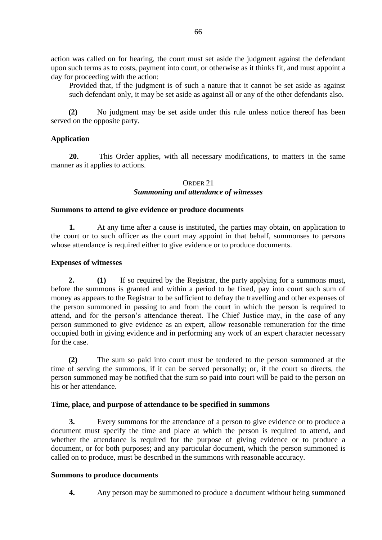action was called on for hearing, the court must set aside the judgment against the defendant upon such terms as to costs, payment into court, or otherwise as it thinks fit, and must appoint a day for proceeding with the action:

Provided that, if the judgment is of such a nature that it cannot be set aside as against such defendant only, it may be set aside as against all or any of the other defendants also.

**(2)** No judgment may be set aside under this rule unless notice thereof has been served on the opposite party.

# **Application**

**20.** This Order applies, with all necessary modifications, to matters in the same manner as it applies to actions.

#### ORDER 21 *Summoning and attendance of witnesses*

### **Summons to attend to give evidence or produce documents**

**1.** At any time after a cause is instituted, the parties may obtain, on application to the court or to such officer as the court may appoint in that behalf, summonses to persons whose attendance is required either to give evidence or to produce documents.

### **Expenses of witnesses**

**2. (1)** If so required by the Registrar, the party applying for a summons must, before the summons is granted and within a period to be fixed, pay into court such sum of money as appears to the Registrar to be sufficient to defray the travelling and other expenses of the person summoned in passing to and from the court in which the person is required to attend, and for the person's attendance thereat. The Chief Justice may, in the case of any person summoned to give evidence as an expert, allow reasonable remuneration for the time occupied both in giving evidence and in performing any work of an expert character necessary for the case.

**(2)** The sum so paid into court must be tendered to the person summoned at the time of serving the summons, if it can be served personally; or, if the court so directs, the person summoned may be notified that the sum so paid into court will be paid to the person on his or her attendance.

### **Time, place, and purpose of attendance to be specified in summons**

**3.** Every summons for the attendance of a person to give evidence or to produce a document must specify the time and place at which the person is required to attend, and whether the attendance is required for the purpose of giving evidence or to produce a document, or for both purposes; and any particular document, which the person summoned is called on to produce, must be described in the summons with reasonable accuracy.

#### **Summons to produce documents**

**4.** Any person may be summoned to produce a document without being summoned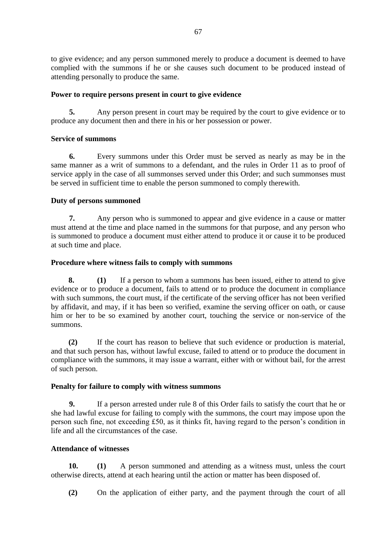to give evidence; and any person summoned merely to produce a document is deemed to have complied with the summons if he or she causes such document to be produced instead of attending personally to produce the same.

# **Power to require persons present in court to give evidence**

**5.** Any person present in court may be required by the court to give evidence or to produce any document then and there in his or her possession or power.

# **Service of summons**

**6.** Every summons under this Order must be served as nearly as may be in the same manner as a writ of summons to a defendant, and the rules in Order 11 as to proof of service apply in the case of all summonses served under this Order; and such summonses must be served in sufficient time to enable the person summoned to comply therewith.

# **Duty of persons summoned**

**7.** Any person who is summoned to appear and give evidence in a cause or matter must attend at the time and place named in the summons for that purpose, and any person who is summoned to produce a document must either attend to produce it or cause it to be produced at such time and place.

# **Procedure where witness fails to comply with summons**

**8. (1)** If a person to whom a summons has been issued, either to attend to give evidence or to produce a document, fails to attend or to produce the document in compliance with such summons, the court must, if the certificate of the serving officer has not been verified by affidavit, and may, if it has been so verified, examine the serving officer on oath, or cause him or her to be so examined by another court, touching the service or non-service of the summons.

**(2)** If the court has reason to believe that such evidence or production is material, and that such person has, without lawful excuse, failed to attend or to produce the document in compliance with the summons, it may issue a warrant, either with or without bail, for the arrest of such person.

### **Penalty for failure to comply with witness summons**

**9.** If a person arrested under rule 8 of this Order fails to satisfy the court that he or she had lawful excuse for failing to comply with the summons, the court may impose upon the person such fine, not exceeding £50, as it thinks fit, having regard to the person's condition in life and all the circumstances of the case.

# **Attendance of witnesses**

**10. (1)** A person summoned and attending as a witness must, unless the court otherwise directs, attend at each hearing until the action or matter has been disposed of.

**(2)** On the application of either party, and the payment through the court of all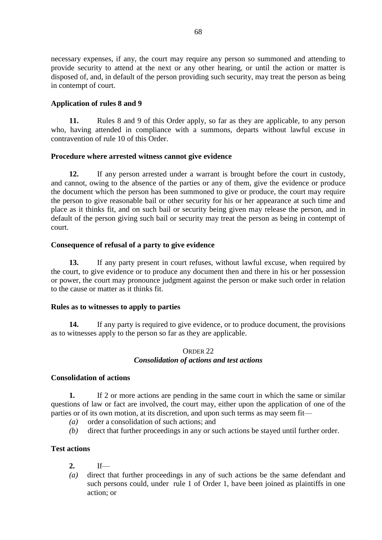necessary expenses, if any, the court may require any person so summoned and attending to provide security to attend at the next or any other hearing, or until the action or matter is disposed of, and, in default of the person providing such security, may treat the person as being in contempt of court.

# **Application of rules 8 and 9**

**11.** Rules 8 and 9 of this Order apply, so far as they are applicable, to any person who, having attended in compliance with a summons, departs without lawful excuse in contravention of rule 10 of this Order.

# **Procedure where arrested witness cannot give evidence**

**12.** If any person arrested under a warrant is brought before the court in custody, and cannot, owing to the absence of the parties or any of them, give the evidence or produce the document which the person has been summoned to give or produce, the court may require the person to give reasonable bail or other security for his or her appearance at such time and place as it thinks fit, and on such bail or security being given may release the person, and in default of the person giving such bail or security may treat the person as being in contempt of court.

### **Consequence of refusal of a party to give evidence**

**13.** If any party present in court refuses, without lawful excuse, when required by the court, to give evidence or to produce any document then and there in his or her possession or power, the court may pronounce judgment against the person or make such order in relation to the cause or matter as it thinks fit.

### **Rules as to witnesses to apply to parties**

**14.** If any party is required to give evidence, or to produce document, the provisions as to witnesses apply to the person so far as they are applicable.

### ORDER 22 *Consolidation of actions and test actions*

### **Consolidation of actions**

**1.** If 2 or more actions are pending in the same court in which the same or similar questions of law or fact are involved, the court may, either upon the application of one of the parties or of its own motion, at its discretion, and upon such terms as may seem fit—

- *(a)* order a consolidation of such actions; and
- *(b)* direct that further proceedings in any or such actions be stayed until further order.

# **Test actions**

- **2.** If—
- *(a)* direct that further proceedings in any of such actions be the same defendant and such persons could, under rule 1 of Order 1, have been joined as plaintiffs in one action; or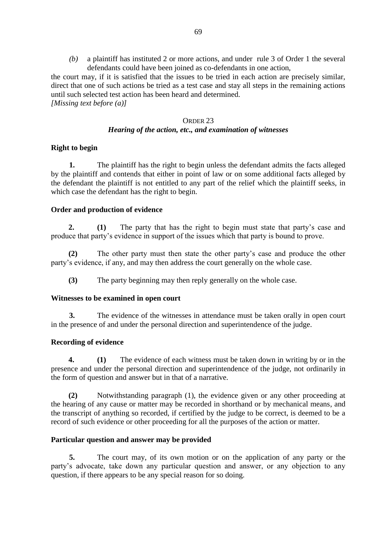*(b)* a plaintiff has instituted 2 or more actions, and under rule 3 of Order 1 the several defendants could have been joined as co-defendants in one action,

the court may, if it is satisfied that the issues to be tried in each action are precisely similar, direct that one of such actions be tried as a test case and stay all steps in the remaining actions until such selected test action has been heard and determined. *[Missing text before (a)]*

#### ORDER 23

### *Hearing of the action, etc., and examination of witnesses*

### **Right to begin**

**1.** The plaintiff has the right to begin unless the defendant admits the facts alleged by the plaintiff and contends that either in point of law or on some additional facts alleged by the defendant the plaintiff is not entitled to any part of the relief which the plaintiff seeks, in which case the defendant has the right to begin.

# **Order and production of evidence**

**2. (1)** The party that has the right to begin must state that party's case and produce that party's evidence in support of the issues which that party is bound to prove.

**(2)** The other party must then state the other party's case and produce the other party's evidence, if any, and may then address the court generally on the whole case.

**(3)** The party beginning may then reply generally on the whole case.

### **Witnesses to be examined in open court**

**3.** The evidence of the witnesses in attendance must be taken orally in open court in the presence of and under the personal direction and superintendence of the judge.

### **Recording of evidence**

**4. (1)** The evidence of each witness must be taken down in writing by or in the presence and under the personal direction and superintendence of the judge, not ordinarily in the form of question and answer but in that of a narrative.

**(2)** Notwithstanding paragraph (1), the evidence given or any other proceeding at the hearing of any cause or matter may be recorded in shorthand or by mechanical means, and the transcript of anything so recorded, if certified by the judge to be correct, is deemed to be a record of such evidence or other proceeding for all the purposes of the action or matter.

### **Particular question and answer may be provided**

**5.** The court may, of its own motion or on the application of any party or the party's advocate, take down any particular question and answer, or any objection to any question, if there appears to be any special reason for so doing.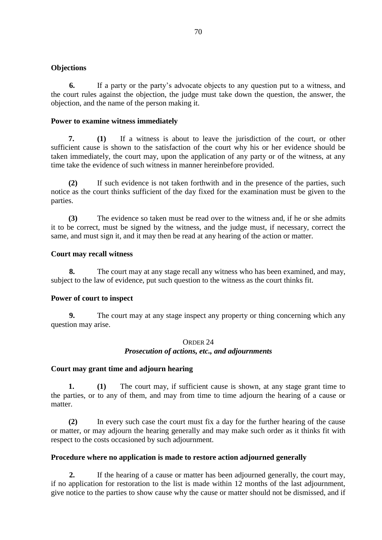### **Objections**

**6.** If a party or the party's advocate objects to any question put to a witness, and the court rules against the objection, the judge must take down the question, the answer, the objection, and the name of the person making it.

### **Power to examine witness immediately**

**7. (1)** If a witness is about to leave the jurisdiction of the court, or other sufficient cause is shown to the satisfaction of the court why his or her evidence should be taken immediately, the court may, upon the application of any party or of the witness, at any time take the evidence of such witness in manner hereinbefore provided.

**(2)** If such evidence is not taken forthwith and in the presence of the parties, such notice as the court thinks sufficient of the day fixed for the examination must be given to the parties.

**(3)** The evidence so taken must be read over to the witness and, if he or she admits it to be correct, must be signed by the witness, and the judge must, if necessary, correct the same, and must sign it, and it may then be read at any hearing of the action or matter.

### **Court may recall witness**

**8.** The court may at any stage recall any witness who has been examined, and may, subject to the law of evidence, put such question to the witness as the court thinks fit.

#### **Power of court to inspect**

**9.** The court may at any stage inspect any property or thing concerning which any question may arise.

### ORDER 24 *Prosecution of actions, etc., and adjournments*

#### **Court may grant time and adjourn hearing**

**1. (1)** The court may, if sufficient cause is shown, at any stage grant time to the parties, or to any of them, and may from time to time adjourn the hearing of a cause or matter.

**(2)** In every such case the court must fix a day for the further hearing of the cause or matter, or may adjourn the hearing generally and may make such order as it thinks fit with respect to the costs occasioned by such adjournment.

### **Procedure where no application is made to restore action adjourned generally**

**2.** If the hearing of a cause or matter has been adjourned generally, the court may, if no application for restoration to the list is made within 12 months of the last adjournment, give notice to the parties to show cause why the cause or matter should not be dismissed, and if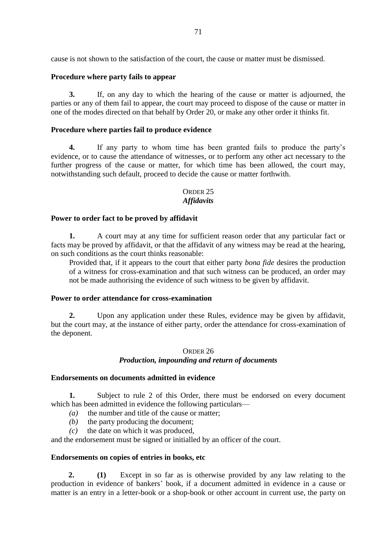cause is not shown to the satisfaction of the court, the cause or matter must be dismissed.

# **Procedure where party fails to appear**

**3.** If, on any day to which the hearing of the cause or matter is adjourned, the parties or any of them fail to appear, the court may proceed to dispose of the cause or matter in one of the modes directed on that behalf by Order 20, or make any other order it thinks fit.

# **Procedure where parties fail to produce evidence**

**4.** If any party to whom time has been granted fails to produce the party's evidence, or to cause the attendance of witnesses, or to perform any other act necessary to the further progress of the cause or matter, for which time has been allowed, the court may, notwithstanding such default, proceed to decide the cause or matter forthwith.

### ORDER 25 *Affidavits*

# **Power to order fact to be proved by affidavit**

**1.** A court may at any time for sufficient reason order that any particular fact or facts may be proved by affidavit, or that the affidavit of any witness may be read at the hearing, on such conditions as the court thinks reasonable:

Provided that, if it appears to the court that either party *bona fide* desires the production of a witness for cross-examination and that such witness can be produced, an order may not be made authorising the evidence of such witness to be given by affidavit.

### **Power to order attendance for cross-examination**

**2.** Upon any application under these Rules, evidence may be given by affidavit, but the court may, at the instance of either party, order the attendance for cross-examination of the deponent.

# ORDER 26 *Production, impounding and return of documents*

### **Endorsements on documents admitted in evidence**

**1.** Subject to rule 2 of this Order, there must be endorsed on every document which has been admitted in evidence the following particulars—

- *(a)* the number and title of the cause or matter;
- *(b)* the party producing the document;
- *(c)* the date on which it was produced,

and the endorsement must be signed or initialled by an officer of the court.

### **Endorsements on copies of entries in books, etc**

**2. (1)** Except in so far as is otherwise provided by any law relating to the production in evidence of bankers' book, if a document admitted in evidence in a cause or matter is an entry in a letter-book or a shop-book or other account in current use, the party on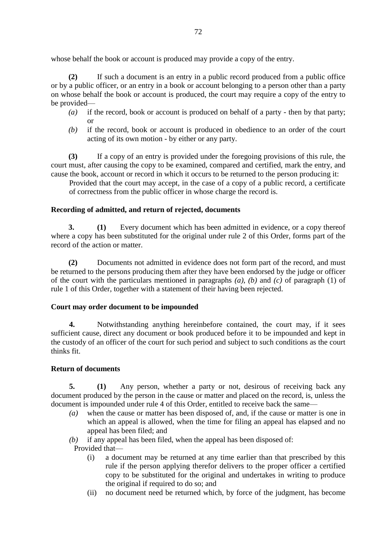whose behalf the book or account is produced may provide a copy of the entry.

**(2)** If such a document is an entry in a public record produced from a public office or by a public officer, or an entry in a book or account belonging to a person other than a party on whose behalf the book or account is produced, the court may require a copy of the entry to be provided—

- *(a)* if the record, book or account is produced on behalf of a party then by that party; or
- *(b)* if the record, book or account is produced in obedience to an order of the court acting of its own motion - by either or any party.

**(3)** If a copy of an entry is provided under the foregoing provisions of this rule, the court must, after causing the copy to be examined, compared and certified, mark the entry, and cause the book, account or record in which it occurs to be returned to the person producing it:

Provided that the court may accept, in the case of a copy of a public record, a certificate of correctness from the public officer in whose charge the record is.

# **Recording of admitted, and return of rejected, documents**

**3. (1)** Every document which has been admitted in evidence, or a copy thereof where a copy has been substituted for the original under rule 2 of this Order, forms part of the record of the action or matter.

**(2)** Documents not admitted in evidence does not form part of the record, and must be returned to the persons producing them after they have been endorsed by the judge or officer of the court with the particulars mentioned in paragraphs *(a)*, *(b)* and *(c)* of paragraph (1) of rule 1 of this Order, together with a statement of their having been rejected.

# **Court may order document to be impounded**

**4.** Notwithstanding anything hereinbefore contained, the court may, if it sees sufficient cause, direct any document or book produced before it to be impounded and kept in the custody of an officer of the court for such period and subject to such conditions as the court thinks fit.

# **Return of documents**

**5. (1)** Any person, whether a party or not, desirous of receiving back any document produced by the person in the cause or matter and placed on the record, is, unless the document is impounded under rule 4 of this Order, entitled to receive back the same—

- *(a)* when the cause or matter has been disposed of, and, if the cause or matter is one in which an appeal is allowed, when the time for filing an appeal has elapsed and no appeal has been filed; and
- *(b)* if any appeal has been filed, when the appeal has been disposed of:
- Provided that—
	- (i) a document may be returned at any time earlier than that prescribed by this rule if the person applying therefor delivers to the proper officer a certified copy to be substituted for the original and undertakes in writing to produce the original if required to do so; and
	- (ii) no document need be returned which, by force of the judgment, has become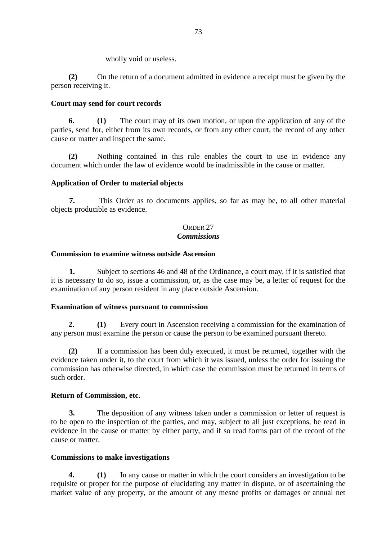wholly void or useless.

**(2)** On the return of a document admitted in evidence a receipt must be given by the person receiving it.

### **Court may send for court records**

**6. (1)** The court may of its own motion, or upon the application of any of the parties, send for, either from its own records, or from any other court, the record of any other cause or matter and inspect the same.

**(2)** Nothing contained in this rule enables the court to use in evidence any document which under the law of evidence would be inadmissible in the cause or matter.

# **Application of Order to material objects**

**7.** This Order as to documents applies, so far as may be, to all other material objects producible as evidence.

### ORDER 27 *Commissions*

### **Commission to examine witness outside Ascension**

**1.** Subject to sections 46 and 48 of the Ordinance, a court may, if it is satisfied that it is necessary to do so, issue a commission, or, as the case may be, a letter of request for the examination of any person resident in any place outside Ascension.

### **Examination of witness pursuant to commission**

**2. (1)** Every court in Ascension receiving a commission for the examination of any person must examine the person or cause the person to be examined pursuant thereto.

**(2)** If a commission has been duly executed, it must be returned, together with the evidence taken under it, to the court from which it was issued, unless the order for issuing the commission has otherwise directed, in which case the commission must be returned in terms of such order.

### **Return of Commission, etc.**

**3.** The deposition of any witness taken under a commission or letter of request is to be open to the inspection of the parties, and may, subject to all just exceptions, be read in evidence in the cause or matter by either party, and if so read forms part of the record of the cause or matter.

### **Commissions to make investigations**

**4. (1)** In any cause or matter in which the court considers an investigation to be requisite or proper for the purpose of elucidating any matter in dispute, or of ascertaining the market value of any property, or the amount of any mesne profits or damages or annual net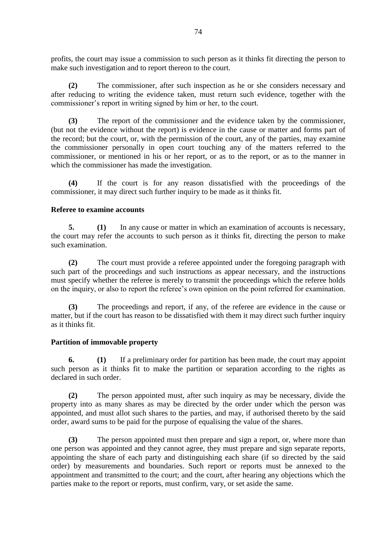profits, the court may issue a commission to such person as it thinks fit directing the person to make such investigation and to report thereon to the court.

**(2)** The commissioner, after such inspection as he or she considers necessary and after reducing to writing the evidence taken, must return such evidence, together with the commissioner's report in writing signed by him or her, to the court.

**(3)** The report of the commissioner and the evidence taken by the commissioner, (but not the evidence without the report) is evidence in the cause or matter and forms part of the record; but the court, or, with the permission of the court, any of the parties, may examine the commissioner personally in open court touching any of the matters referred to the commissioner, or mentioned in his or her report, or as to the report, or as to the manner in which the commissioner has made the investigation.

**(4)** If the court is for any reason dissatisfied with the proceedings of the commissioner, it may direct such further inquiry to be made as it thinks fit.

### **Referee to examine accounts**

**5. (1)** In any cause or matter in which an examination of accounts is necessary, the court may refer the accounts to such person as it thinks fit, directing the person to make such examination.

**(2)** The court must provide a referee appointed under the foregoing paragraph with such part of the proceedings and such instructions as appear necessary, and the instructions must specify whether the referee is merely to transmit the proceedings which the referee holds on the inquiry, or also to report the referee's own opinion on the point referred for examination.

**(3)** The proceedings and report, if any, of the referee are evidence in the cause or matter, but if the court has reason to be dissatisfied with them it may direct such further inquiry as it thinks fit.

### **Partition of immovable property**

**6. (1)** If a preliminary order for partition has been made, the court may appoint such person as it thinks fit to make the partition or separation according to the rights as declared in such order.

**(2)** The person appointed must, after such inquiry as may be necessary, divide the property into as many shares as may be directed by the order under which the person was appointed, and must allot such shares to the parties, and may, if authorised thereto by the said order, award sums to be paid for the purpose of equalising the value of the shares.

**(3)** The person appointed must then prepare and sign a report, or, where more than one person was appointed and they cannot agree, they must prepare and sign separate reports, appointing the share of each party and distinguishing each share (if so directed by the said order) by measurements and boundaries. Such report or reports must be annexed to the appointment and transmitted to the court; and the court, after hearing any objections which the parties make to the report or reports, must confirm, vary, or set aside the same.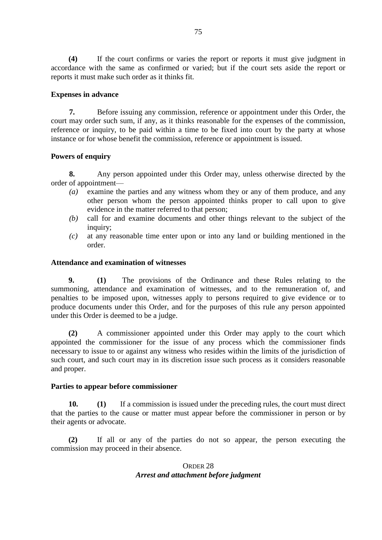**(4)** If the court confirms or varies the report or reports it must give judgment in accordance with the same as confirmed or varied; but if the court sets aside the report or reports it must make such order as it thinks fit.

#### **Expenses in advance**

**7.** Before issuing any commission, reference or appointment under this Order, the court may order such sum, if any, as it thinks reasonable for the expenses of the commission, reference or inquiry, to be paid within a time to be fixed into court by the party at whose instance or for whose benefit the commission, reference or appointment is issued.

### **Powers of enquiry**

**8.** Any person appointed under this Order may, unless otherwise directed by the order of appointment—

- *(a)* examine the parties and any witness whom they or any of them produce, and any other person whom the person appointed thinks proper to call upon to give evidence in the matter referred to that person;
- *(b)* call for and examine documents and other things relevant to the subject of the inquiry;
- *(c)* at any reasonable time enter upon or into any land or building mentioned in the order.

### **Attendance and examination of witnesses**

**9. (1)** The provisions of the Ordinance and these Rules relating to the summoning, attendance and examination of witnesses, and to the remuneration of, and penalties to be imposed upon, witnesses apply to persons required to give evidence or to produce documents under this Order, and for the purposes of this rule any person appointed under this Order is deemed to be a judge.

**(2)** A commissioner appointed under this Order may apply to the court which appointed the commissioner for the issue of any process which the commissioner finds necessary to issue to or against any witness who resides within the limits of the jurisdiction of such court, and such court may in its discretion issue such process as it considers reasonable and proper.

#### **Parties to appear before commissioner**

**10. (1)** If a commission is issued under the preceding rules, the court must direct that the parties to the cause or matter must appear before the commissioner in person or by their agents or advocate.

**(2)** If all or any of the parties do not so appear, the person executing the commission may proceed in their absence.

### ORDER 28 *Arrest and attachment before judgment*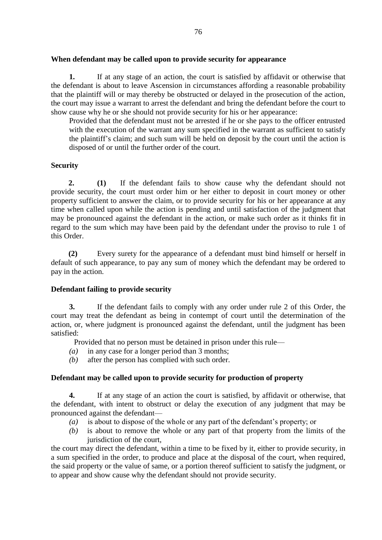### **When defendant may be called upon to provide security for appearance**

**1.** If at any stage of an action, the court is satisfied by affidavit or otherwise that the defendant is about to leave Ascension in circumstances affording a reasonable probability that the plaintiff will or may thereby be obstructed or delayed in the prosecution of the action, the court may issue a warrant to arrest the defendant and bring the defendant before the court to show cause why he or she should not provide security for his or her appearance:

Provided that the defendant must not be arrested if he or she pays to the officer entrusted with the execution of the warrant any sum specified in the warrant as sufficient to satisfy the plaintiff's claim; and such sum will be held on deposit by the court until the action is disposed of or until the further order of the court.

# **Security**

**2. (1)** If the defendant fails to show cause why the defendant should not provide security, the court must order him or her either to deposit in court money or other property sufficient to answer the claim, or to provide security for his or her appearance at any time when called upon while the action is pending and until satisfaction of the judgment that may be pronounced against the defendant in the action, or make such order as it thinks fit in regard to the sum which may have been paid by the defendant under the proviso to rule 1 of this Order.

**(2)** Every surety for the appearance of a defendant must bind himself or herself in default of such appearance, to pay any sum of money which the defendant may be ordered to pay in the action.

# **Defendant failing to provide security**

**3.** If the defendant fails to comply with any order under rule 2 of this Order, the court may treat the defendant as being in contempt of court until the determination of the action, or, where judgment is pronounced against the defendant, until the judgment has been satisfied:

Provided that no person must be detained in prison under this rule—

- *(a)* in any case for a longer period than 3 months;
- *(b)* after the person has complied with such order.

# **Defendant may be called upon to provide security for production of property**

**4.** If at any stage of an action the court is satisfied, by affidavit or otherwise, that the defendant, with intent to obstruct or delay the execution of any judgment that may be pronounced against the defendant—

- *(a)* is about to dispose of the whole or any part of the defendant's property; or
- *(b)* is about to remove the whole or any part of that property from the limits of the jurisdiction of the court.

the court may direct the defendant, within a time to be fixed by it, either to provide security, in a sum specified in the order, to produce and place at the disposal of the court, when required, the said property or the value of same, or a portion thereof sufficient to satisfy the judgment, or to appear and show cause why the defendant should not provide security.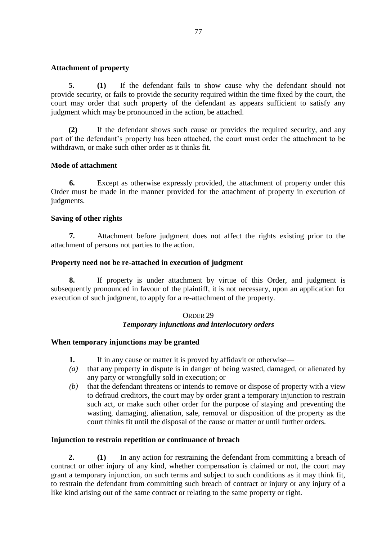### **Attachment of property**

**5. (1)** If the defendant fails to show cause why the defendant should not provide security, or fails to provide the security required within the time fixed by the court, the court may order that such property of the defendant as appears sufficient to satisfy any judgment which may be pronounced in the action, be attached.

**(2)** If the defendant shows such cause or provides the required security, and any part of the defendant's property has been attached, the court must order the attachment to be withdrawn, or make such other order as it thinks fit.

### **Mode of attachment**

**6.** Except as otherwise expressly provided, the attachment of property under this Order must be made in the manner provided for the attachment of property in execution of judgments.

#### **Saving of other rights**

**7.** Attachment before judgment does not affect the rights existing prior to the attachment of persons not parties to the action.

#### **Property need not be re-attached in execution of judgment**

**8.** If property is under attachment by virtue of this Order, and judgment is subsequently pronounced in favour of the plaintiff, it is not necessary, upon an application for execution of such judgment, to apply for a re-attachment of the property.

#### ORDER 29 *Temporary injunctions and interlocutory orders*

#### **When temporary injunctions may be granted**

- **1.** If in any cause or matter it is proved by affidavit or otherwise—
- *(a)* that any property in dispute is in danger of being wasted, damaged, or alienated by any party or wrongfully sold in execution; or
- *(b)* that the defendant threatens or intends to remove or dispose of property with a view to defraud creditors, the court may by order grant a temporary injunction to restrain such act, or make such other order for the purpose of staying and preventing the wasting, damaging, alienation, sale, removal or disposition of the property as the court thinks fit until the disposal of the cause or matter or until further orders.

#### **Injunction to restrain repetition or continuance of breach**

**2. (1)** In any action for restraining the defendant from committing a breach of contract or other injury of any kind, whether compensation is claimed or not, the court may grant a temporary injunction, on such terms and subject to such conditions as it may think fit, to restrain the defendant from committing such breach of contract or injury or any injury of a like kind arising out of the same contract or relating to the same property or right.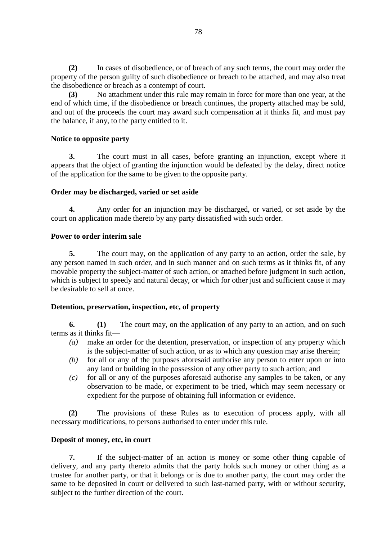**(2)** In cases of disobedience, or of breach of any such terms, the court may order the property of the person guilty of such disobedience or breach to be attached, and may also treat the disobedience or breach as a contempt of court.

**(3)** No attachment under this rule may remain in force for more than one year, at the end of which time, if the disobedience or breach continues, the property attached may be sold, and out of the proceeds the court may award such compensation at it thinks fit, and must pay the balance, if any, to the party entitled to it.

### **Notice to opposite party**

**3.** The court must in all cases, before granting an injunction, except where it appears that the object of granting the injunction would be defeated by the delay, direct notice of the application for the same to be given to the opposite party.

# **Order may be discharged, varied or set aside**

**4.** Any order for an injunction may be discharged, or varied, or set aside by the court on application made thereto by any party dissatisfied with such order.

# **Power to order interim sale**

**5.** The court may, on the application of any party to an action, order the sale, by any person named in such order, and in such manner and on such terms as it thinks fit, of any movable property the subject-matter of such action, or attached before judgment in such action, which is subject to speedy and natural decay, or which for other just and sufficient cause it may be desirable to sell at once.

# **Detention, preservation, inspection, etc, of property**

**6. (1)** The court may, on the application of any party to an action, and on such terms as it thinks fit—

- *(a)* make an order for the detention, preservation, or inspection of any property which is the subject-matter of such action, or as to which any question may arise therein;
- *(b)* for all or any of the purposes aforesaid authorise any person to enter upon or into any land or building in the possession of any other party to such action; and
- *(c)* for all or any of the purposes aforesaid authorise any samples to be taken, or any observation to be made, or experiment to be tried, which may seem necessary or expedient for the purpose of obtaining full information or evidence.

**(2)** The provisions of these Rules as to execution of process apply, with all necessary modifications, to persons authorised to enter under this rule.

### **Deposit of money, etc, in court**

**7.** If the subject-matter of an action is money or some other thing capable of delivery, and any party thereto admits that the party holds such money or other thing as a trustee for another party, or that it belongs or is due to another party, the court may order the same to be deposited in court or delivered to such last-named party, with or without security, subject to the further direction of the court.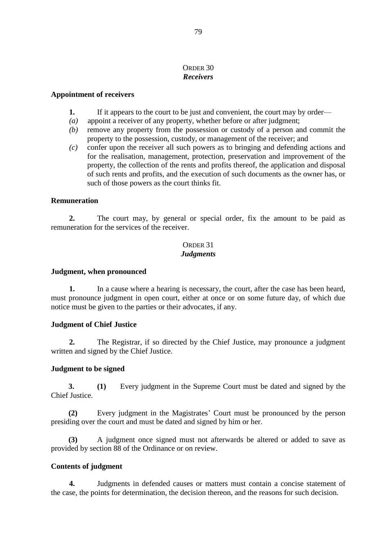# ORDER 30 *Receivers*

#### **Appointment of receivers**

- **1.** If it appears to the court to be just and convenient, the court may by order—
- *(a)* appoint a receiver of any property, whether before or after judgment;
- *(b)* remove any property from the possession or custody of a person and commit the property to the possession, custody, or management of the receiver; and
- *(c)* confer upon the receiver all such powers as to bringing and defending actions and for the realisation, management, protection, preservation and improvement of the property, the collection of the rents and profits thereof, the application and disposal of such rents and profits, and the execution of such documents as the owner has, or such of those powers as the court thinks fit.

#### **Remuneration**

**2.** The court may, by general or special order, fix the amount to be paid as remuneration for the services of the receiver.

#### ORDER 31 *Judgments*

#### **Judgment, when pronounced**

**1.** In a cause where a hearing is necessary, the court, after the case has been heard, must pronounce judgment in open court, either at once or on some future day, of which due notice must be given to the parties or their advocates, if any.

### **Judgment of Chief Justice**

**2.** The Registrar, if so directed by the Chief Justice, may pronounce a judgment written and signed by the Chief Justice.

### **Judgment to be signed**

**3. (1)** Every judgment in the Supreme Court must be dated and signed by the Chief Justice.

**(2)** Every judgment in the Magistrates' Court must be pronounced by the person presiding over the court and must be dated and signed by him or her.

**(3)** A judgment once signed must not afterwards be altered or added to save as provided by section 88 of the Ordinance or on review.

### **Contents of judgment**

**4.** Judgments in defended causes or matters must contain a concise statement of the case, the points for determination, the decision thereon, and the reasons for such decision.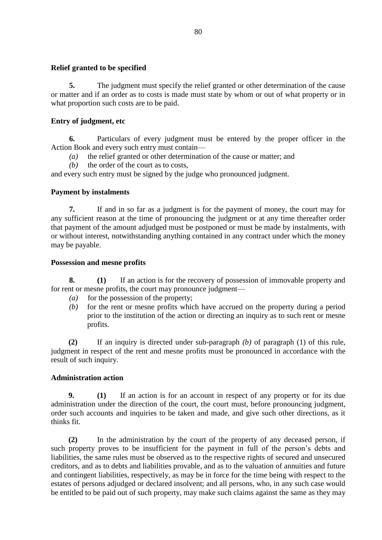### **Relief granted to be specified**

**5.** The judgment must specify the relief granted or other determination of the cause or matter and if an order as to costs is made must state by whom or out of what property or in what proportion such costs are to be paid.

### **Entry of judgment, etc**

**6.** Particulars of every judgment must be entered by the proper officer in the Action Book and every such entry must contain—

*(a)* the relief granted or other determination of the cause or matter; and

*(b)* the order of the court as to costs,

and every such entry must be signed by the judge who pronounced judgment.

### **Payment by instalments**

**7.** If and in so far as a judgment is for the payment of money, the court may for any sufficient reason at the time of pronouncing the judgment or at any time thereafter order that payment of the amount adjudged must be postponed or must be made by instalments, with or without interest, notwithstanding anything contained in any contract under which the money may be payable.

### **Possession and mesne profits**

**8. (1)** If an action is for the recovery of possession of immovable property and for rent or mesne profits, the court may pronounce judgment—

- *(a)* for the possession of the property;
- *(b)* for the rent or mesne profits which have accrued on the property during a period prior to the institution of the action or directing an inquiry as to such rent or mesne profits.

**(2)** If an inquiry is directed under sub-paragraph *(b)* of paragraph (1) of this rule, judgment in respect of the rent and mesne profits must be pronounced in accordance with the result of such inquiry.

### **Administration action**

**9. (1)** If an action is for an account in respect of any property or for its due administration under the direction of the court, the court must, before pronouncing judgment, order such accounts and inquiries to be taken and made, and give such other directions, as it thinks fit.

**(2)** In the administration by the court of the property of any deceased person, if such property proves to be insufficient for the payment in full of the person's debts and liabilities, the same rules must be observed as to the respective rights of secured and unsecured creditors, and as to debts and liabilities provable, and as to the valuation of annuities and future and contingent liabilities, respectively, as may be in force for the time being with respect to the estates of persons adjudged or declared insolvent; and all persons, who, in any such case would be entitled to be paid out of such property, may make such claims against the same as they may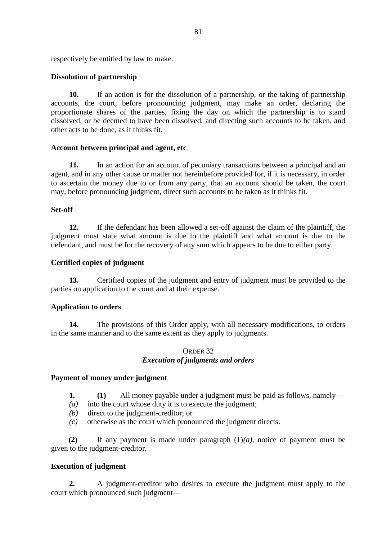respectively be entitled by law to make.

### **Dissolution of partnership**

**10.** If an action is for the dissolution of a partnership, or the taking of partnership accounts, the court, before pronouncing judgment, may make an order, declaring the proportionate shares of the parties, fixing the day on which the partnership is to stand dissolved, or be deemed to have been dissolved, and directing such accounts to be taken, and other acts to be done, as it thinks fit.

### **Account between principal and agent, etc**

**11.** In an action for an account of pecuniary transactions between a principal and an agent, and in any other cause or matter not hereinbefore provided for, if it is necessary, in order to ascertain the money due to or from any party, that an account should be taken, the court may, before pronouncing judgment, direct such accounts to be taken as it thinks fit.

### **Set-off**

**12.** If the defendant has been allowed a set-off against the claim of the plaintiff, the judgment must state what amount is due to the plaintiff and what amount is due to the defendant, and must be for the recovery of any sum which appears to be due to either party.

### **Certified copies of judgment**

**13.** Certified copies of the judgment and entry of judgment must be provided to the parties on application to the court and at their expense.

### **Application to orders**

**14.** The provisions of this Order apply, with all necessary modifications, to orders in the same manner and to the same extent as they apply to judgments.

#### ORDER 32 *Execution of judgments and orders*

#### **Payment of money under judgment**

- **1. (1)** All money payable under a judgment must be paid as follows, namely—
- *(a)* into the court whose duty it is to execute the judgment;
- *(b)* direct to the judgment-creditor; or
- *(c)* otherwise as the court which pronounced the judgment directs.

**(2)** If any payment is made under paragraph (1)*(a)*, notice of payment must be given to the judgment-creditor.

### **Execution of judgment**

**2.** A judgment-creditor who desires to execute the judgment must apply to the court which pronounced such judgment—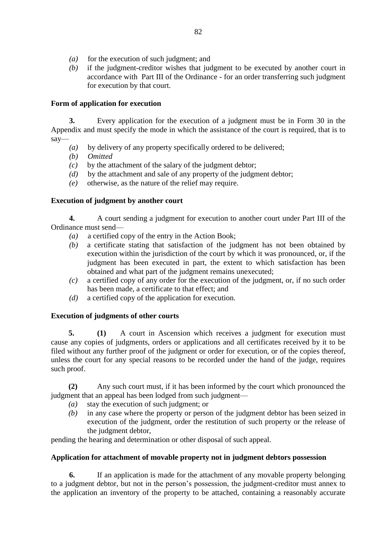- *(a)* for the execution of such judgment; and
- *(b)* if the judgment-creditor wishes that judgment to be executed by another court in accordance with Part III of the Ordinance - for an order transferring such judgment for execution by that court.

# **Form of application for execution**

**3.** Every application for the execution of a judgment must be in Form 30 in the Appendix and must specify the mode in which the assistance of the court is required, that is to say—

- *(a)* by delivery of any property specifically ordered to be delivered;
- *(b) Omitted*
- *(c)* by the attachment of the salary of the judgment debtor;
- *(d)* by the attachment and sale of any property of the judgment debtor;
- *(e)* otherwise, as the nature of the relief may require.

# **Execution of judgment by another court**

**4.** A court sending a judgment for execution to another court under Part III of the Ordinance must send—

- *(a)* a certified copy of the entry in the Action Book;
- *(b)* a certificate stating that satisfaction of the judgment has not been obtained by execution within the jurisdiction of the court by which it was pronounced, or, if the judgment has been executed in part, the extent to which satisfaction has been obtained and what part of the judgment remains unexecuted;
- *(c)* a certified copy of any order for the execution of the judgment, or, if no such order has been made, a certificate to that effect; and
- *(d)* a certified copy of the application for execution.

# **Execution of judgments of other courts**

**5. (1)** A court in Ascension which receives a judgment for execution must cause any copies of judgments, orders or applications and all certificates received by it to be filed without any further proof of the judgment or order for execution, or of the copies thereof, unless the court for any special reasons to be recorded under the hand of the judge, requires such proof.

**(2)** Any such court must, if it has been informed by the court which pronounced the judgment that an appeal has been lodged from such judgment—

- *(a)* stay the execution of such judgment; or
- *(b)* in any case where the property or person of the judgment debtor has been seized in execution of the judgment, order the restitution of such property or the release of the judgment debtor,

pending the hearing and determination or other disposal of such appeal.

# **Application for attachment of movable property not in judgment debtors possession**

**6.** If an application is made for the attachment of any movable property belonging to a judgment debtor, but not in the person's possession, the judgment-creditor must annex to the application an inventory of the property to be attached, containing a reasonably accurate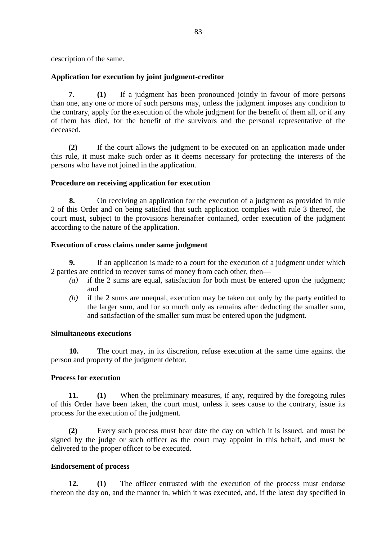description of the same.

# **Application for execution by joint judgment-creditor**

**7. (1)** If a judgment has been pronounced jointly in favour of more persons than one, any one or more of such persons may, unless the judgment imposes any condition to the contrary, apply for the execution of the whole judgment for the benefit of them all, or if any of them has died, for the benefit of the survivors and the personal representative of the deceased.

**(2)** If the court allows the judgment to be executed on an application made under this rule, it must make such order as it deems necessary for protecting the interests of the persons who have not joined in the application.

# **Procedure on receiving application for execution**

**8.** On receiving an application for the execution of a judgment as provided in rule 2 of this Order and on being satisfied that such application complies with rule 3 thereof, the court must, subject to the provisions hereinafter contained, order execution of the judgment according to the nature of the application.

### **Execution of cross claims under same judgment**

**9.** If an application is made to a court for the execution of a judgment under which 2 parties are entitled to recover sums of money from each other, then—

- *(a)* if the 2 sums are equal, satisfaction for both must be entered upon the judgment; and
- *(b)* if the 2 sums are unequal, execution may be taken out only by the party entitled to the larger sum, and for so much only as remains after deducting the smaller sum, and satisfaction of the smaller sum must be entered upon the judgment.

### **Simultaneous executions**

**10.** The court may, in its discretion, refuse execution at the same time against the person and property of the judgment debtor.

### **Process for execution**

**11. (1)** When the preliminary measures, if any, required by the foregoing rules of this Order have been taken, the court must, unless it sees cause to the contrary, issue its process for the execution of the judgment.

**(2)** Every such process must bear date the day on which it is issued, and must be signed by the judge or such officer as the court may appoint in this behalf, and must be delivered to the proper officer to be executed.

### **Endorsement of process**

**12. (1)** The officer entrusted with the execution of the process must endorse thereon the day on, and the manner in, which it was executed, and, if the latest day specified in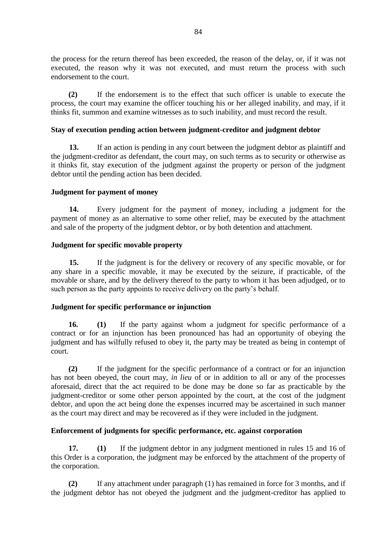the process for the return thereof has been exceeded, the reason of the delay, or, if it was not executed, the reason why it was not executed, and must return the process with such endorsement to the court.

**(2)** If the endorsement is to the effect that such officer is unable to execute the process, the court may examine the officer touching his or her alleged inability, and may, if it thinks fit, summon and examine witnesses as to such inability, and must record the result.

### **Stay of execution pending action between judgment-creditor and judgment debtor**

**13.** If an action is pending in any court between the judgment debtor as plaintiff and the judgment-creditor as defendant, the court may, on such terms as to security or otherwise as it thinks fit, stay execution of the judgment against the property or person of the judgment debtor until the pending action has been decided.

# **Judgment for payment of money**

**14.** Every judgment for the payment of money, including a judgment for the payment of money as an alternative to some other relief, may be executed by the attachment and sale of the property of the judgment debtor, or by both detention and attachment.

# **Judgment for specific movable property**

**15.** If the judgment is for the delivery or recovery of any specific movable, or for any share in a specific movable, it may be executed by the seizure, if practicable, of the movable or share, and by the delivery thereof to the party to whom it has been adjudged, or to such person as the party appoints to receive delivery on the party's behalf.

### **Judgment for specific performance or injunction**

**16. (1)** If the party against whom a judgment for specific performance of a contract or for an injunction has been pronounced has had an opportunity of obeying the judgment and has wilfully refused to obey it, the party may be treated as being in contempt of court.

**(2)** If the judgment for the specific performance of a contract or for an injunction has not been obeyed, the court may, *in lieu* of or in addition to all or any of the processes aforesaid, direct that the act required to be done may be done so far as practicable by the judgment-creditor or some other person appointed by the court, at the cost of the judgment debtor, and upon the act being done the expenses incurred may be ascertained in such manner as the court may direct and may be recovered as if they were included in the judgment.

# **Enforcement of judgments for specific performance, etc. against corporation**

**17. (1)** If the judgment debtor in any judgment mentioned in rules 15 and 16 of this Order is a corporation, the judgment may be enforced by the attachment of the property of the corporation.

**(2)** If any attachment under paragraph (1) has remained in force for 3 months, and if the judgment debtor has not obeyed the judgment and the judgment-creditor has applied to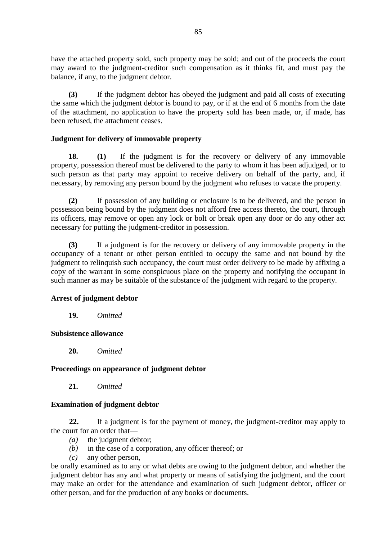have the attached property sold, such property may be sold; and out of the proceeds the court may award to the judgment-creditor such compensation as it thinks fit, and must pay the balance, if any, to the judgment debtor.

**(3)** If the judgment debtor has obeyed the judgment and paid all costs of executing the same which the judgment debtor is bound to pay, or if at the end of 6 months from the date of the attachment, no application to have the property sold has been made, or, if made, has been refused, the attachment ceases.

# **Judgment for delivery of immovable property**

**18. (1)** If the judgment is for the recovery or delivery of any immovable property, possession thereof must be delivered to the party to whom it has been adjudged, or to such person as that party may appoint to receive delivery on behalf of the party, and, if necessary, by removing any person bound by the judgment who refuses to vacate the property.

**(2)** If possession of any building or enclosure is to be delivered, and the person in possession being bound by the judgment does not afford free access thereto, the court, through its officers, may remove or open any lock or bolt or break open any door or do any other act necessary for putting the judgment-creditor in possession.

**(3)** If a judgment is for the recovery or delivery of any immovable property in the occupancy of a tenant or other person entitled to occupy the same and not bound by the judgment to relinquish such occupancy, the court must order delivery to be made by affixing a copy of the warrant in some conspicuous place on the property and notifying the occupant in such manner as may be suitable of the substance of the judgment with regard to the property.

### **Arrest of judgment debtor**

**19.** *Omitted*

### **Subsistence allowance**

**20.** *Omitted*

# **Proceedings on appearance of judgment debtor**

**21.** *Omitted*

# **Examination of judgment debtor**

**22.** If a judgment is for the payment of money, the judgment-creditor may apply to the court for an order that—

- *(a)* the judgment debtor;
- *(b)* in the case of a corporation, any officer thereof; or
- *(c)* any other person,

be orally examined as to any or what debts are owing to the judgment debtor, and whether the judgment debtor has any and what property or means of satisfying the judgment, and the court may make an order for the attendance and examination of such judgment debtor, officer or other person, and for the production of any books or documents.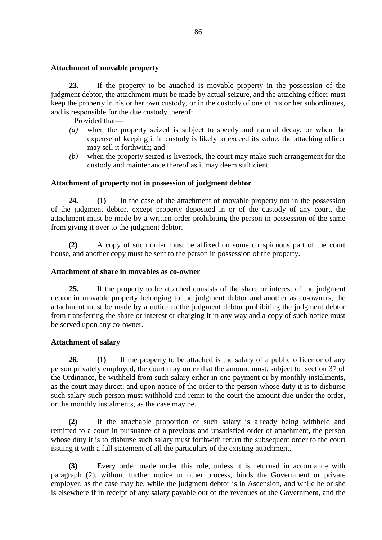#### **Attachment of movable property**

**23.** If the property to be attached is movable property in the possession of the judgment debtor, the attachment must be made by actual seizure, and the attaching officer must keep the property in his or her own custody, or in the custody of one of his or her subordinates, and is responsible for the due custody thereof:

Provided that—

- *(a)* when the property seized is subject to speedy and natural decay, or when the expense of keeping it in custody is likely to exceed its value, the attaching officer may sell it forthwith; and
- *(b)* when the property seized is livestock, the court may make such arrangement for the custody and maintenance thereof as it may deem sufficient.

### **Attachment of property not in possession of judgment debtor**

**24. (1)** In the case of the attachment of movable property not in the possession of the judgment debtor, except property deposited in or of the custody of any court, the attachment must be made by a written order prohibiting the person in possession of the same from giving it over to the judgment debtor.

**(2)** A copy of such order must be affixed on some conspicuous part of the court house, and another copy must be sent to the person in possession of the property.

#### **Attachment of share in movables as co-owner**

**25.** If the property to be attached consists of the share or interest of the judgment debtor in movable property belonging to the judgment debtor and another as co-owners, the attachment must be made by a notice to the judgment debtor prohibiting the judgment debtor from transferring the share or interest or charging it in any way and a copy of such notice must be served upon any co-owner.

### **Attachment of salary**

**26. (1)** If the property to be attached is the salary of a public officer or of any person privately employed, the court may order that the amount must, subject to section 37 of the Ordinance, be withheld from such salary either in one payment or by monthly instalments, as the court may direct; and upon notice of the order to the person whose duty it is to disburse such salary such person must withhold and remit to the court the amount due under the order, or the monthly instalments, as the case may be.

**(2)** If the attachable proportion of such salary is already being withheld and remitted to a court in pursuance of a previous and unsatisfied order of attachment, the person whose duty it is to disburse such salary must forthwith return the subsequent order to the court issuing it with a full statement of all the particulars of the existing attachment.

**(3)** Every order made under this rule, unless it is returned in accordance with paragraph (2), without further notice or other process, binds the Government or private employer, as the case may be, while the judgment debtor is in Ascension, and while he or she is elsewhere if in receipt of any salary payable out of the revenues of the Government, and the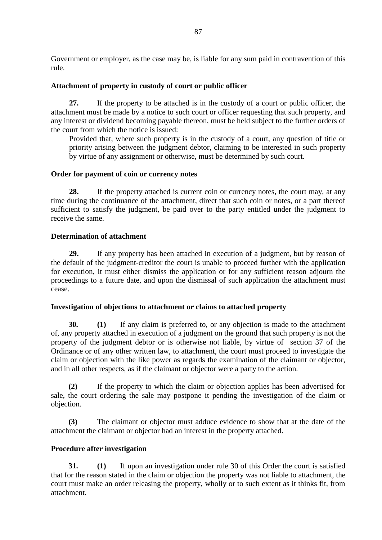Government or employer, as the case may be, is liable for any sum paid in contravention of this rule.

### **Attachment of property in custody of court or public officer**

**27.** If the property to be attached is in the custody of a court or public officer, the attachment must be made by a notice to such court or officer requesting that such property, and any interest or dividend becoming payable thereon, must be held subject to the further orders of the court from which the notice is issued:

Provided that, where such property is in the custody of a court, any question of title or priority arising between the judgment debtor, claiming to be interested in such property by virtue of any assignment or otherwise, must be determined by such court.

### **Order for payment of coin or currency notes**

**28.** If the property attached is current coin or currency notes, the court may, at any time during the continuance of the attachment, direct that such coin or notes, or a part thereof sufficient to satisfy the judgment, be paid over to the party entitled under the judgment to receive the same.

# **Determination of attachment**

**29.** If any property has been attached in execution of a judgment, but by reason of the default of the judgment-creditor the court is unable to proceed further with the application for execution, it must either dismiss the application or for any sufficient reason adjourn the proceedings to a future date, and upon the dismissal of such application the attachment must cease.

### **Investigation of objections to attachment or claims to attached property**

**30. (1)** If any claim is preferred to, or any objection is made to the attachment of, any property attached in execution of a judgment on the ground that such property is not the property of the judgment debtor or is otherwise not liable, by virtue of section 37 of the Ordinance or of any other written law, to attachment, the court must proceed to investigate the claim or objection with the like power as regards the examination of the claimant or objector, and in all other respects, as if the claimant or objector were a party to the action.

**(2)** If the property to which the claim or objection applies has been advertised for sale, the court ordering the sale may postpone it pending the investigation of the claim or objection.

**(3)** The claimant or objector must adduce evidence to show that at the date of the attachment the claimant or objector had an interest in the property attached.

### **Procedure after investigation**

**31. (1)** If upon an investigation under rule 30 of this Order the court is satisfied that for the reason stated in the claim or objection the property was not liable to attachment, the court must make an order releasing the property, wholly or to such extent as it thinks fit, from attachment.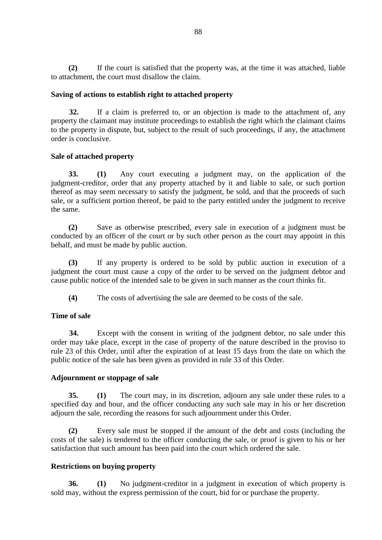**(2)** If the court is satisfied that the property was, at the time it was attached, liable to attachment, the court must disallow the claim.

### **Saving of actions to establish right to attached property**

**32.** If a claim is preferred to, or an objection is made to the attachment of, any property the claimant may institute proceedings to establish the right which the claimant claims to the property in dispute, but, subject to the result of such proceedings, if any, the attachment order is conclusive.

# **Sale of attached property**

**33. (1)** Any court executing a judgment may, on the application of the judgment-creditor, order that any property attached by it and liable to sale, or such portion thereof as may seem necessary to satisfy the judgment, be sold, and that the proceeds of such sale, or a sufficient portion thereof, be paid to the party entitled under the judgment to receive the same.

**(2)** Save as otherwise prescribed, every sale in execution of a judgment must be conducted by an officer of the court or by such other person as the court may appoint in this behalf, and must be made by public auction.

**(3)** If any property is ordered to be sold by public auction in execution of a judgment the court must cause a copy of the order to be served on the judgment debtor and cause public notice of the intended sale to be given in such manner as the court thinks fit.

**(4)** The costs of advertising the sale are deemed to be costs of the sale.

### **Time of sale**

**34.** Except with the consent in writing of the judgment debtor, no sale under this order may take place, except in the case of property of the nature described in the proviso to rule 23 of this Order, until after the expiration of at least 15 days from the date on which the public notice of the sale has been given as provided in rule 33 of this Order.

### **Adjournment or stoppage of sale**

**35. (1)** The court may, in its discretion, adjourn any sale under these rules to a specified day and hour, and the officer conducting any such sale may in his or her discretion adjourn the sale, recording the reasons for such adjournment under this Order.

**(2)** Every sale must be stopped if the amount of the debt and costs (including the costs of the sale) is tendered to the officer conducting the sale, or proof is given to his or her satisfaction that such amount has been paid into the court which ordered the sale.

# **Restrictions on buying property**

**36. (1)** No judgment-creditor in a judgment in execution of which property is sold may, without the express permission of the court, bid for or purchase the property.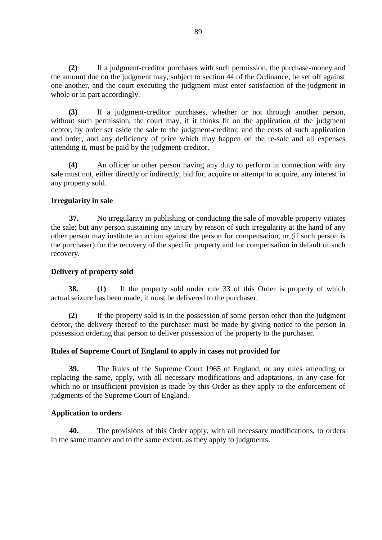**(2)** If a judgment-creditor purchases with such permission, the purchase-money and the amount due on the judgment may, subject to section 44 of the Ordinance, be set off against one another, and the court executing the judgment must enter satisfaction of the judgment in whole or in part accordingly.

**(3)** If a judgment-creditor purchases, whether or not through another person, without such permission, the court may, if it thinks fit on the application of the judgment debtor, by order set aside the sale to the judgment-creditor; and the costs of such application and order, and any deficiency of price which may happen on the re-sale and all expenses attending it, must be paid by the judgment-creditor.

**(4)** An officer or other person having any duty to perform in connection with any sale must not, either directly or indirectly, bid for, acquire or attempt to acquire, any interest in any property sold.

### **Irregularity in sale**

**37.** No irregularity in publishing or conducting the sale of movable property vitiates the sale; but any person sustaining any injury by reason of such irregularity at the hand of any other person may institute an action against the person for compensation, or (if such person is the purchaser) for the recovery of the specific property and for compensation in default of such recovery.

### **Delivery of property sold**

**38. (1)** If the property sold under rule 33 of this Order is property of which actual seizure has been made, it must be delivered to the purchaser.

**(2)** If the property sold is in the possession of some person other than the judgment debtor, the delivery thereof to the purchaser must be made by giving notice to the person in possession ordering that person to deliver possession of the property to the purchaser.

### **Rules of Supreme Court of England to apply in cases not provided for**

**39.** The Rules of the Supreme Court 1965 of England, or any rules amending or replacing the same, apply, with all necessary modifications and adaptations, in any case for which no or insufficient provision is made by this Order as they apply to the enforcement of judgments of the Supreme Court of England.

### **Application to orders**

**40.** The provisions of this Order apply, with all necessary modifications, to orders in the same manner and to the same extent, as they apply to judgments.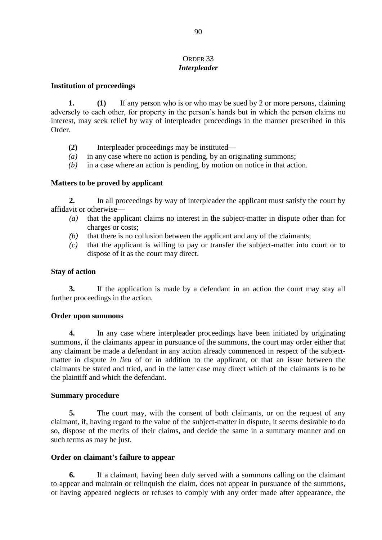### ORDER 33 *Interpleader*

#### **Institution of proceedings**

**1. (1)** If any person who is or who may be sued by 2 or more persons, claiming adversely to each other, for property in the person's hands but in which the person claims no interest, may seek relief by way of interpleader proceedings in the manner prescribed in this Order.

- **(2)** Interpleader proceedings may be instituted—
- *(a)* in any case where no action is pending, by an originating summons;
- *(b)* in a case where an action is pending, by motion on notice in that action.

### **Matters to be proved by applicant**

**2.** In all proceedings by way of interpleader the applicant must satisfy the court by affidavit or otherwise—

- *(a)* that the applicant claims no interest in the subject-matter in dispute other than for charges or costs;
- *(b)* that there is no collusion between the applicant and any of the claimants;
- *(c)* that the applicant is willing to pay or transfer the subject-matter into court or to dispose of it as the court may direct.

#### **Stay of action**

**3.** If the application is made by a defendant in an action the court may stay all further proceedings in the action.

### **Order upon summons**

**4.** In any case where interpleader proceedings have been initiated by originating summons, if the claimants appear in pursuance of the summons, the court may order either that any claimant be made a defendant in any action already commenced in respect of the subjectmatter in dispute *in lieu* of or in addition to the applicant, or that an issue between the claimants be stated and tried, and in the latter case may direct which of the claimants is to be the plaintiff and which the defendant.

#### **Summary procedure**

**5.** The court may, with the consent of both claimants, or on the request of any claimant, if, having regard to the value of the subject-matter in dispute, it seems desirable to do so, dispose of the merits of their claims, and decide the same in a summary manner and on such terms as may be just.

### **Order on claimant's failure to appear**

**6.** If a claimant, having been duly served with a summons calling on the claimant to appear and maintain or relinquish the claim, does not appear in pursuance of the summons, or having appeared neglects or refuses to comply with any order made after appearance, the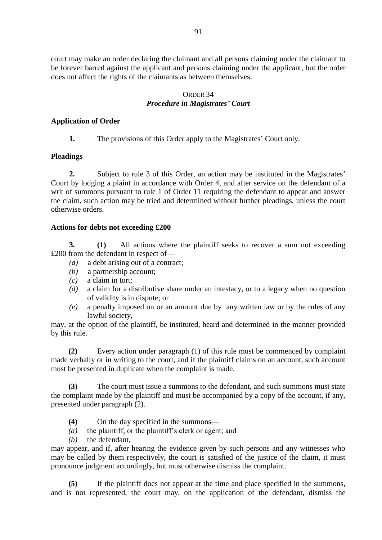court may make an order declaring the claimant and all persons claiming under the claimant to be forever barred against the applicant and persons claiming under the applicant, but the order does not affect the rights of the claimants as between themselves.

### ORDER 34 *Procedure in Magistrates' Court*

### **Application of Order**

**1.** The provisions of this Order apply to the Magistrates' Court only.

### **Pleadings**

**2.** Subject to rule 3 of this Order, an action may be instituted in the Magistrates' Court by lodging a plaint in accordance with Order 4, and after service on the defendant of a writ of summons pursuant to rule 1 of Order 11 requiring the defendant to appear and answer the claim, such action may be tried and determined without further pleadings, unless the court otherwise orders.

# **Actions for debts not exceeding £200**

**3. (1)** All actions where the plaintiff seeks to recover a sum not exceeding £200 from the defendant in respect of—

- *(a)* a debt arising out of a contract;
- *(b)* a partnership account;
- *(c)* a claim in tort;
- *(d)* a claim for a distributive share under an intestacy, or to a legacy when no question of validity is in dispute; or
- *(e)* a penalty imposed on or an amount due by any written law or by the rules of any lawful society,

may, at the option of the plaintiff, be instituted, heard and determined in the manner provided by this rule.

**(2)** Every action under paragraph (1) of this rule must be commenced by complaint made verbally or in writing to the court, and if the plaintiff claims on an account, such account must be presented in duplicate when the complaint is made.

**(3)** The court must issue a summons to the defendant, and such summons must state the complaint made by the plaintiff and must be accompanied by a copy of the account, if any, presented under paragraph (2).

- **(4)** On the day specified in the summons—
- *(a)* the plaintiff, or the plaintiff's clerk or agent; and
- *(b)* the defendant,

may appear, and if, after hearing the evidence given by such persons and any witnesses who may be called by them respectively, the court is satisfied of the justice of the claim, it must pronounce judgment accordingly, but must otherwise dismiss the complaint.

**(5)** If the plaintiff does not appear at the time and place specified in the summons, and is not represented, the court may, on the application of the defendant, dismiss the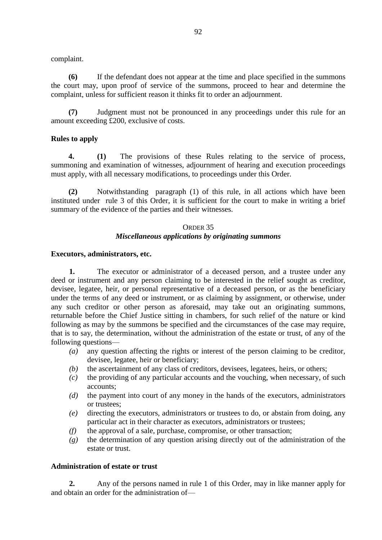complaint.

**(6)** If the defendant does not appear at the time and place specified in the summons the court may, upon proof of service of the summons, proceed to hear and determine the complaint, unless for sufficient reason it thinks fit to order an adjournment.

**(7)** Judgment must not be pronounced in any proceedings under this rule for an amount exceeding £200, exclusive of costs.

### **Rules to apply**

**4. (1)** The provisions of these Rules relating to the service of process, summoning and examination of witnesses, adjournment of hearing and execution proceedings must apply, with all necessary modifications, to proceedings under this Order.

**(2)** Notwithstanding paragraph (1) of this rule, in all actions which have been instituted under rule 3 of this Order, it is sufficient for the court to make in writing a brief summary of the evidence of the parties and their witnesses.

### ORDER 35 *Miscellaneous applications by originating summons*

#### **Executors, administrators, etc.**

**1.** The executor or administrator of a deceased person, and a trustee under any deed or instrument and any person claiming to be interested in the relief sought as creditor, devisee, legatee, heir, or personal representative of a deceased person, or as the beneficiary under the terms of any deed or instrument, or as claiming by assignment, or otherwise, under any such creditor or other person as aforesaid, may take out an originating summons, returnable before the Chief Justice sitting in chambers, for such relief of the nature or kind following as may by the summons be specified and the circumstances of the case may require, that is to say, the determination, without the administration of the estate or trust, of any of the following questions—

- *(a)* any question affecting the rights or interest of the person claiming to be creditor, devisee, legatee, heir or beneficiary;
- *(b)* the ascertainment of any class of creditors, devisees, legatees, heirs, or others;
- *(c)* the providing of any particular accounts and the vouching, when necessary, of such accounts;
- *(d)* the payment into court of any money in the hands of the executors, administrators or trustees;
- *(e)* directing the executors, administrators or trustees to do, or abstain from doing, any particular act in their character as executors, administrators or trustees;
- *(f)* the approval of a sale, purchase, compromise, or other transaction;
- *(g)* the determination of any question arising directly out of the administration of the estate or trust.

### **Administration of estate or trust**

**2.** Any of the persons named in rule 1 of this Order, may in like manner apply for and obtain an order for the administration of—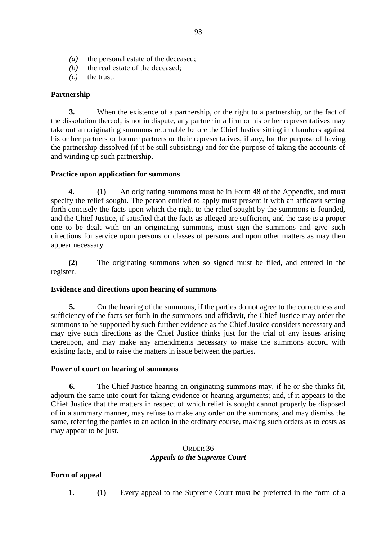- *(a)* the personal estate of the deceased;
- *(b)* the real estate of the deceased:
- $(c)$  the trust.

### **Partnership**

**3.** When the existence of a partnership, or the right to a partnership, or the fact of the dissolution thereof, is not in dispute, any partner in a firm or his or her representatives may take out an originating summons returnable before the Chief Justice sitting in chambers against his or her partners or former partners or their representatives, if any, for the purpose of having the partnership dissolved (if it be still subsisting) and for the purpose of taking the accounts of and winding up such partnership.

### **Practice upon application for summons**

**4. (1)** An originating summons must be in Form 48 of the Appendix, and must specify the relief sought. The person entitled to apply must present it with an affidavit setting forth concisely the facts upon which the right to the relief sought by the summons is founded, and the Chief Justice, if satisfied that the facts as alleged are sufficient, and the case is a proper one to be dealt with on an originating summons, must sign the summons and give such directions for service upon persons or classes of persons and upon other matters as may then appear necessary.

**(2)** The originating summons when so signed must be filed, and entered in the register.

### **Evidence and directions upon hearing of summons**

**5.** On the hearing of the summons, if the parties do not agree to the correctness and sufficiency of the facts set forth in the summons and affidavit, the Chief Justice may order the summons to be supported by such further evidence as the Chief Justice considers necessary and may give such directions as the Chief Justice thinks just for the trial of any issues arising thereupon, and may make any amendments necessary to make the summons accord with existing facts, and to raise the matters in issue between the parties.

### **Power of court on hearing of summons**

**6.** The Chief Justice hearing an originating summons may, if he or she thinks fit, adjourn the same into court for taking evidence or hearing arguments; and, if it appears to the Chief Justice that the matters in respect of which relief is sought cannot properly be disposed of in a summary manner, may refuse to make any order on the summons, and may dismiss the same, referring the parties to an action in the ordinary course, making such orders as to costs as may appear to be just.

# ORDER 36 *Appeals to the Supreme Court*

# **Form of appeal**

**1. (1)** Every appeal to the Supreme Court must be preferred in the form of a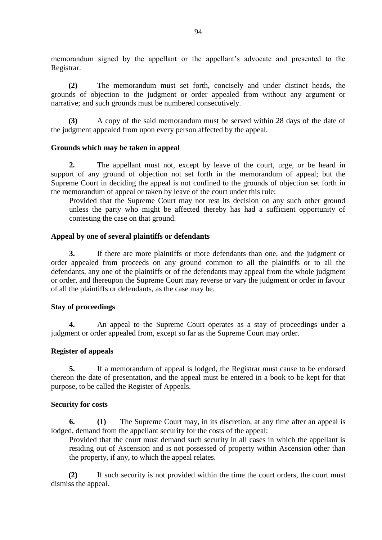memorandum signed by the appellant or the appellant's advocate and presented to the Registrar.

**(2)** The memorandum must set forth, concisely and under distinct heads, the grounds of objection to the judgment or order appealed from without any argument or narrative; and such grounds must be numbered consecutively.

**(3)** A copy of the said memorandum must be served within 28 days of the date of the judgment appealed from upon every person affected by the appeal.

### **Grounds which may be taken in appeal**

**2.** The appellant must not, except by leave of the court, urge, or be heard in support of any ground of objection not set forth in the memorandum of appeal; but the Supreme Court in deciding the appeal is not confined to the grounds of objection set forth in the memorandum of appeal or taken by leave of the court under this rule:

Provided that the Supreme Court may not rest its decision on any such other ground unless the party who might be affected thereby has had a sufficient opportunity of contesting the case on that ground.

# **Appeal by one of several plaintiffs or defendants**

**3.** If there are more plaintiffs or more defendants than one, and the judgment or order appealed from proceeds on any ground common to all the plaintiffs or to all the defendants, any one of the plaintiffs or of the defendants may appeal from the whole judgment or order, and thereupon the Supreme Court may reverse or vary the judgment or order in favour of all the plaintiffs or defendants, as the case may be.

# **Stay of proceedings**

**4.** An appeal to the Supreme Court operates as a stay of proceedings under a judgment or order appealed from, except so far as the Supreme Court may order.

### **Register of appeals**

**5.** If a memorandum of appeal is lodged, the Registrar must cause to be endorsed thereon the date of presentation, and the appeal must be entered in a book to be kept for that purpose, to be called the Register of Appeals.

### **Security for costs**

**6. (1)** The Supreme Court may, in its discretion, at any time after an appeal is lodged, demand from the appellant security for the costs of the appeal:

Provided that the court must demand such security in all cases in which the appellant is residing out of Ascension and is not possessed of property within Ascension other than the property, if any, to which the appeal relates.

**(2)** If such security is not provided within the time the court orders, the court must dismiss the appeal.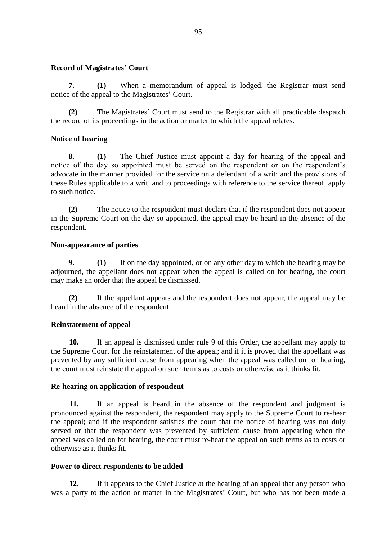#### **Record of Magistrates' Court**

**7. (1)** When a memorandum of appeal is lodged, the Registrar must send notice of the appeal to the Magistrates' Court.

**(2)** The Magistrates' Court must send to the Registrar with all practicable despatch the record of its proceedings in the action or matter to which the appeal relates.

### **Notice of hearing**

**8. (1)** The Chief Justice must appoint a day for hearing of the appeal and notice of the day so appointed must be served on the respondent or on the respondent's advocate in the manner provided for the service on a defendant of a writ; and the provisions of these Rules applicable to a writ, and to proceedings with reference to the service thereof, apply to such notice.

**(2)** The notice to the respondent must declare that if the respondent does not appear in the Supreme Court on the day so appointed, the appeal may be heard in the absence of the respondent.

#### **Non-appearance of parties**

**9. (1)** If on the day appointed, or on any other day to which the hearing may be adjourned, the appellant does not appear when the appeal is called on for hearing, the court may make an order that the appeal be dismissed.

**(2)** If the appellant appears and the respondent does not appear, the appeal may be heard in the absence of the respondent.

### **Reinstatement of appeal**

**10.** If an appeal is dismissed under rule 9 of this Order, the appellant may apply to the Supreme Court for the reinstatement of the appeal; and if it is proved that the appellant was prevented by any sufficient cause from appearing when the appeal was called on for hearing, the court must reinstate the appeal on such terms as to costs or otherwise as it thinks fit.

#### **Re-hearing on application of respondent**

**11.** If an appeal is heard in the absence of the respondent and judgment is pronounced against the respondent, the respondent may apply to the Supreme Court to re-hear the appeal; and if the respondent satisfies the court that the notice of hearing was not duly served or that the respondent was prevented by sufficient cause from appearing when the appeal was called on for hearing, the court must re-hear the appeal on such terms as to costs or otherwise as it thinks fit.

#### **Power to direct respondents to be added**

**12.** If it appears to the Chief Justice at the hearing of an appeal that any person who was a party to the action or matter in the Magistrates' Court, but who has not been made a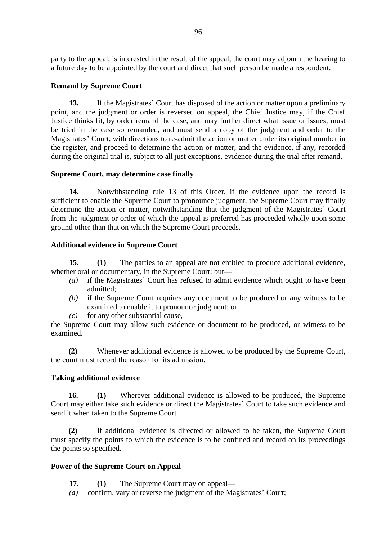party to the appeal, is interested in the result of the appeal, the court may adjourn the hearing to a future day to be appointed by the court and direct that such person be made a respondent.

### **Remand by Supreme Court**

**13.** If the Magistrates' Court has disposed of the action or matter upon a preliminary point, and the judgment or order is reversed on appeal, the Chief Justice may, if the Chief Justice thinks fit, by order remand the case, and may further direct what issue or issues, must be tried in the case so remanded, and must send a copy of the judgment and order to the Magistrates' Court, with directions to re-admit the action or matter under its original number in the register, and proceed to determine the action or matter; and the evidence, if any, recorded during the original trial is, subject to all just exceptions, evidence during the trial after remand.

# **Supreme Court, may determine case finally**

**14.** Notwithstanding rule 13 of this Order, if the evidence upon the record is sufficient to enable the Supreme Court to pronounce judgment, the Supreme Court may finally determine the action or matter, notwithstanding that the judgment of the Magistrates' Court from the judgment or order of which the appeal is preferred has proceeded wholly upon some ground other than that on which the Supreme Court proceeds.

# **Additional evidence in Supreme Court**

**15. (1)** The parties to an appeal are not entitled to produce additional evidence, whether oral or documentary, in the Supreme Court; but—

- *(a)* if the Magistrates' Court has refused to admit evidence which ought to have been admitted;
- *(b)* if the Supreme Court requires any document to be produced or any witness to be examined to enable it to pronounce judgment; or
- *(c)* for any other substantial cause,

the Supreme Court may allow such evidence or document to be produced, or witness to be examined.

**(2)** Whenever additional evidence is allowed to be produced by the Supreme Court, the court must record the reason for its admission.

# **Taking additional evidence**

**16. (1)** Wherever additional evidence is allowed to be produced, the Supreme Court may either take such evidence or direct the Magistrates' Court to take such evidence and send it when taken to the Supreme Court.

**(2)** If additional evidence is directed or allowed to be taken, the Supreme Court must specify the points to which the evidence is to be confined and record on its proceedings the points so specified.

# **Power of the Supreme Court on Appeal**

- **17. (1)** The Supreme Court may on appeal—
- *(a)* confirm, vary or reverse the judgment of the Magistrates' Court;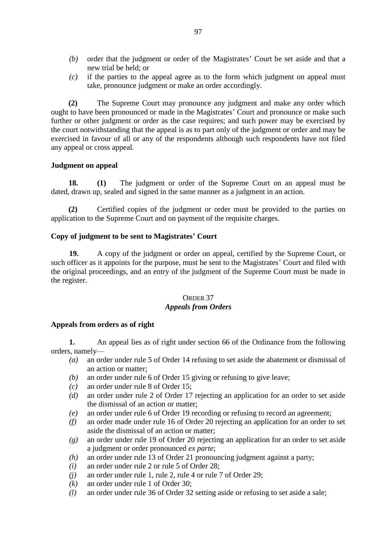- *(b)* order that the judgment or order of the Magistrates' Court be set aside and that a new trial be held; or
- *(c)* if the parties to the appeal agree as to the form which judgment on appeal must take, pronounce judgment or make an order accordingly.

**(2)** The Supreme Court may pronounce any judgment and make any order which ought to have been pronounced or made in the Magistrates' Court and pronounce or make such further or other judgment or order as the case requires; and such power may be exercised by the court notwithstanding that the appeal is as to part only of the judgment or order and may be exercised in favour of all or any of the respondents although such respondents have not filed any appeal or cross appeal.

### **Judgment on appeal**

**18. (1)** The judgment or order of the Supreme Court on an appeal must be dated, drawn up, sealed and signed in the same manner as a judgment in an action.

**(2)** Certified copies of the judgment or order must be provided to the parties on application to the Supreme Court and on payment of the requisite charges.

# **Copy of judgment to be sent to Magistrates' Court**

**19.** A copy of the judgment or order on appeal, certified by the Supreme Court, or such officer as it appoints for the purpose, must be sent to the Magistrates' Court and filed with the original proceedings, and an entry of the judgment of the Supreme Court must be made in the register.

# ORDER 37 *Appeals from Orders*

### **Appeals from orders as of right**

**1.** An appeal lies as of right under section 66 of the Ordinance from the following orders, namely—

- *(a)* an order under rule 5 of Order 14 refusing to set aside the abatement or dismissal of an action or matter;
- *(b)* an order under rule 6 of Order 15 giving or refusing to give leave;
- *(c)* an order under rule 8 of Order 15;
- *(d)* an order under rule 2 of Order 17 rejecting an application for an order to set aside the dismissal of an action or matter;
- *(e)* an order under rule 6 of Order 19 recording or refusing to record an agreement;
- *(f)* an order made under rule 16 of Order 20 rejecting an application for an order to set aside the dismissal of an action or matter;
- *(g)* an order under rule 19 of Order 20 rejecting an application for an order to set aside a judgment or order pronounced *ex parte*;
- *(h)* an order under rule 13 of Order 21 pronouncing judgment against a party;
- *(i)* an order under rule 2 or rule 5 of Order 28;
- *(j)* an order under rule 1, rule 2, rule 4 or rule 7 of Order 29;
- *(k)* an order under rule 1 of Order 30;
- *(l)* an order under rule 36 of Order 32 setting aside or refusing to set aside a sale;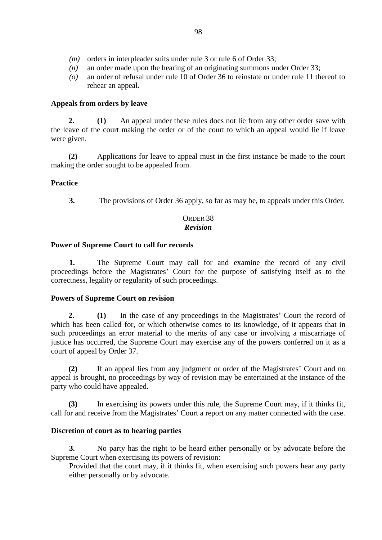- *(m)* orders in interpleader suits under rule 3 or rule 6 of Order 33;
- *(n)* an order made upon the hearing of an originating summons under Order 33;
- *(o)* an order of refusal under rule 10 of Order 36 to reinstate or under rule 11 thereof to rehear an appeal.

### **Appeals from orders by leave**

**2. (1)** An appeal under these rules does not lie from any other order save with the leave of the court making the order or of the court to which an appeal would lie if leave were given.

**(2)** Applications for leave to appeal must in the first instance be made to the court making the order sought to be appealed from.

# **Practice**

**3.** The provisions of Order 36 apply, so far as may be, to appeals under this Order.

### ORDER 38 *Revision*

### **Power of Supreme Court to call for records**

**1.** The Supreme Court may call for and examine the record of any civil proceedings before the Magistrates' Court for the purpose of satisfying itself as to the correctness, legality or regularity of such proceedings.

### **Powers of Supreme Court on revision**

**2. (1)** In the case of any proceedings in the Magistrates' Court the record of which has been called for, or which otherwise comes to its knowledge, of it appears that in such proceedings an error material to the merits of any case or involving a miscarriage of justice has occurred, the Supreme Court may exercise any of the powers conferred on it as a court of appeal by Order 37.

**(2)** If an appeal lies from any judgment or order of the Magistrates' Court and no appeal is brought, no proceedings by way of revision may be entertained at the instance of the party who could have appealed.

**(3)** In exercising its powers under this rule, the Supreme Court may, if it thinks fit, call for and receive from the Magistrates' Court a report on any matter connected with the case.

### **Discretion of court as to hearing parties**

**3.** No party has the right to be heard either personally or by advocate before the Supreme Court when exercising its powers of revision:

Provided that the court may, if it thinks fit, when exercising such powers hear any party either personally or by advocate.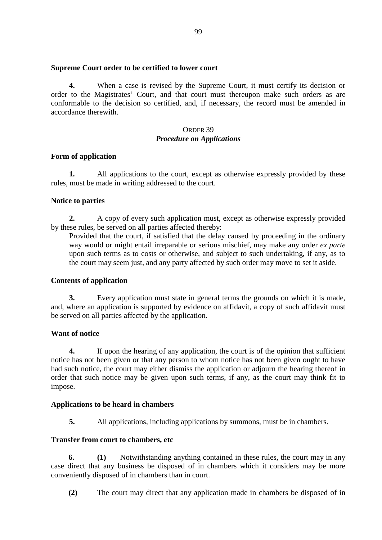#### **Supreme Court order to be certified to lower court**

**4.** When a case is revised by the Supreme Court, it must certify its decision or order to the Magistrates' Court, and that court must thereupon make such orders as are conformable to the decision so certified, and, if necessary, the record must be amended in accordance therewith.

## ORDER 39 *Procedure on Applications*

#### **Form of application**

**1.** All applications to the court, except as otherwise expressly provided by these rules, must be made in writing addressed to the court.

#### **Notice to parties**

**2.** A copy of every such application must, except as otherwise expressly provided by these rules, be served on all parties affected thereby:

Provided that the court, if satisfied that the delay caused by proceeding in the ordinary way would or might entail irreparable or serious mischief, may make any order *ex parte* upon such terms as to costs or otherwise, and subject to such undertaking, if any, as to the court may seem just, and any party affected by such order may move to set it aside.

### **Contents of application**

**3.** Every application must state in general terms the grounds on which it is made, and, where an application is supported by evidence on affidavit, a copy of such affidavit must be served on all parties affected by the application.

### **Want of notice**

**4.** If upon the hearing of any application, the court is of the opinion that sufficient notice has not been given or that any person to whom notice has not been given ought to have had such notice, the court may either dismiss the application or adjourn the hearing thereof in order that such notice may be given upon such terms, if any, as the court may think fit to impose.

### **Applications to be heard in chambers**

**5.** All applications, including applications by summons, must be in chambers.

#### **Transfer from court to chambers, etc**

**6. (1)** Notwithstanding anything contained in these rules, the court may in any case direct that any business be disposed of in chambers which it considers may be more conveniently disposed of in chambers than in court.

**(2)** The court may direct that any application made in chambers be disposed of in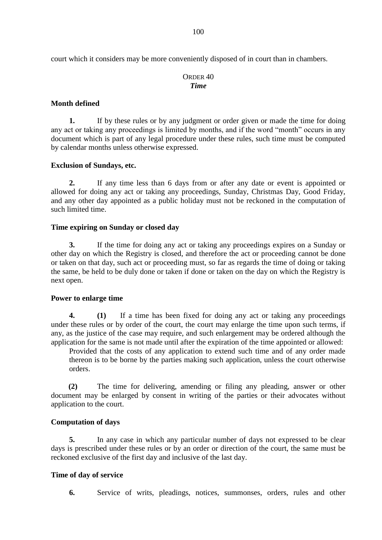court which it considers may be more conveniently disposed of in court than in chambers.

### ORDER 40 *Time*

#### **Month defined**

**1.** If by these rules or by any judgment or order given or made the time for doing any act or taking any proceedings is limited by months, and if the word "month" occurs in any document which is part of any legal procedure under these rules, such time must be computed by calendar months unless otherwise expressed.

#### **Exclusion of Sundays, etc.**

**2.** If any time less than 6 days from or after any date or event is appointed or allowed for doing any act or taking any proceedings, Sunday, Christmas Day, Good Friday, and any other day appointed as a public holiday must not be reckoned in the computation of such limited time.

#### **Time expiring on Sunday or closed day**

**3.** If the time for doing any act or taking any proceedings expires on a Sunday or other day on which the Registry is closed, and therefore the act or proceeding cannot be done or taken on that day, such act or proceeding must, so far as regards the time of doing or taking the same, be held to be duly done or taken if done or taken on the day on which the Registry is next open.

#### **Power to enlarge time**

**4. (1)** If a time has been fixed for doing any act or taking any proceedings under these rules or by order of the court, the court may enlarge the time upon such terms, if any, as the justice of the case may require, and such enlargement may be ordered although the application for the same is not made until after the expiration of the time appointed or allowed:

Provided that the costs of any application to extend such time and of any order made thereon is to be borne by the parties making such application, unless the court otherwise orders.

**(2)** The time for delivering, amending or filing any pleading, answer or other document may be enlarged by consent in writing of the parties or their advocates without application to the court.

#### **Computation of days**

**5.** In any case in which any particular number of days not expressed to be clear days is prescribed under these rules or by an order or direction of the court, the same must be reckoned exclusive of the first day and inclusive of the last day.

#### **Time of day of service**

**6.** Service of writs, pleadings, notices, summonses, orders, rules and other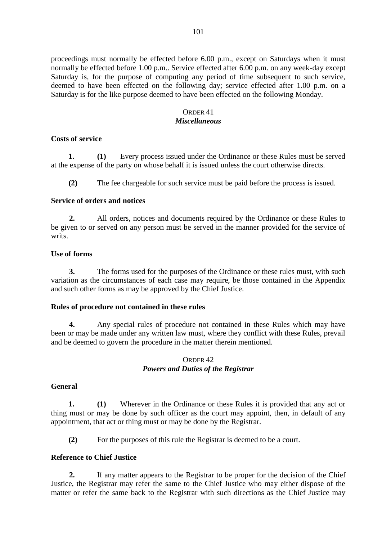proceedings must normally be effected before 6.00 p.m., except on Saturdays when it must normally be effected before 1.00 p.m.. Service effected after 6.00 p.m. on any week-day except Saturday is, for the purpose of computing any period of time subsequent to such service, deemed to have been effected on the following day; service effected after 1.00 p.m. on a Saturday is for the like purpose deemed to have been effected on the following Monday.

# ORDER 41

#### *Miscellaneous*

### **Costs of service**

**1. (1)** Every process issued under the Ordinance or these Rules must be served at the expense of the party on whose behalf it is issued unless the court otherwise directs.

**(2)** The fee chargeable for such service must be paid before the process is issued.

### **Service of orders and notices**

**2.** All orders, notices and documents required by the Ordinance or these Rules to be given to or served on any person must be served in the manner provided for the service of writs.

### **Use of forms**

**3.** The forms used for the purposes of the Ordinance or these rules must, with such variation as the circumstances of each case may require, be those contained in the Appendix and such other forms as may be approved by the Chief Justice.

### **Rules of procedure not contained in these rules**

**4.** Any special rules of procedure not contained in these Rules which may have been or may be made under any written law must, where they conflict with these Rules, prevail and be deemed to govern the procedure in the matter therein mentioned.

### ORDER 42 *Powers and Duties of the Registrar*

### **General**

**1. (1)** Wherever in the Ordinance or these Rules it is provided that any act or thing must or may be done by such officer as the court may appoint, then, in default of any appointment, that act or thing must or may be done by the Registrar.

**(2)** For the purposes of this rule the Registrar is deemed to be a court.

### **Reference to Chief Justice**

**2.** If any matter appears to the Registrar to be proper for the decision of the Chief Justice, the Registrar may refer the same to the Chief Justice who may either dispose of the matter or refer the same back to the Registrar with such directions as the Chief Justice may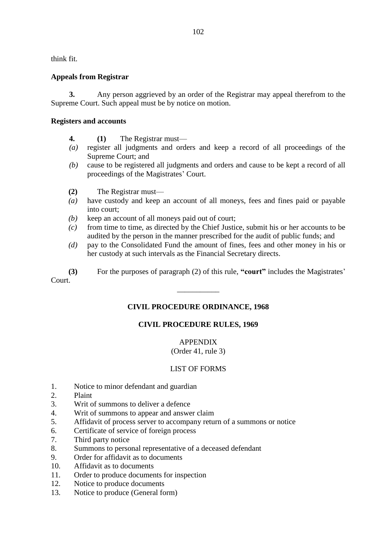think fit.

# **Appeals from Registrar**

**3.** Any person aggrieved by an order of the Registrar may appeal therefrom to the Supreme Court. Such appeal must be by notice on motion.

### **Registers and accounts**

- **4. (1)** The Registrar must—
- *(a)* register all judgments and orders and keep a record of all proceedings of the Supreme Court; and
- *(b)* cause to be registered all judgments and orders and cause to be kept a record of all proceedings of the Magistrates' Court.
- **(2)** The Registrar must—
- *(a)* have custody and keep an account of all moneys, fees and fines paid or payable into court;
- *(b)* keep an account of all moneys paid out of court;
- *(c)* from time to time, as directed by the Chief Justice, submit his or her accounts to be audited by the person in the manner prescribed for the audit of public funds; and
- *(d)* pay to the Consolidated Fund the amount of fines, fees and other money in his or her custody at such intervals as the Financial Secretary directs.
- **(3)** For the purposes of paragraph (2) of this rule, **"court"** includes the Magistrates'

Court.

# **CIVIL PROCEDURE ORDINANCE, 1968**

\_\_\_\_\_\_\_\_\_\_\_

# **CIVIL PROCEDURE RULES, 1969**

#### APPENDIX (Order 41, rule 3)

# LIST OF FORMS

- 1. Notice to minor defendant and guardian
- 2. Plaint
- 3. Writ of summons to deliver a defence
- 4. Writ of summons to appear and answer claim
- 5. Affidavit of process server to accompany return of a summons or notice
- 6. Certificate of service of foreign process
- 7. Third party notice
- 8. Summons to personal representative of a deceased defendant
- 9. Order for affidavit as to documents
- 10. Affidavit as to documents
- 11. Order to produce documents for inspection
- 12. Notice to produce documents
- 13. Notice to produce (General form)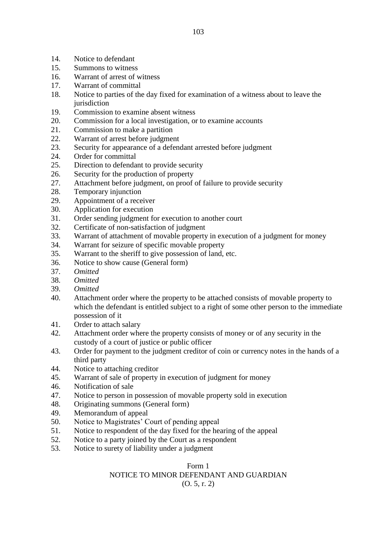- 14. Notice to defendant
- 15. Summons to witness
- 16. Warrant of arrest of witness
- 17. Warrant of committal
- 18. Notice to parties of the day fixed for examination of a witness about to leave the iurisdiction
- 19. Commission to examine absent witness
- 20. Commission for a local investigation, or to examine accounts
- 21. Commission to make a partition
- 22. Warrant of arrest before judgment
- 23. Security for appearance of a defendant arrested before judgment
- 24. Order for committal
- 25. Direction to defendant to provide security
- 26. Security for the production of property
- 27. Attachment before judgment, on proof of failure to provide security
- 28. Temporary injunction
- 29. Appointment of a receiver
- 30. Application for execution
- 31. Order sending judgment for execution to another court
- 32. Certificate of non-satisfaction of judgment
- 33. Warrant of attachment of movable property in execution of a judgment for money
- 34. Warrant for seizure of specific movable property
- 35. Warrant to the sheriff to give possession of land, etc.
- 36. Notice to show cause (General form)
- 37. *Omitted*
- 38. *Omitted*
- 39. *Omitted*
- 40. Attachment order where the property to be attached consists of movable property to which the defendant is entitled subject to a right of some other person to the immediate possession of it
- 41. Order to attach salary
- 42. Attachment order where the property consists of money or of any security in the custody of a court of justice or public officer
- 43. Order for payment to the judgment creditor of coin or currency notes in the hands of a third party
- 44. Notice to attaching creditor
- 45. Warrant of sale of property in execution of judgment for money
- 46. Notification of sale
- 47. Notice to person in possession of movable property sold in execution
- 48. Originating summons (General form)
- 49. Memorandum of appeal
- 50. Notice to Magistrates' Court of pending appeal
- 51. Notice to respondent of the day fixed for the hearing of the appeal
- 52. Notice to a party joined by the Court as a respondent
- 53. Notice to surety of liability under a judgment

### Form 1 NOTICE TO MINOR DEFENDANT AND GUARDIAN (O. 5, r. 2)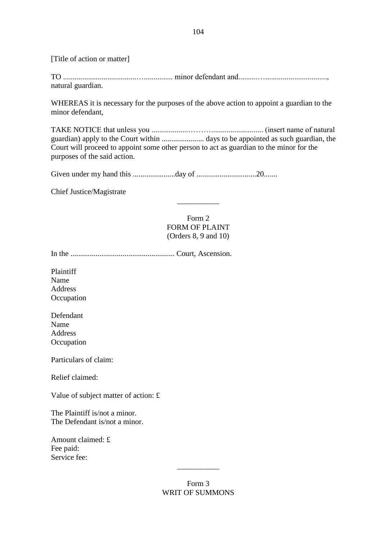[Title of action or matter]

TO ......................................…............... minor defendant and..........…................................, natural guardian.

WHEREAS it is necessary for the purposes of the above action to appoint a guardian to the minor defendant,

TAKE NOTICE that unless you ...................………........................... (insert name of natural guardian) apply to the Court within ...................... days to be appointed as such guardian, the Court will proceed to appoint some other person to act as guardian to the minor for the purposes of the said action.

Given under my hand this ......................day of ...............................20.......

Chief Justice/Magistrate

Form 2 FORM OF PLAINT (Orders 8, 9 and 10)

\_\_\_\_\_\_\_\_\_\_\_

In the ...................................................... Court, Ascension.

Plaintiff Name Address **Occupation** 

Defendant Name Address **Occupation** 

Particulars of claim:

Relief claimed:

Value of subject matter of action: £

The Plaintiff is/not a minor. The Defendant is/not a minor.

Amount claimed: £ Fee paid: Service fee:

> Form 3 WRIT OF SUMMONS

\_\_\_\_\_\_\_\_\_\_\_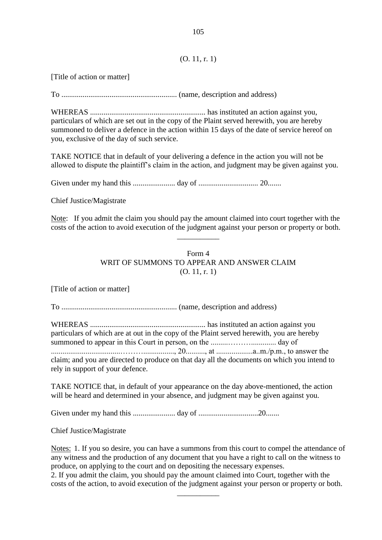#### (O. 11, r. 1)

[Title of action or matter]

To ............................................................ (name, description and address)

WHEREAS ............................................................ has instituted an action against you, particulars of which are set out in the copy of the Plaint served herewith, you are hereby summoned to deliver a defence in the action within 15 days of the date of service hereof on you, exclusive of the day of such service.

TAKE NOTICE that in default of your delivering a defence in the action you will not be allowed to dispute the plaintiff's claim in the action, and judgment may be given against you.

Given under my hand this ...................... day of ............................... 20.......

Chief Justice/Magistrate

Note: If you admit the claim you should pay the amount claimed into court together with the costs of the action to avoid execution of the judgment against your person or property or both.

\_\_\_\_\_\_\_\_\_\_\_

Form 4 WRIT OF SUMMONS TO APPEAR AND ANSWER CLAIM (O. 11, r. 1)

[Title of action or matter]

To ............................................................ (name, description and address)

WHEREAS ............................................................ has instituted an action against you particulars of which are at out in the copy of the Plaint served herewith, you are hereby summoned to appear in this Court in person, on the .........………............. day of ....................................………................, 20.........., at ...................a..m./p.m., to answer the claim; and you are directed to produce on that day all the documents on which you intend to rely in support of your defence.

TAKE NOTICE that, in default of your appearance on the day above-mentioned, the action will be heard and determined in your absence, and judgment may be given against you.

Given under my hand this ...................... day of ...............................20.......

Chief Justice/Magistrate

Notes: 1. If you so desire, you can have a summons from this court to compel the attendance of any witness and the production of any document that you have a right to call on the witness to produce, on applying to the court and on depositing the necessary expenses.

2. If you admit the claim, you should pay the amount claimed into Court, together with the costs of the action, to avoid execution of the judgment against your person or property or both.

 $\overline{\phantom{a}}$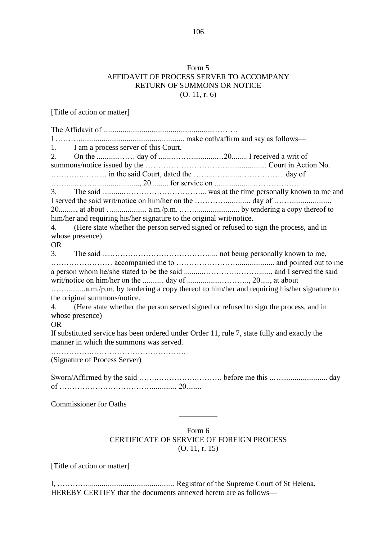# Form 5 AFFIDAVIT OF PROCESS SERVER TO ACCOMPANY RETURN OF SUMMONS OR NOTICE (O. 11, r. 6)

[Title of action or matter]

| 1. I am a process server of this Court.                                                     |
|---------------------------------------------------------------------------------------------|
| 2.                                                                                          |
|                                                                                             |
|                                                                                             |
|                                                                                             |
|                                                                                             |
|                                                                                             |
|                                                                                             |
| him/her and requiring his/her signature to the original writ/notice.                        |
| (Here state whether the person served signed or refused to sign the process, and in<br>4.   |
| whose presence)                                                                             |
| <b>OR</b>                                                                                   |
|                                                                                             |
|                                                                                             |
|                                                                                             |
|                                                                                             |
|                                                                                             |
| the original summons/notice.                                                                |
| 4. (Here state whether the person served signed or refused to sign the process, and in      |
| whose presence)<br><b>OR</b>                                                                |
| If substituted service has been ordered under Order 11, rule 7, state fully and exactly the |
| manner in which the summons was served.                                                     |
|                                                                                             |
| (Signature of Process Server)                                                               |
|                                                                                             |
|                                                                                             |
|                                                                                             |
|                                                                                             |
| <b>Commissioner for Oaths</b>                                                               |
|                                                                                             |
|                                                                                             |
| Form 6                                                                                      |

# CERTIFICATE OF SERVICE OF FOREIGN PROCESS (O. 11, r. 15)

[Title of action or matter]

I, …………............................................. Registrar of the Supreme Court of St Helena, HEREBY CERTIFY that the documents annexed hereto are as follows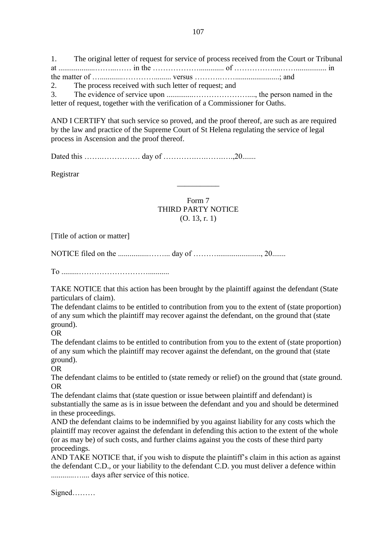1. The original letter of request for service of process received from the Court or Tribunal at ...................……...…… in the ………………............. of ……………....……................ in the matter of …............…………......... versus ……….…….......................; and 2. The process received with such letter of request; and 3. The evidence of service upon ..............…………………...., the person named in the

letter of request, together with the verification of a Commissioner for Oaths.

AND I CERTIFY that such service so proved, and the proof thereof, are such as are required by the law and practice of the Supreme Court of St Helena regulating the service of legal process in Ascension and the proof thereof.

Dated this …….…………… day of ………….….…….….,20.......

Registrar

Form 7 THIRD PARTY NOTICE (O. 13, r. 1)

\_\_\_\_\_\_\_\_\_\_\_

[Title of action or matter]

NOTICE filed on the ................……... day of ………......................., 20.......

To .........………………………...........

TAKE NOTICE that this action has been brought by the plaintiff against the defendant (State particulars of claim).

The defendant claims to be entitled to contribution from you to the extent of (state proportion) of any sum which the plaintiff may recover against the defendant, on the ground that (state ground).

OR

The defendant claims to be entitled to contribution from you to the extent of (state proportion) of any sum which the plaintiff may recover against the defendant, on the ground that (state ground).

OR

The defendant claims to be entitled to (state remedy or relief) on the ground that (state ground. OR

The defendant claims that (state question or issue between plaintiff and defendant) is substantially the same as is in issue between the defendant and you and should be determined in these proceedings.

AND the defendant claims to be indemnified by you against liability for any costs which the plaintiff may recover against the defendant in defending this action to the extent of the whole (or as may be) of such costs, and further claims against you the costs of these third party proceedings.

AND TAKE NOTICE that, if you wish to dispute the plaintiff's claim in this action as against the defendant C.D., or your liability to the defendant C.D. you must deliver a defence within ............….... days after service of this notice.

Signed………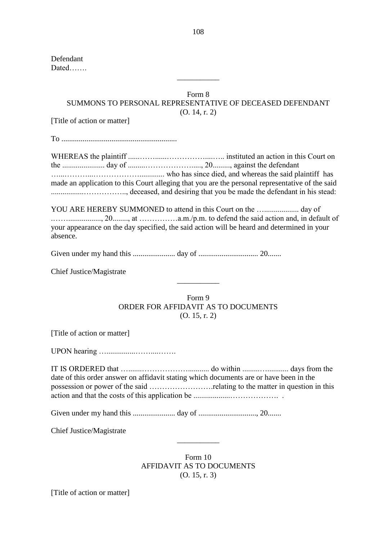Defendant Dated…….

# Form 8 SUMMONS TO PERSONAL REPRESENTATIVE OF DECEASED DEFENDANT (O. 14, r. 2)

\_\_\_\_\_\_\_\_\_\_\_

[Title of action or matter]

To ............................................................

WHEREAS the plaintiff ......……......……………....….. instituted an action in this Court on the ...................... day of .........………………....., 20........., against the defendant …...………...………………............. who has since died, and whereas the said plaintiff has made an application to this Court alleging that you are the personal representative of the said .................…………….., deceased, and desiring that you be made the defendant in his stead:

YOU ARE HEREBY SUMMONED to attend in this Court on the ….................. day of .……................., 20........, at ……………a.m./p.m. to defend the said action and, in default of your appearance on the day specified, the said action will be heard and determined in your absence.

Given under my hand this ...................... day of ............................... 20.......

Chief Justice/Magistrate

Form 9 ORDER FOR AFFIDAVIT AS TO DOCUMENTS (O. 15, r. 2)

\_\_\_\_\_\_\_\_\_\_\_

[Title of action or matter]

UPON hearing …...............……....…….

IT IS ORDERED that ….......………………........... do within .........…........... days from the date of this order answer on affidavit stating which documents are or have been in the possession or power of the said …………………….relating to the matter in question in this action and that the costs of this application be ...................………………. .

Given under my hand this ...................... day of .............................., 20.......

Chief Justice/Magistrate

Form 10 AFFIDAVIT AS TO DOCUMENTS (O. 15, r. 3)

\_\_\_\_\_\_\_\_\_\_\_

[Title of action or matter]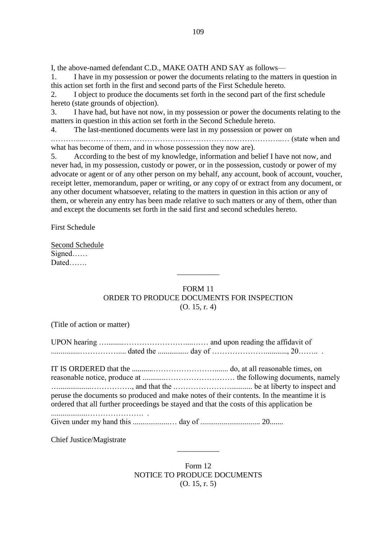I, the above-named defendant C.D., MAKE OATH AND SAY as follows—

1. I have in my possession or power the documents relating to the matters in question in this action set forth in the first and second parts of the First Schedule hereto.

2. I object to produce the documents set forth in the second part of the first schedule hereto (state grounds of objection).

3. I have had, but have not now, in my possession or power the documents relating to the matters in question in this action set forth in the Second Schedule hereto.

4. The last-mentioned documents were last in my possession or power on

.……….....…………………………………………………………………..… (state when and what has become of them, and in whose possession they now are).

5. According to the best of my knowledge, information and belief I have not now, and never had, in my possession, custody or power, or in the possession, custody or power of my advocate or agent or of any other person on my behalf, any account, book of account, voucher, receipt letter, memorandum, paper or writing, or any copy of or extract from any document, or any other document whatsoever, relating to the matters in question in this action or any of them, or wherein any entry has been made relative to such matters or any of them, other than and except the documents set forth in the said first and second schedules hereto.

First Schedule

Second Schedule Signed…… Dated…….

## FORM 11 ORDER TO PRODUCE DOCUMENTS FOR INSPECTION (O. 15, r. 4)

 $\overline{\phantom{a}}$ 

(Title of action or matter)

IT IS ORDERED that the ...........……………………....... do, at all reasonable times, on reasonable notice, produce at ............……………………… the following documents, namely ….................……………., and that the .…………………............ be at liberty to inspect and peruse the documents so produced and make notes of their contents. In the meantime it is ordered that all further proceedings be stayed and that the costs of this application be

Given under my hand this ...................… day of ............................... 20.......

Chief Justice/Magistrate

...................…………………. .

Form 12 NOTICE TO PRODUCE DOCUMENTS (O. 15, r. 5)

 $\overline{\phantom{a}}$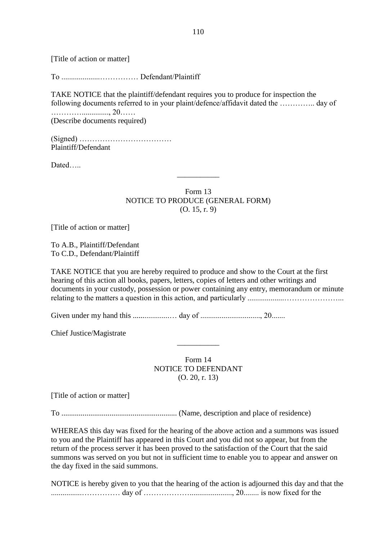[Title of action or matter]

To ....................…………… Defendant/Plaintiff

TAKE NOTICE that the plaintiff/defendant requires you to produce for inspection the following documents referred to in your plaint/defence/affidavit dated the ………….. day of ………….............., 20…… (Describe documents required)

(Signed) ………………………………

Plaintiff/Defendant

Dated…..

Form 13 NOTICE TO PRODUCE (GENERAL FORM) (O. 15, r. 9)

 $\overline{\phantom{a}}$ 

[Title of action or matter]

To A.B., Plaintiff/Defendant To C.D., Defendant/Plaintiff

TAKE NOTICE that you are hereby required to produce and show to the Court at the first hearing of this action all books, papers, letters, copies of letters and other writings and documents in your custody, possession or power containing any entry, memorandum or minute relating to the matters a question in this action, and particularly ...................…………………...

Given under my hand this ...................… day of ..............................., 20.......

Chief Justice/Magistrate

Form 14 NOTICE TO DEFENDANT (O. 20, r. 13)

\_\_\_\_\_\_\_\_\_\_\_

[Title of action or matter]

To ............................................................ (Name, description and place of residence)

WHEREAS this day was fixed for the hearing of the above action and a summons was issued to you and the Plaintiff has appeared in this Court and you did not so appear, but from the return of the process server it has been proved to the satisfaction of the Court that the said summons was served on you but not in sufficient time to enable you to appear and answer on the day fixed in the said summons.

NOTICE is hereby given to you that the hearing of the action is adjourned this day and that the ................…………… day of ………………......................, 20........ is now fixed for the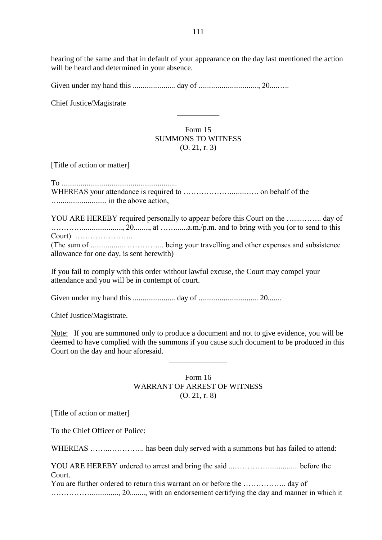hearing of the same and that in default of your appearance on the day last mentioned the action will be heard and determined in your absence.

Given under my hand this ...................... day of ..............................., 20....…..

Chief Justice/Magistrate

## Form 15 SUMMONS TO WITNESS (O. 21, r. 3)

\_\_\_\_\_\_\_\_\_\_\_

[Title of action or matter]

To ............................................................ WHEREAS your attendance is required to ………………..........…. on behalf of the …......................... in the above action,

YOU ARE HEREBY required personally to appear before this Court on the …....…….. day of …………....................., 20........, at ……......a.m./p.m. and to bring with you (or to send to this Court) ………………….. (The sum of ...................…………... being your travelling and other expenses and subsistence allowance for one day, is sent herewith)

If you fail to comply with this order without lawful excuse, the Court may compel your attendance and you will be in contempt of court.

Given under my hand this ...................... day of ............................... 20.......

Chief Justice/Magistrate.

Note: If you are summoned only to produce a document and not to give evidence, you will be deemed to have complied with the summons if you cause such document to be produced in this Court on the day and hour aforesaid.

\_\_\_\_\_\_\_\_\_\_\_\_\_\_\_

#### Form 16 WARRANT OF ARREST OF WITNESS (O. 21, r. 8)

[Title of action or matter]

To the Chief Officer of Police:

WHEREAS ……..………….. has been duly served with a summons but has failed to attend:

YOU ARE HEREBY ordered to arrest and bring the said ...…………................. before the Court.

You are further ordered to return this warrant on or before the …………….. day of ……………..............., 20........, with an endorsement certifying the day and manner in which it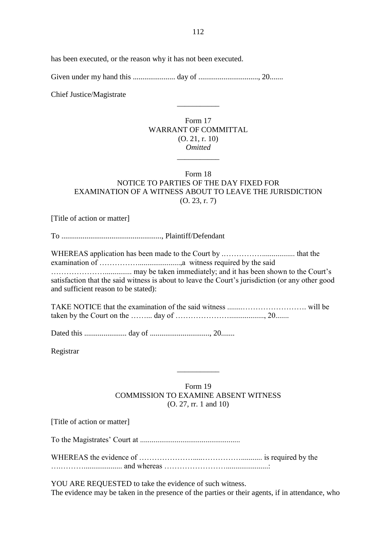has been executed, or the reason why it has not been executed.

Given under my hand this ...................... day of ..............................., 20.......

Chief Justice/Magistrate

### Form 17 WARRANT OF COMMITTAL (O. 21, r. 10) *Omitted* \_\_\_\_\_\_\_\_\_\_\_

\_\_\_\_\_\_\_\_\_\_\_

## Form 18 NOTICE TO PARTIES OF THE DAY FIXED FOR EXAMINATION OF A WITNESS ABOUT TO LEAVE THE JURISDICTION (O. 23, r. 7)

[Title of action or matter]

To ...................................................., Plaintiff/Defendant

WHEREAS application has been made to the Court by .……………................. that the examination of ……………......................,a witness required by the said ………………….............. may be taken immediately; and it has been shown to the Court's satisfaction that the said witness is about to leave the Court's jurisdiction (or any other good and sufficient reason to be stated):

TAKE NOTICE that the examination of the said witness ........……………………. will be taken by the Court on the ……... day of ………………….................., 20.......

Dated this ...................... day of ..............................., 20.......

Registrar

## Form 19 COMMISSION TO EXAMINE ABSENT WITNESS (O. 27, rr. 1 and 10)

\_\_\_\_\_\_\_\_\_\_\_

[Title of action or matter]

To the Magistrates' Court at ....................................................

WHEREAS the evidence of ………………….....……………........... is required by the ….……….................... and whereas ……………………......................:

YOU ARE REQUESTED to take the evidence of such witness. The evidence may be taken in the presence of the parties or their agents, if in attendance, who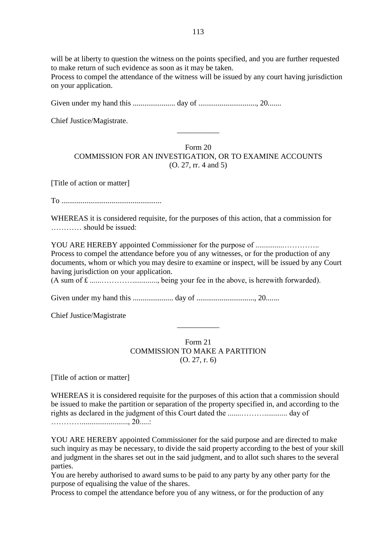will be at liberty to question the witness on the points specified, and you are further requested to make return of such evidence as soon as it may be taken.

Process to compel the attendance of the witness will be issued by any court having jurisdiction on your application.

Given under my hand this ...................... day of .............................., 20.......

Chief Justice/Magistrate.

Form 20 COMMISSION FOR AN INVESTIGATION, OR TO EXAMINE ACCOUNTS (O. 27, rr. 4 and 5)

\_\_\_\_\_\_\_\_\_\_\_

[Title of action or matter]

To ....................................................

WHEREAS it is considered requisite, for the purposes of this action, that a commission for ………… should be issued:

YOU ARE HEREBY appointed Commissioner for the purpose of ...............………….. Process to compel the attendance before you of any witnesses, or for the production of any documents, whom or which you may desire to examine or inspect, will be issued by any Court having jurisdiction on your application.

(A sum of £ ......…………............., being your fee in the above, is herewith forwarded).

Given under my hand this ..................... day of .............................., 20.......

Chief Justice/Magistrate

Form 21 COMMISSION TO MAKE A PARTITION (O. 27, r. 6)

\_\_\_\_\_\_\_\_\_\_\_

[Title of action or matter]

WHEREAS it is considered requisite for the purposes of this action that a commission should be issued to make the partition or separation of the property specified in, and according to the rights as declared in the judgment of this Court dated the .......………............ day of …………........................, 20.....:

YOU ARE HEREBY appointed Commissioner for the said purpose and are directed to make such inquiry as may be necessary, to divide the said property according to the best of your skill and judgment in the shares set out in the said judgment, and to allot such shares to the several parties.

You are hereby authorised to award sums to be paid to any party by any other party for the purpose of equalising the value of the shares.

Process to compel the attendance before you of any witness, or for the production of any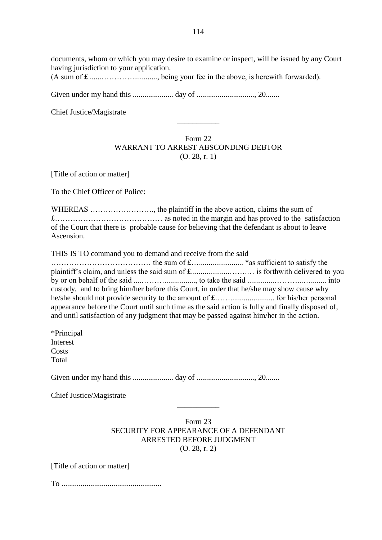documents, whom or which you may desire to examine or inspect, will be issued by any Court having jurisdiction to your application.

(A sum of £ ......…………............., being your fee in the above, is herewith forwarded).

Given under my hand this ..................... day of .............................., 20.......

Chief Justice/Magistrate

## Form 22 WARRANT TO ARREST ABSCONDING DEBTOR (O. 28, r. 1)

\_\_\_\_\_\_\_\_\_\_\_

[Title of action or matter]

To the Chief Officer of Police:

WHEREAS ……………………., the plaintiff in the above action, claims the sum of £…………………………………… as noted in the margin and has proved to the satisfaction of the Court that there is probable cause for believing that the defendant is about to leave Ascension.

THIS IS TO command you to demand and receive from the said

………………………………… the sum of £…....................... \*as sufficient to satisfy the plaintiff's claim, and unless the said sum of £....................…….… is forthwith delivered to you by or on behalf of the said ....………................, to take the said ..............………...…........ into custody, and to bring him/her before this Court, in order that he/she may show cause why he/she should not provide security to the amount of £……....................... for his/her personal appearance before the Court until such time as the said action is fully and finally disposed of, and until satisfaction of any judgment that may be passed against him/her in the action.

\*Principal Interest **Costs** Total

Given under my hand this ..................... day of .............................., 20.......

Chief Justice/Magistrate

### Form 23 SECURITY FOR APPEARANCE OF A DEFENDANT ARRESTED BEFORE JUDGMENT (O. 28, r. 2)

\_\_\_\_\_\_\_\_\_\_\_

[Title of action or matter]

To ....................................................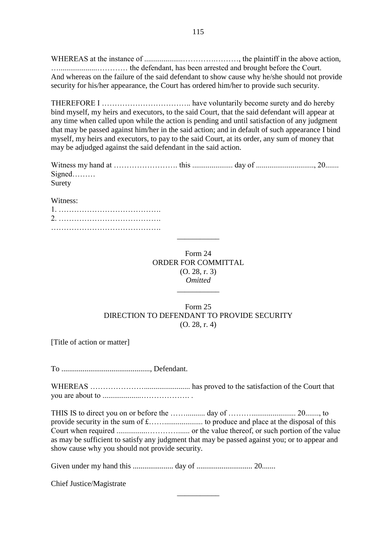WHEREAS at the instance of ....................………….………, the plaintiff in the above action, …....................………… the defendant, has been arrested and brought before the Court. And whereas on the failure of the said defendant to show cause why he/she should not provide security for his/her appearance, the Court has ordered him/her to provide such security.

THEREFORE I …………………………….. have voluntarily become surety and do hereby bind myself, my heirs and executors, to the said Court, that the said defendant will appear at any time when called upon while the action is pending and until satisfaction of any judgment that may be passed against him/her in the said action; and in default of such appearance I bind myself, my heirs and executors, to pay to the said Court, at its order, any sum of money that may be adjudged against the said defendant in the said action.

| Surety |  |  |
|--------|--|--|

Witness:

Form 24 ORDER FOR COMMITTAL (O. 28, r. 3) *Omitted*

\_\_\_\_\_\_\_\_\_\_\_

\_\_\_\_\_\_\_\_\_\_\_

## Form 25 DIRECTION TO DEFENDANT TO PROVIDE SECURITY (O. 28, r. 4)

[Title of action or matter]

To .............................................., Defendant.

WHEREAS …………………........................ has proved to the satisfaction of the Court that you are about to ....................………………. .

THIS IS to direct you on or before the …….......... day of ………....................... 20......., to provide security in the sum of £…….................... to produce and place at the disposal of this Court when required ................…………...... or the value thereof, or such portion of the value as may be sufficient to satisfy any judgment that may be passed against you; or to appear and show cause why you should not provide security.

\_\_\_\_\_\_\_\_\_\_\_

Given under my hand this ..................... day of ............................. 20.......

Chief Justice/Magistrate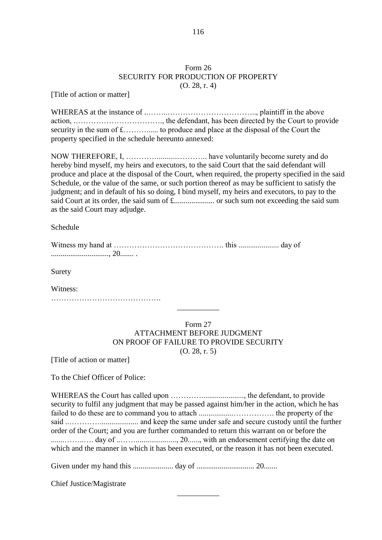#### Form 26 SECURITY FOR PRODUCTION OF PROPERTY (O. 28, r. 4)

[Title of action or matter]

WHEREAS at the instance of ..……..…………………………….., plaintiff in the above action, .……………………………., the defendant, has been directed by the Court to provide security in the sum of £………...... to produce and place at the disposal of the Court the property specified in the schedule hereunto annexed:

NOW THEREFORE, I, …………............……….. have voluntarily become surety and do hereby bind myself, my heirs and executors, to the said Court that the said defendant will produce and place at the disposal of the Court, when required, the property specified in the said Schedule, or the value of the same, or such portion thereof as may be sufficient to satisfy the judgment; and in default of his so doing, I bind myself, my heirs and executors, to pay to the said Court at its order, the said sum of £..................... or such sum not exceeding the said sum as the said Court may adjudge.

Schedule

Surety

Witness:

…………………………………….

#### Form 27 ATTACHMENT BEFORE JUDGMENT ON PROOF OF FAILURE TO PROVIDE SECURITY (O. 28, r. 5)

\_\_\_\_\_\_\_\_\_\_\_

[Title of action or matter]

To the Chief Officer of Police:

WHEREAS the Court has called upon …………......................, the defendant, to provide security to fulfil any judgment that may be passed against him/her in the action, which he has failed to do these are to command you to attach ..................……………. the property of the said ..………….................... and keep the same under safe and secure custody until the further order of the Court; and you are further commanded to return this warrant on or before the .......……..…. day of ..……....................., 20......, with an endorsement certifying the date on which and the manner in which it has been executed, or the reason it has not been executed.

\_\_\_\_\_\_\_\_\_\_\_

Given under my hand this ..................... day of .............................. 20.......

Chief Justice/Magistrate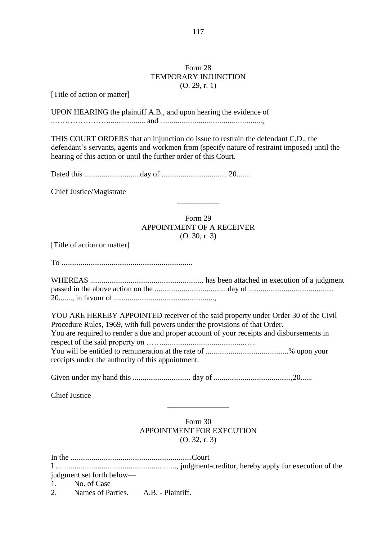### Form 28 TEMPORARY INJUNCTION (O. 29, r. 1)

117

[Title of action or matter]

UPON HEARING the plaintiff A.B., and upon hearing the evidence of

..…………………................... and .....................................................,

THIS COURT ORDERS that an injunction do issue to restrain the defendant C.D., the defendant's servants, agents and workmen from (specify nature of restraint imposed) until the hearing of this action or until the further order of this Court.

Dated this .............................day of .................................. 20.......

Chief Justice/Magistrate

### Form 29 APPOINTMENT OF A RECEIVER (O. 30, r. 3)

\_\_\_\_\_\_\_\_\_\_\_

[Title of action or matter]

To ....................................................................

YOU ARE HEREBY APPOINTED receiver of the said property under Order 30 of the Civil Procedure Rules, 1969, with full powers under the provisions of that Order. You are required to render a due and proper account of your receipts and disbursements in respect of the said property on ……...........................................….. You will be entitled to remuneration at the rate of ...........................................% upon your receipts under the authority of this appointment.

Given under my hand this .............................. day of ........................................,20......

Chief Justice

Form 30 APPOINTMENT FOR EXECUTION (O. 32, r. 3)

\_\_\_\_\_\_\_\_\_\_\_\_\_\_\_\_

| judgment set forth below—              |  |  |
|----------------------------------------|--|--|
| 1. No. of Case                         |  |  |
| 2. Names of Parties. A.B. - Plaintiff. |  |  |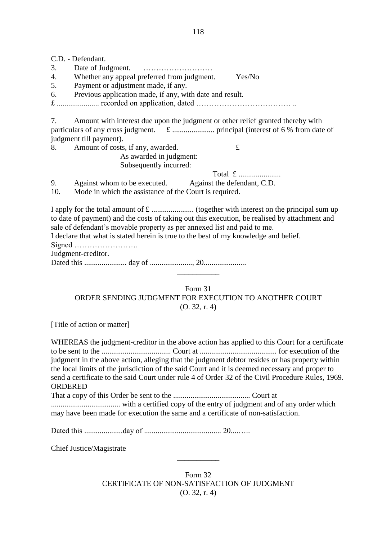C.D. - Defendant. 3. Date of Judgment. ……………………… 4. Whether any appeal preferred from judgment. Yes/No 5. Payment or adjustment made, if any. 6. Previous application made, if any, with date and result. £ ...................... recorded on application, dated ………………………………. .. 7. Amount with interest due upon the judgment or other relief granted thereby with particulars of any cross judgment. £ ...................... principal (interest of 6 % from date of judgment till payment). 8. Amount of costs, if any, awarded.  $\mathbf{\pounds}$ As awarded in judgment: Subsequently incurred: Total £ ....................... 9. Against whom to be executed. Against the defendant, C.D. 10. Mode in which the assistance of the Court is required. I apply for the total amount of £ ...................... (together with interest on the principal sum up to date of payment) and the costs of taking out this execution, be realised by attachment and sale of defendant's movable property as per annexed list and paid to me. I declare that what is stated herein is true to the best of my knowledge and belief. Signed ……………………. Judgment-creditor.

Dated this ...................... day of ......................, 20......................

Form 31 ORDER SENDING JUDGMENT FOR EXECUTION TO ANOTHER COURT (O. 32, r. 4)

\_\_\_\_\_\_\_\_\_\_\_

[Title of action or matter]

WHEREAS the judgment-creditor in the above action has applied to this Court for a certificate to be sent to the .................................... Court at ........................................ for execution of the judgment in the above action, alleging that the judgment debtor resides or has property within the local limits of the jurisdiction of the said Court and it is deemed necessary and proper to send a certificate to the said Court under rule 4 of Order 32 of the Civil Procedure Rules, 1969. ORDERED

That a copy of this Order be sent to the ........................................ Court at

.................................... with a certified copy of the entry of judgment and of any order which may have been made for execution the same and a certificate of non-satisfaction.

Dated this ....................day of ........................................ 20....…..

Chief Justice/Magistrate

Form 32 CERTIFICATE OF NON-SATISFACTION OF JUDGMENT (O. 32, r. 4)

\_\_\_\_\_\_\_\_\_\_\_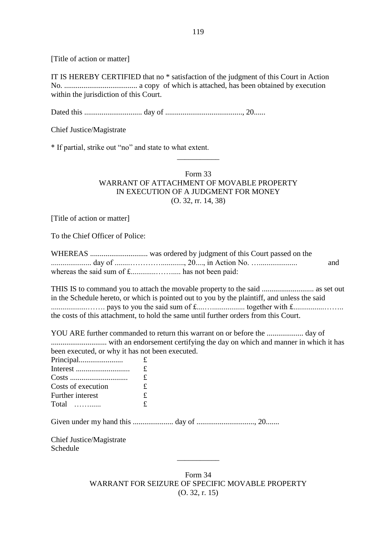[Title of action or matter]

IT IS HEREBY CERTIFIED that no \* satisfaction of the judgment of this Court in Action No. ...................................... a copy of which is attached, has been obtained by execution within the jurisdiction of this Court.

Dated this .............................. day of ........................................, 20......

Chief Justice/Magistrate

\* If partial, strike out "no" and state to what extent.

### Form 33 WARRANT OF ATTACHMENT OF MOVABLE PROPERTY IN EXECUTION OF A JUDGMENT FOR MONEY (O. 32, rr. 14, 38)

\_\_\_\_\_\_\_\_\_\_\_

[Title of action or matter]

To the Chief Officer of Police:

|  | and |
|--|-----|
|  |     |

THIS IS to command you to attach the movable property to the said ........................... as set out in the Schedule hereto, or which is pointed out to you by the plaintiff, and unless the said  $\dots\dots\dots\dots\dots\dots\dots$  pays to you the said sum of  $f_1, \dots, f_k$  together with  $f_2, \dots, f_k$ the costs of this attachment, to hold the same until further orders from this Court.

YOU ARE further commanded to return this warrant on or before the ................... day of ............................. with an endorsement certifying the day on which and manner in which it has been executed, or why it has not been executed. Principal....................... £

| Principal                | t |
|--------------------------|---|
|                          | £ |
|                          | £ |
| Costs of execution       | £ |
| Further interest         | £ |
| Total                    | £ |
|                          |   |
| Chief Justice/Magistrate |   |
| Schedule                 |   |
|                          |   |

Form 34 WARRANT FOR SEIZURE OF SPECIFIC MOVABLE PROPERTY (O. 32, r. 15)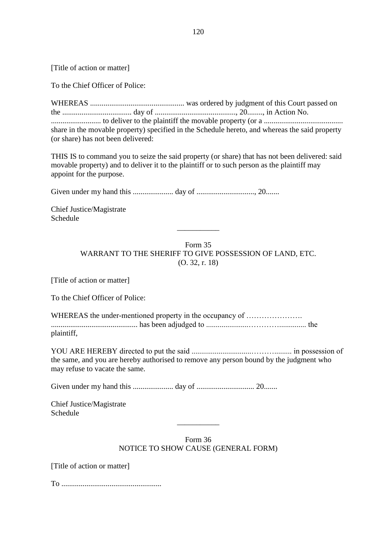[Title of action or matter]

To the Chief Officer of Police:

WHEREAS ................................................. was ordered by judgment of this Court passed on the .................................... day of .........................................., 20........, in Action No. .......................... to deliver to the plaintiff the movable property (or a ......................................... share in the movable property) specified in the Schedule hereto, and whereas the said property (or share) has not been delivered:

THIS IS to command you to seize the said property (or share) that has not been delivered: said movable property) and to deliver it to the plaintiff or to such person as the plaintiff may appoint for the purpose.

Given under my hand this ..................... day of .............................., 20.......

Chief Justice/Magistrate Schedule

> Form 35 WARRANT TO THE SHERIFF TO GIVE POSSESSION OF LAND, ETC. (O. 32, r. 18)

\_\_\_\_\_\_\_\_\_\_\_

[Title of action or matter]

To the Chief Officer of Police:

WHEREAS the under-mentioned property in the occupancy of ........................ ............................................. has been adjudged to ......................………….............. the plaintiff,

YOU ARE HEREBY directed to put the said ...............................………......... in possession of the same, and you are hereby authorised to remove any person bound by the judgment who may refuse to vacate the same.

Given under my hand this ..................... day of .............................. 20.......

Chief Justice/Magistrate Schedule

> Form 36 NOTICE TO SHOW CAUSE (GENERAL FORM)

\_\_\_\_\_\_\_\_\_\_\_

[Title of action or matter]

To ....................................................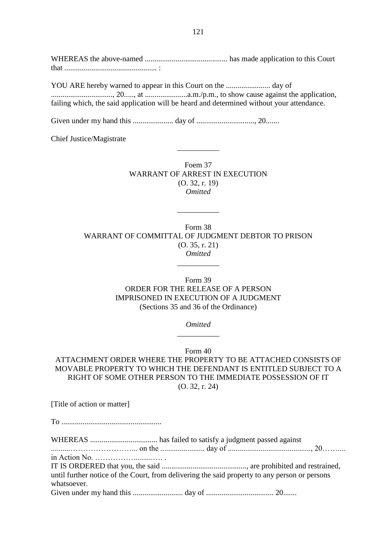WHEREAS the above-named ........................................... has made application to this Court that ................................................ :

YOU ARE hereby warned to appear in this Court on the ....................... day of ................................, 20....., at ......................a.m./p.m., to show cause against the application, failing which, the said application will be heard and determined without your attendance.

Given under my hand this ..................... day of .............................., 20.......

Chief Justice/Magistrate

Foem 37 WARRANT OF ARREST IN EXECUTION (O. 32, r. 19) *Omitted*

\_\_\_\_\_\_\_\_\_\_\_

Form 38 WARRANT OF COMMITTAL OF JUDGMENT DEBTOR TO PRISON (O. 35, r. 21) *Omitted*

\_\_\_\_\_\_\_\_\_\_\_

\_\_\_\_\_\_\_\_\_\_\_

Form 39 ORDER FOR THE RELEASE OF A PERSON IMPRISONED IN EXECUTION OF A JUDGMENT (Sections 35 and 36 of the Ordinance)

> *Omitted* \_\_\_\_\_\_\_\_\_\_\_

> > Form 40

ATTACHMENT ORDER WHERE THE PROPERTY TO BE ATTACHED CONSISTS OF MOVABLE PROPERTY TO WHICH THE DEFENDANT IS ENTITLED SUBJECT TO A RIGHT OF SOME OTHER PERSON TO THE IMMEDIATE POSSESSION OF IT (O. 32, r. 24)

[Title of action or matter]

To ....................................................

WHEREAS ................................... has failed to satisfy a judgment passed against ..........……………………... on the ....................... day of ..........................................., 20…….... in Action No. ……………..........…. . IT IS ORDERED that you, the said ............................................, are prohibited and restrained, until further notice of the Court, from delivering the said property to any person or persons whatsoever. Given under my hand this .......................... day of ................................... 20.......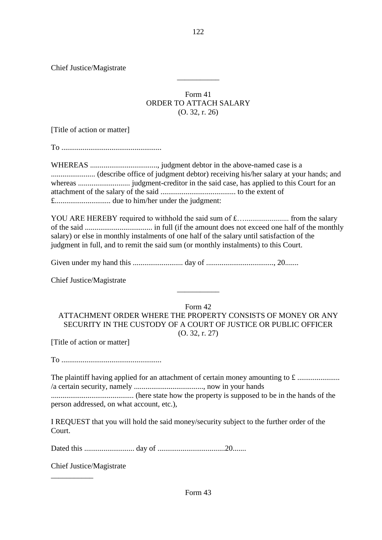Chief Justice/Magistrate

## Form 41 ORDER TO ATTACH SALARY (O. 32, r. 26)

\_\_\_\_\_\_\_\_\_\_\_

[Title of action or matter]

To ....................................................

WHEREAS ..................................., judgment debtor in the above-named case is a ....................... (describe office of judgment debtor) receiving his/her salary at your hands; and whereas ........................... judgment-creditor in the said case, has applied to this Court for an attachment of the salary of the said ....................................... to the extent of £............................. due to him/her under the judgment:

YOU ARE HEREBY required to withhold the said sum of £…....................... from the salary of the said ................................... in full (if the amount does not exceed one half of the monthly salary) or else in monthly instalments of one half of the salary until satisfaction of the judgment in full, and to remit the said sum (or monthly instalments) to this Court.

Given under my hand this .......................... day of ..................................., 20.......

Chief Justice/Magistrate

Form 42 ATTACHMENT ORDER WHERE THE PROPERTY CONSISTS OF MONEY OR ANY SECURITY IN THE CUSTODY OF A COURT OF JUSTICE OR PUBLIC OFFICER (O. 32, r. 27)

\_\_\_\_\_\_\_\_\_\_\_

[Title of action or matter]

To ....................................................

The plaintiff having applied for an attachment of certain money amounting to £ ...................... /a certain security, namely ...................................., now in your hands

........................................... (here state how the property is supposed to be in the hands of the person addressed, on what account, etc.),

I REQUEST that you will hold the said money/security subject to the further order of the Court.

Dated this .......................... day of ...................................20.......

Chief Justice/Magistrate

\_\_\_\_\_\_\_\_\_\_\_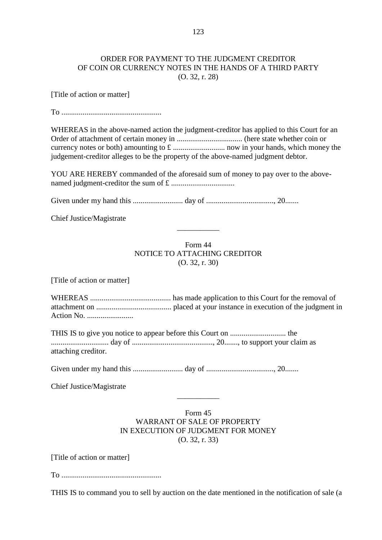#### ORDER FOR PAYMENT TO THE JUDGMENT CREDITOR OF COIN OR CURRENCY NOTES IN THE HANDS OF A THIRD PARTY (O. 32, r. 28)

[Title of action or matter]

 $T<sub>O</sub>$ 

WHEREAS in the above-named action the judgment-creditor has applied to this Court for an Order of attachment of certain money in .................................. (here state whether coin or currency notes or both) amounting to £ ........................... now in your hands, which money the judgement-creditor alleges to be the property of the above-named judgment debtor.

YOU ARE HEREBY commanded of the aforesaid sum of money to pay over to the abovenamed judgment-creditor the sum of £ .................................

Given under my hand this .......................... day of ..................................., 20.......

Chief Justice/Magistrate

## Form 44 NOTICE TO ATTACHING CREDITOR (O. 32, r. 30)

\_\_\_\_\_\_\_\_\_\_\_

[Title of action or matter]

WHEREAS .......................................... has made application to this Court for the removal of attachment on ....................................... placed at your instance in execution of the judgment in Action No. ........................

THIS IS to give you notice to appear before this Court on ............................. the .............................. day of .........................................., 20......., to support your claim as attaching creditor.

Given under my hand this .......................... day of ..................................., 20.......

Chief Justice/Magistrate

#### Form 45 WARRANT OF SALE OF PROPERTY IN EXECUTION OF JUDGMENT FOR MONEY (O. 32, r. 33)

 $\overline{\phantom{a}}$ 

[Title of action or matter]

To ....................................................

THIS IS to command you to sell by auction on the date mentioned in the notification of sale (a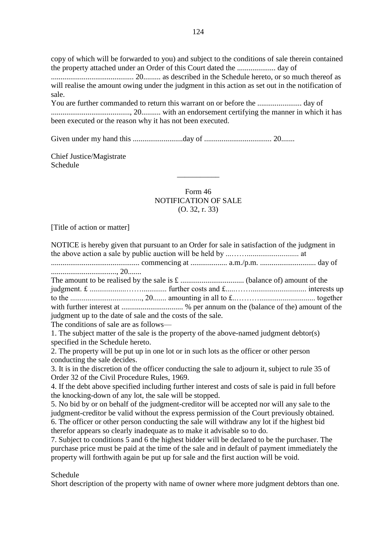copy of which will be forwarded to you) and subject to the conditions of sale therein contained the property attached under an Order of this Court dated the .................... day of ........................................... 20......... as described in the Schedule hereto, or so much thereof as

will realise the amount owing under the judgment in this action as set out in the notification of sale.

You are further commanded to return this warrant on or before the ....................... day of ........................................., 20.......... with an endorsement certifying the manner in which it has been executed or the reason why it has not been executed.

Given under my hand this ..........................day of ................................... 20.......

Chief Justice/Magistrate Schedule

> Form 46 NOTIFICATION OF SALE (O. 32, r. 33)

 $\overline{\phantom{a}}$ 

[Title of action or matter]

| NOTICE is hereby given that pursuant to an Order for sale in satisfaction of the judgment in       |
|----------------------------------------------------------------------------------------------------|
|                                                                                                    |
|                                                                                                    |
|                                                                                                    |
|                                                                                                    |
|                                                                                                    |
|                                                                                                    |
|                                                                                                    |
| judgment up to the date of sale and the costs of the sale.                                         |
| The conditions of sale are as follows—                                                             |
| 1. The subject matter of the sale is the property of the above-named judgment debtor(s)            |
| specified in the Schedule hereto.                                                                  |
| 2. The property will be put up in one lot or in such lots as the officer or other person           |
| conducting the sale decides.                                                                       |
| 3. It is in the discretion of the officer conducting the sale to adjourn it, subject to rule 35 of |
| Order 32 of the Civil Procedure Rules, 1969.                                                       |
| 4. If the debt above specified including further interest and costs of sale is paid in full before |
| the knocking-down of any lot, the sale will be stopped.                                            |
| 5. No bid by or on behalf of the judgment-creditor will be accepted nor will any sale to the       |
| judgment-creditor be valid without the express permission of the Court previously obtained.        |
| 6. The officer or other person conducting the sale will withdraw any lot if the highest bid        |
| therefor appears so clearly inadequate as to make it advisable so to do.                           |
| 7. Subject to conditions 5 and 6 the highest bidder will be declared to be the purchaser. The      |
| purchase price must be paid at the time of the sale and in default of payment immediately the      |
| property will forthwith again be put up for sale and the first auction will be void.               |

Schedule

Short description of the property with name of owner where more judgment debtors than one.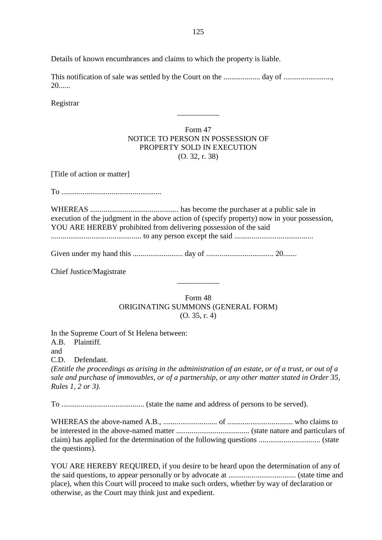Details of known encumbrances and claims to which the property is liable.

This notification of sale was settled by the Court on the ................... day of ........................., 20......

Registrar

## Form 47 NOTICE TO PERSON IN POSSESSION OF PROPERTY SOLD IN EXECUTION (O. 32, r. 38)

\_\_\_\_\_\_\_\_\_\_\_

[Title of action or matter]

To ....................................................

WHEREAS .............................................. has become the purchaser at a public sale in execution of the judgment in the above action of (specify property) now in your possession, YOU ARE HEREBY prohibited from delivering possession of the said ............................................... to any person except the said .........................................

Given under my hand this .......................... day of ................................... 20.......

Chief Justice/Magistrate

Form 48 ORIGINATING SUMMONS (GENERAL FORM) (O. 35, r. 4)

\_\_\_\_\_\_\_\_\_\_\_

In the Supreme Court of St Helena between: A.B. Plaintiff. and C.D. Defendant. *(Entitle the proceedings as arising in the administration of an estate, or of a trust, or out of a sale and purchase of immovables, or of a partnership, or any other matter stated in Order 35, Rules 1, 2 or 3).*

To ........................................... (state the name and address of persons to be served).

WHEREAS the above-named A.B., ............................ of .................................. who claims to be interested in the above-named matter ...................................... (state nature and particulars of claim) has applied for the determination of the following questions ................................ (state the questions).

YOU ARE HEREBY REQUIRED, if you desire to be heard upon the determination of any of the said questions, to appear personally or by advocate at ................................... (state time and place), when this Court will proceed to make such orders, whether by way of declaration or otherwise, as the Court may think just and expedient.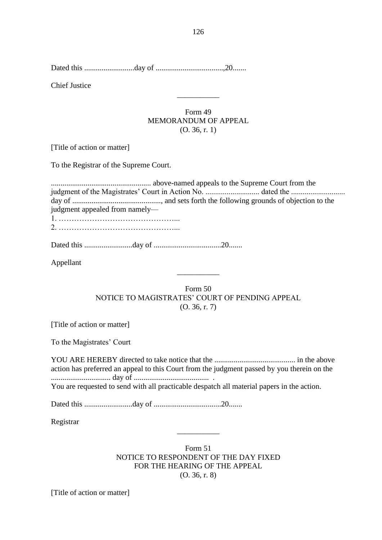Dated this ..........................day of ...................................,20.......

Chief Justice

### Form 49 MEMORANDUM OF APPEAL (O. 36, r. 1)

\_\_\_\_\_\_\_\_\_\_\_

[Title of action or matter]

To the Registrar of the Supreme Court.

.................................................... above-named appeals to the Supreme Court from the judgment of the Magistrates' Court in Action No. ............................ dated the ............................ day of .............................................., and sets forth the following grounds of objection to the judgment appealed from namely— 1. ………………………………………... 2. ………………………………………...

Dated this .........................day of ...................................20.......

Appellant

Form 50 NOTICE TO MAGISTRATES' COURT OF PENDING APPEAL (O. 36, r. 7)

 $\overline{\phantom{a}}$ 

[Title of action or matter]

To the Magistrates' Court

YOU ARE HEREBY directed to take notice that the .......................................... in the above action has preferred an appeal to this Court from the judgment passed by you therein on the ............................... day of ....................................... . You are requested to send with all practicable despatch all material papers in the action.

Dated this .........................day of ...................................20.......

Registrar

Form 51 NOTICE TO RESPONDENT OF THE DAY FIXED FOR THE HEARING OF THE APPEAL (O. 36, r. 8)

\_\_\_\_\_\_\_\_\_\_\_

[Title of action or matter]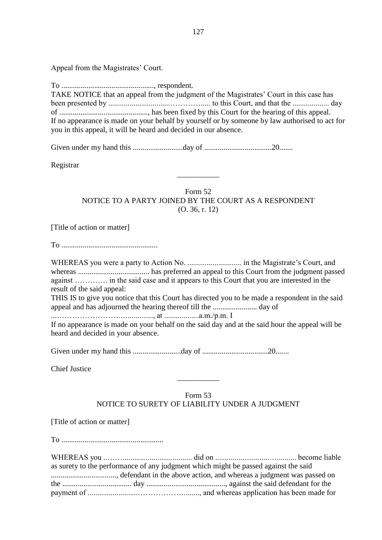Appeal from the Magistrates' Court.

To ................................................, respondent. TAKE NOTICE that an appeal from the judgment of the Magistrates' Court in this case has been presented by ................................…………..... to this Court, and that the ................... day of .............................................., has been fixed by this Court for the hearing of this appeal. If no appearance is made on your behalf by yourself or by someone by law authorised to act for you in this appeal, it will be heard and decided in our absence.

Given under my hand this ..........................day of ...................................20.......

Registrar

Form 52 NOTICE TO A PARTY JOINED BY THE COURT AS A RESPONDENT (O. 36, r. 12)

 $\overline{\phantom{a}}$ 

[Title of action or matter]

To ..................................................

WHEREAS you were a party to Action No. ............................ in the Magistrate's Court, and whereas ..................................... has preferred an appeal to this Court from the judgment passed against …………. in the said case and it appears to this Court that you are interested in the result of the said appeal: THIS IS to give you notice that this Court has directed you to be made a respondent in the said appeal and has adjourned the hearing thereof till the ....................... day of ...…………………….…............., at ..................a.m./p.m. I

If no appearance is made on your behalf on the said day and at the said hour the appeal will be heard and decided in your absence.

Given under my hand this .........................day of ..................................20.......

Chief Justice

# Form 53 NOTICE TO SURETY OF LIABILITY UNDER A JUDGMENT

\_\_\_\_\_\_\_\_\_\_\_

[Title of action or matter]

To .....................................................

|  | as surety to the performance of any judgment which might be passed against the said |  |
|--|-------------------------------------------------------------------------------------|--|
|  |                                                                                     |  |
|  |                                                                                     |  |
|  |                                                                                     |  |